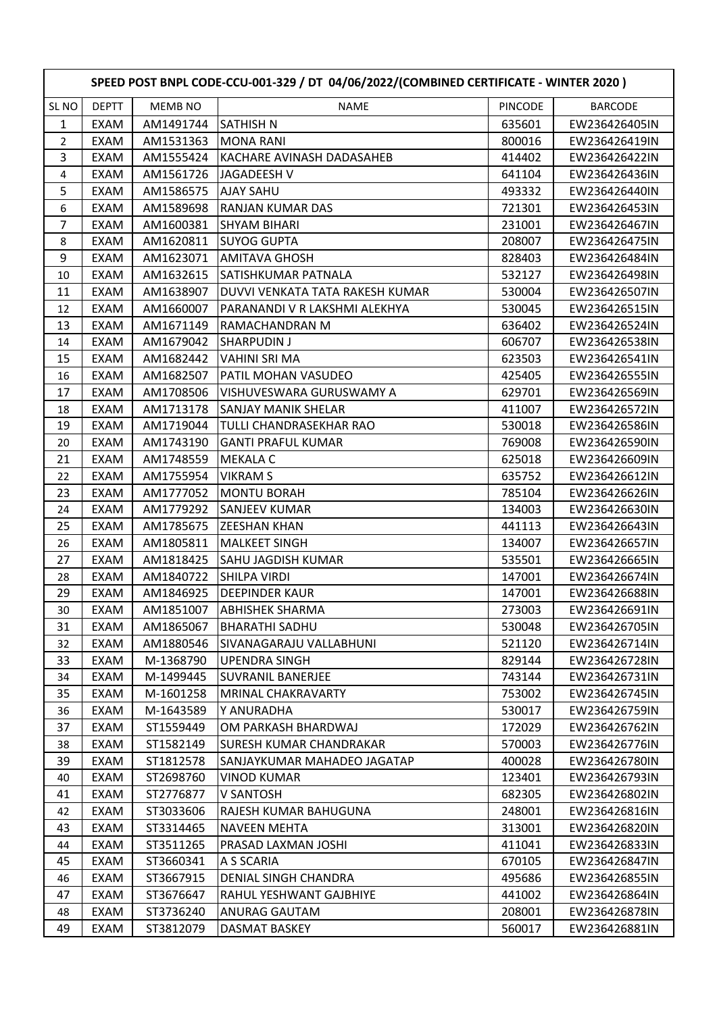|                  | SPEED POST BNPL CODE-CCU-001-329 / DT 04/06/2022/(COMBINED CERTIFICATE - WINTER 2020) |           |                                 |         |                |  |  |
|------------------|---------------------------------------------------------------------------------------|-----------|---------------------------------|---------|----------------|--|--|
| SL <sub>NO</sub> | <b>DEPTT</b>                                                                          | MEMB NO   | <b>NAME</b>                     | PINCODE | <b>BARCODE</b> |  |  |
| 1                | <b>EXAM</b>                                                                           | AM1491744 | <b>SATHISH N</b>                | 635601  | EW236426405IN  |  |  |
| 2                | EXAM                                                                                  | AM1531363 | <b>MONA RANI</b>                | 800016  | EW236426419IN  |  |  |
| 3                | EXAM                                                                                  | AM1555424 | KACHARE AVINASH DADASAHEB       | 414402  | EW236426422IN  |  |  |
| 4                | EXAM                                                                                  | AM1561726 | JAGADEESH V                     | 641104  | EW236426436IN  |  |  |
| 5                | <b>EXAM</b>                                                                           | AM1586575 | <b>AJAY SAHU</b>                | 493332  | EW236426440IN  |  |  |
| 6                | EXAM                                                                                  | AM1589698 | RANJAN KUMAR DAS                | 721301  | EW236426453IN  |  |  |
| 7                | EXAM                                                                                  | AM1600381 | <b>SHYAM BIHARI</b>             | 231001  | EW236426467IN  |  |  |
| 8                | EXAM                                                                                  | AM1620811 | <b>SUYOG GUPTA</b>              | 208007  | EW236426475IN  |  |  |
| 9                | EXAM                                                                                  | AM1623071 | <b>AMITAVA GHOSH</b>            | 828403  | EW236426484IN  |  |  |
| 10               | EXAM                                                                                  | AM1632615 | SATISHKUMAR PATNALA             | 532127  | EW236426498IN  |  |  |
| 11               | EXAM                                                                                  | AM1638907 | DUVVI VENKATA TATA RAKESH KUMAR | 530004  | EW236426507IN  |  |  |
| 12               | EXAM                                                                                  | AM1660007 | PARANANDI V R LAKSHMI ALEKHYA   | 530045  | EW236426515IN  |  |  |
| 13               | EXAM                                                                                  | AM1671149 | RAMACHANDRAN M                  | 636402  | EW236426524IN  |  |  |
| 14               | EXAM                                                                                  | AM1679042 | <b>SHARPUDIN J</b>              | 606707  | EW236426538IN  |  |  |
| 15               | <b>EXAM</b>                                                                           | AM1682442 | VAHINI SRI MA                   | 623503  | EW236426541IN  |  |  |
| 16               | EXAM                                                                                  | AM1682507 | PATIL MOHAN VASUDEO             | 425405  | EW236426555IN  |  |  |
| 17               | EXAM                                                                                  | AM1708506 | VISHUVESWARA GURUSWAMY A        | 629701  | EW236426569IN  |  |  |
| 18               | EXAM                                                                                  | AM1713178 | <b>SANJAY MANIK SHELAR</b>      | 411007  | EW236426572IN  |  |  |
| 19               | EXAM                                                                                  | AM1719044 | <b>TULLI CHANDRASEKHAR RAO</b>  | 530018  | EW236426586IN  |  |  |
| 20               | EXAM                                                                                  | AM1743190 | <b>GANTI PRAFUL KUMAR</b>       | 769008  | EW236426590IN  |  |  |
| 21               | EXAM                                                                                  | AM1748559 | <b>MEKALA C</b>                 | 625018  | EW236426609IN  |  |  |
| 22               | <b>EXAM</b>                                                                           | AM1755954 | <b>VIKRAM S</b>                 | 635752  | EW236426612IN  |  |  |
| 23               | EXAM                                                                                  | AM1777052 | <b>MONTU BORAH</b>              | 785104  | EW236426626IN  |  |  |
| 24               | EXAM                                                                                  | AM1779292 | <b>SANJEEV KUMAR</b>            | 134003  | EW236426630IN  |  |  |
| 25               | <b>EXAM</b>                                                                           | AM1785675 | <b>ZEESHAN KHAN</b>             | 441113  | EW236426643IN  |  |  |
| 26               | EXAM                                                                                  | AM1805811 | <b>MALKEET SINGH</b>            | 134007  | EW236426657IN  |  |  |
| 27               | EXAM                                                                                  | AM1818425 | <b>SAHU JAGDISH KUMAR</b>       | 535501  | EW236426665IN  |  |  |
| 28               | EXAM                                                                                  | AM1840722 | <b>SHILPA VIRDI</b>             | 147001  | EW236426674IN  |  |  |
| 29               | <b>EXAM</b>                                                                           | AM1846925 | <b>DEEPINDER KAUR</b>           | 147001  | EW236426688IN  |  |  |
| 30 <sup>°</sup>  | EXAM                                                                                  | AM1851007 | <b>ABHISHEK SHARMA</b>          | 273003  | EW236426691IN  |  |  |
| 31               | EXAM                                                                                  | AM1865067 | BHARATHI SADHU                  | 530048  | EW236426705IN  |  |  |
| 32               | EXAM                                                                                  | AM1880546 | SIVANAGARAJU VALLABHUNI         | 521120  | EW236426714IN  |  |  |
| 33               | EXAM                                                                                  | M-1368790 | <b>UPENDRA SINGH</b>            | 829144  | EW236426728IN  |  |  |
| 34               | EXAM                                                                                  | M-1499445 | <b>SUVRANIL BANERJEE</b>        | 743144  | EW236426731IN  |  |  |
| 35               | EXAM                                                                                  | M-1601258 | <b>MRINAL CHAKRAVARTY</b>       | 753002  | EW236426745IN  |  |  |
| 36               | EXAM                                                                                  | M-1643589 | Y ANURADHA                      | 530017  | EW236426759IN  |  |  |
| 37               | EXAM                                                                                  | ST1559449 | OM PARKASH BHARDWAJ             | 172029  | EW236426762IN  |  |  |
| 38               | EXAM                                                                                  | ST1582149 | SURESH KUMAR CHANDRAKAR         | 570003  | EW236426776IN  |  |  |
| 39               | EXAM                                                                                  | ST1812578 | SANJAYKUMAR MAHADEO JAGATAP     | 400028  | EW236426780IN  |  |  |
| 40               | EXAM                                                                                  | ST2698760 | <b>VINOD KUMAR</b>              | 123401  | EW236426793IN  |  |  |
| 41               | EXAM                                                                                  | ST2776877 | V SANTOSH                       | 682305  | EW236426802IN  |  |  |
| 42               | EXAM                                                                                  | ST3033606 | RAJESH KUMAR BAHUGUNA           | 248001  | EW236426816IN  |  |  |
| 43               | EXAM                                                                                  | ST3314465 | <b>NAVEEN MEHTA</b>             | 313001  | EW236426820IN  |  |  |
| 44               | EXAM                                                                                  | ST3511265 | PRASAD LAXMAN JOSHI             | 411041  | EW236426833IN  |  |  |
| 45               | EXAM                                                                                  | ST3660341 | A S SCARIA                      | 670105  | EW236426847IN  |  |  |
| 46               | EXAM                                                                                  | ST3667915 | DENIAL SINGH CHANDRA            | 495686  | EW236426855IN  |  |  |
| 47               | EXAM                                                                                  | ST3676647 | RAHUL YESHWANT GAJBHIYE         | 441002  | EW236426864IN  |  |  |
| 48               | EXAM                                                                                  | ST3736240 | <b>ANURAG GAUTAM</b>            | 208001  | EW236426878IN  |  |  |
| 49               | EXAM                                                                                  | ST3812079 | DASMAT BASKEY                   | 560017  | EW236426881IN  |  |  |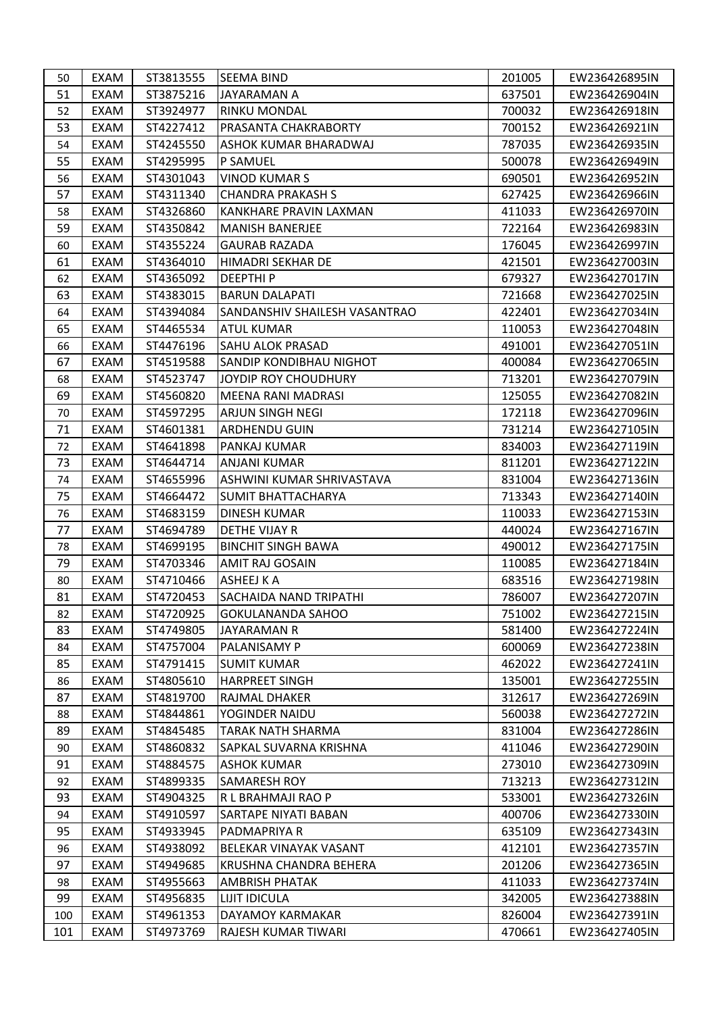| 51<br>EXAM<br>ST3875216<br>637501<br>JAYARAMAN A<br>EW236426904IN<br>ST3924977<br>700032<br>EXAM<br><b>RINKU MONDAL</b><br>EW236426918IN<br>52<br>53<br>EXAM<br>ST4227412<br>PRASANTA CHAKRABORTY<br>700152<br>EW236426921IN<br>ST4245550<br>787035<br>EW236426935IN<br>54<br>EXAM<br>ASHOK KUMAR BHARADWAJ<br>55<br>EXAM<br>ST4295995<br>P SAMUEL<br>500078<br>EW236426949IN<br>EXAM<br>ST4301043<br>56<br>VINOD KUMAR S<br>690501<br>EW236426952IN<br>57<br>ST4311340<br><b>CHANDRA PRAKASH S</b><br>627425<br>EXAM<br>EW236426966IN<br>EXAM<br>ST4326860<br>KANKHARE PRAVIN LAXMAN<br>58<br>411033<br>EW236426970IN<br>59<br>ST4350842<br>722164<br>EXAM<br><b>MANISH BANERJEE</b><br>EW236426983IN<br>ST4355224<br>EXAM<br><b>GAURAB RAZADA</b><br>176045<br>EW236426997IN<br>60<br>61<br>EXAM<br>ST4364010<br>HIMADRI SEKHAR DE<br>421501<br>EW236427003IN<br><b>DEEPTHIP</b><br>62<br>EXAM<br>ST4365092<br>679327<br>EW236427017IN<br>63<br>EXAM<br>ST4383015<br><b>BARUN DALAPATI</b><br>721668<br>EW236427025IN<br>EXAM<br>ST4394084<br>SANDANSHIV SHAILESH VASANTRAO<br>422401<br>EW236427034IN<br>64<br>65<br>EXAM<br>ST4465534<br><b>ATUL KUMAR</b><br>110053<br>EW236427048IN<br>ST4476196<br>66<br>EXAM<br><b>SAHU ALOK PRASAD</b><br>491001<br>EW236427051IN<br>67<br>EXAM<br>ST4519588<br><b>SANDIP KONDIBHAU NIGHOT</b><br>400084<br>EW236427065IN<br>EXAM<br>ST4523747<br>713201<br>EW236427079IN<br>68<br>JOYDIP ROY CHOUDHURY<br>69<br>EXAM<br>ST4560820<br>MEENA RANI MADRASI<br>125055<br>EW236427082IN<br>EXAM<br>ST4597295<br><b>ARJUN SINGH NEGI</b><br>172118<br>70<br>EW236427096IN<br>71<br>EXAM<br>731214<br>ST4601381<br><b>ARDHENDU GUIN</b><br>EW236427105IN<br>ST4641898<br>834003<br>72<br>EXAM<br>PANKAJ KUMAR<br>EW236427119IN<br>73<br>EXAM<br>ST4644714<br><b>ANJANI KUMAR</b><br>811201<br>EW236427122IN<br>EXAM<br>ST4655996<br>831004<br>EW236427136IN<br>74<br>ASHWINI KUMAR SHRIVASTAVA<br>75<br>EXAM<br>ST4664472<br><b>SUMIT BHATTACHARYA</b><br>713343<br>EW236427140IN<br>76<br>EXAM<br>ST4683159<br><b>DINESH KUMAR</b><br>110033<br>EW236427153IN<br>77<br>ST4694789<br>EXAM<br>DETHE VIJAY R<br>440024<br>EW236427167IN<br>EXAM<br>ST4699195<br><b>BINCHIT SINGH BAWA</b><br>490012<br>EW236427175IN<br>78<br>79<br>ST4703346<br><b>AMIT RAJ GOSAIN</b><br>110085<br>EW236427184IN<br>EXAM<br>ST4710466<br><b>ASHEEJ K A</b><br>683516<br>EW236427198IN<br>EXAM<br>80<br>81<br>EXAM<br>ST4720453<br>SACHAIDA NAND TRIPATHI<br>786007<br>EW236427207IN<br>EXAM<br>ST4720925<br><b>GOKULANANDA SAHOO</b><br>751002<br>EW236427215IN<br>82<br>83<br>EXAM<br>ST4749805<br>581400<br>EW236427224IN<br>JAYARAMAN R<br>EXAM<br>ST4757004<br>600069<br>84<br>PALANISAMY P<br>EW236427238IN<br>ST4791415<br>462022<br>85<br>EXAM<br><b>SUMIT KUMAR</b><br>EW236427241IN<br>EXAM<br>ST4805610<br><b>HARPREET SINGH</b><br>135001<br>EW236427255IN<br>86<br>ST4819700<br>87<br>EXAM<br>RAJMAL DHAKER<br>312617<br>EW236427269IN<br>560038<br>EXAM<br>ST4844861<br>YOGINDER NAIDU<br>EW236427272IN<br>88<br>831004<br>89<br>EXAM<br>ST4845485<br><b>TARAK NATH SHARMA</b><br>EW236427286IN<br>411046<br>EXAM<br>ST4860832<br>SAPKAL SUVARNA KRISHNA<br>EW236427290IN<br>90<br>273010<br>91<br>EXAM<br>ST4884575<br><b>ASHOK KUMAR</b><br>EW236427309IN<br>EXAM<br>ST4899335<br><b>SAMARESH ROY</b><br>713213<br>92<br>EW236427312IN<br>93<br>ST4904325<br>EXAM<br>R L BRAHMAJI RAO P<br>533001<br>EW236427326IN<br>400706<br>EXAM<br>ST4910597<br>SARTAPE NIYATI BABAN<br>EW236427330IN<br>94<br>95<br>EXAM<br>ST4933945<br>PADMAPRIYA R<br>635109<br>EW236427343IN<br>EXAM<br>ST4938092<br>412101<br>96<br>BELEKAR VINAYAK VASANT<br>EW236427357IN<br>201206<br>97<br>EXAM<br>ST4949685<br>KRUSHNA CHANDRA BEHERA<br>EW236427365IN<br>EXAM<br>ST4955663<br><b>AMBRISH PHATAK</b><br>411033<br>98<br>EW236427374IN<br>99<br>ST4956835<br>342005<br>EXAM<br><b>LIJIT IDICULA</b><br>EW236427388IN<br>EXAM<br>ST4961353<br>DAYAMOY KARMAKAR<br>826004<br>EW236427391IN<br>100<br>101<br>ST4973769<br>470661<br>EXAM<br>RAJESH KUMAR TIWARI<br>EW236427405IN | 50 | EXAM | ST3813555 | <b>SEEMA BIND</b> | 201005 | EW236426895IN |
|------------------------------------------------------------------------------------------------------------------------------------------------------------------------------------------------------------------------------------------------------------------------------------------------------------------------------------------------------------------------------------------------------------------------------------------------------------------------------------------------------------------------------------------------------------------------------------------------------------------------------------------------------------------------------------------------------------------------------------------------------------------------------------------------------------------------------------------------------------------------------------------------------------------------------------------------------------------------------------------------------------------------------------------------------------------------------------------------------------------------------------------------------------------------------------------------------------------------------------------------------------------------------------------------------------------------------------------------------------------------------------------------------------------------------------------------------------------------------------------------------------------------------------------------------------------------------------------------------------------------------------------------------------------------------------------------------------------------------------------------------------------------------------------------------------------------------------------------------------------------------------------------------------------------------------------------------------------------------------------------------------------------------------------------------------------------------------------------------------------------------------------------------------------------------------------------------------------------------------------------------------------------------------------------------------------------------------------------------------------------------------------------------------------------------------------------------------------------------------------------------------------------------------------------------------------------------------------------------------------------------------------------------------------------------------------------------------------------------------------------------------------------------------------------------------------------------------------------------------------------------------------------------------------------------------------------------------------------------------------------------------------------------------------------------------------------------------------------------------------------------------------------------------------------------------------------------------------------------------------------------------------------------------------------------------------------------------------------------------------------------------------------------------------------------------------------------------------------------------------------------------------------------------------------------------------------------------------------------------------------------------------------------------------------------------------------------------------------------------------------------------------------------------------------------------------------------------------------------------------------------------------------------------------------------------------------------------------------------------------------------------------------------------------------------------------------------------------------|----|------|-----------|-------------------|--------|---------------|
|                                                                                                                                                                                                                                                                                                                                                                                                                                                                                                                                                                                                                                                                                                                                                                                                                                                                                                                                                                                                                                                                                                                                                                                                                                                                                                                                                                                                                                                                                                                                                                                                                                                                                                                                                                                                                                                                                                                                                                                                                                                                                                                                                                                                                                                                                                                                                                                                                                                                                                                                                                                                                                                                                                                                                                                                                                                                                                                                                                                                                                                                                                                                                                                                                                                                                                                                                                                                                                                                                                                                                                                                                                                                                                                                                                                                                                                                                                                                                                                                                                                                                                |    |      |           |                   |        |               |
|                                                                                                                                                                                                                                                                                                                                                                                                                                                                                                                                                                                                                                                                                                                                                                                                                                                                                                                                                                                                                                                                                                                                                                                                                                                                                                                                                                                                                                                                                                                                                                                                                                                                                                                                                                                                                                                                                                                                                                                                                                                                                                                                                                                                                                                                                                                                                                                                                                                                                                                                                                                                                                                                                                                                                                                                                                                                                                                                                                                                                                                                                                                                                                                                                                                                                                                                                                                                                                                                                                                                                                                                                                                                                                                                                                                                                                                                                                                                                                                                                                                                                                |    |      |           |                   |        |               |
|                                                                                                                                                                                                                                                                                                                                                                                                                                                                                                                                                                                                                                                                                                                                                                                                                                                                                                                                                                                                                                                                                                                                                                                                                                                                                                                                                                                                                                                                                                                                                                                                                                                                                                                                                                                                                                                                                                                                                                                                                                                                                                                                                                                                                                                                                                                                                                                                                                                                                                                                                                                                                                                                                                                                                                                                                                                                                                                                                                                                                                                                                                                                                                                                                                                                                                                                                                                                                                                                                                                                                                                                                                                                                                                                                                                                                                                                                                                                                                                                                                                                                                |    |      |           |                   |        |               |
|                                                                                                                                                                                                                                                                                                                                                                                                                                                                                                                                                                                                                                                                                                                                                                                                                                                                                                                                                                                                                                                                                                                                                                                                                                                                                                                                                                                                                                                                                                                                                                                                                                                                                                                                                                                                                                                                                                                                                                                                                                                                                                                                                                                                                                                                                                                                                                                                                                                                                                                                                                                                                                                                                                                                                                                                                                                                                                                                                                                                                                                                                                                                                                                                                                                                                                                                                                                                                                                                                                                                                                                                                                                                                                                                                                                                                                                                                                                                                                                                                                                                                                |    |      |           |                   |        |               |
|                                                                                                                                                                                                                                                                                                                                                                                                                                                                                                                                                                                                                                                                                                                                                                                                                                                                                                                                                                                                                                                                                                                                                                                                                                                                                                                                                                                                                                                                                                                                                                                                                                                                                                                                                                                                                                                                                                                                                                                                                                                                                                                                                                                                                                                                                                                                                                                                                                                                                                                                                                                                                                                                                                                                                                                                                                                                                                                                                                                                                                                                                                                                                                                                                                                                                                                                                                                                                                                                                                                                                                                                                                                                                                                                                                                                                                                                                                                                                                                                                                                                                                |    |      |           |                   |        |               |
|                                                                                                                                                                                                                                                                                                                                                                                                                                                                                                                                                                                                                                                                                                                                                                                                                                                                                                                                                                                                                                                                                                                                                                                                                                                                                                                                                                                                                                                                                                                                                                                                                                                                                                                                                                                                                                                                                                                                                                                                                                                                                                                                                                                                                                                                                                                                                                                                                                                                                                                                                                                                                                                                                                                                                                                                                                                                                                                                                                                                                                                                                                                                                                                                                                                                                                                                                                                                                                                                                                                                                                                                                                                                                                                                                                                                                                                                                                                                                                                                                                                                                                |    |      |           |                   |        |               |
|                                                                                                                                                                                                                                                                                                                                                                                                                                                                                                                                                                                                                                                                                                                                                                                                                                                                                                                                                                                                                                                                                                                                                                                                                                                                                                                                                                                                                                                                                                                                                                                                                                                                                                                                                                                                                                                                                                                                                                                                                                                                                                                                                                                                                                                                                                                                                                                                                                                                                                                                                                                                                                                                                                                                                                                                                                                                                                                                                                                                                                                                                                                                                                                                                                                                                                                                                                                                                                                                                                                                                                                                                                                                                                                                                                                                                                                                                                                                                                                                                                                                                                |    |      |           |                   |        |               |
|                                                                                                                                                                                                                                                                                                                                                                                                                                                                                                                                                                                                                                                                                                                                                                                                                                                                                                                                                                                                                                                                                                                                                                                                                                                                                                                                                                                                                                                                                                                                                                                                                                                                                                                                                                                                                                                                                                                                                                                                                                                                                                                                                                                                                                                                                                                                                                                                                                                                                                                                                                                                                                                                                                                                                                                                                                                                                                                                                                                                                                                                                                                                                                                                                                                                                                                                                                                                                                                                                                                                                                                                                                                                                                                                                                                                                                                                                                                                                                                                                                                                                                |    |      |           |                   |        |               |
|                                                                                                                                                                                                                                                                                                                                                                                                                                                                                                                                                                                                                                                                                                                                                                                                                                                                                                                                                                                                                                                                                                                                                                                                                                                                                                                                                                                                                                                                                                                                                                                                                                                                                                                                                                                                                                                                                                                                                                                                                                                                                                                                                                                                                                                                                                                                                                                                                                                                                                                                                                                                                                                                                                                                                                                                                                                                                                                                                                                                                                                                                                                                                                                                                                                                                                                                                                                                                                                                                                                                                                                                                                                                                                                                                                                                                                                                                                                                                                                                                                                                                                |    |      |           |                   |        |               |
|                                                                                                                                                                                                                                                                                                                                                                                                                                                                                                                                                                                                                                                                                                                                                                                                                                                                                                                                                                                                                                                                                                                                                                                                                                                                                                                                                                                                                                                                                                                                                                                                                                                                                                                                                                                                                                                                                                                                                                                                                                                                                                                                                                                                                                                                                                                                                                                                                                                                                                                                                                                                                                                                                                                                                                                                                                                                                                                                                                                                                                                                                                                                                                                                                                                                                                                                                                                                                                                                                                                                                                                                                                                                                                                                                                                                                                                                                                                                                                                                                                                                                                |    |      |           |                   |        |               |
|                                                                                                                                                                                                                                                                                                                                                                                                                                                                                                                                                                                                                                                                                                                                                                                                                                                                                                                                                                                                                                                                                                                                                                                                                                                                                                                                                                                                                                                                                                                                                                                                                                                                                                                                                                                                                                                                                                                                                                                                                                                                                                                                                                                                                                                                                                                                                                                                                                                                                                                                                                                                                                                                                                                                                                                                                                                                                                                                                                                                                                                                                                                                                                                                                                                                                                                                                                                                                                                                                                                                                                                                                                                                                                                                                                                                                                                                                                                                                                                                                                                                                                |    |      |           |                   |        |               |
|                                                                                                                                                                                                                                                                                                                                                                                                                                                                                                                                                                                                                                                                                                                                                                                                                                                                                                                                                                                                                                                                                                                                                                                                                                                                                                                                                                                                                                                                                                                                                                                                                                                                                                                                                                                                                                                                                                                                                                                                                                                                                                                                                                                                                                                                                                                                                                                                                                                                                                                                                                                                                                                                                                                                                                                                                                                                                                                                                                                                                                                                                                                                                                                                                                                                                                                                                                                                                                                                                                                                                                                                                                                                                                                                                                                                                                                                                                                                                                                                                                                                                                |    |      |           |                   |        |               |
|                                                                                                                                                                                                                                                                                                                                                                                                                                                                                                                                                                                                                                                                                                                                                                                                                                                                                                                                                                                                                                                                                                                                                                                                                                                                                                                                                                                                                                                                                                                                                                                                                                                                                                                                                                                                                                                                                                                                                                                                                                                                                                                                                                                                                                                                                                                                                                                                                                                                                                                                                                                                                                                                                                                                                                                                                                                                                                                                                                                                                                                                                                                                                                                                                                                                                                                                                                                                                                                                                                                                                                                                                                                                                                                                                                                                                                                                                                                                                                                                                                                                                                |    |      |           |                   |        |               |
|                                                                                                                                                                                                                                                                                                                                                                                                                                                                                                                                                                                                                                                                                                                                                                                                                                                                                                                                                                                                                                                                                                                                                                                                                                                                                                                                                                                                                                                                                                                                                                                                                                                                                                                                                                                                                                                                                                                                                                                                                                                                                                                                                                                                                                                                                                                                                                                                                                                                                                                                                                                                                                                                                                                                                                                                                                                                                                                                                                                                                                                                                                                                                                                                                                                                                                                                                                                                                                                                                                                                                                                                                                                                                                                                                                                                                                                                                                                                                                                                                                                                                                |    |      |           |                   |        |               |
|                                                                                                                                                                                                                                                                                                                                                                                                                                                                                                                                                                                                                                                                                                                                                                                                                                                                                                                                                                                                                                                                                                                                                                                                                                                                                                                                                                                                                                                                                                                                                                                                                                                                                                                                                                                                                                                                                                                                                                                                                                                                                                                                                                                                                                                                                                                                                                                                                                                                                                                                                                                                                                                                                                                                                                                                                                                                                                                                                                                                                                                                                                                                                                                                                                                                                                                                                                                                                                                                                                                                                                                                                                                                                                                                                                                                                                                                                                                                                                                                                                                                                                |    |      |           |                   |        |               |
|                                                                                                                                                                                                                                                                                                                                                                                                                                                                                                                                                                                                                                                                                                                                                                                                                                                                                                                                                                                                                                                                                                                                                                                                                                                                                                                                                                                                                                                                                                                                                                                                                                                                                                                                                                                                                                                                                                                                                                                                                                                                                                                                                                                                                                                                                                                                                                                                                                                                                                                                                                                                                                                                                                                                                                                                                                                                                                                                                                                                                                                                                                                                                                                                                                                                                                                                                                                                                                                                                                                                                                                                                                                                                                                                                                                                                                                                                                                                                                                                                                                                                                |    |      |           |                   |        |               |
|                                                                                                                                                                                                                                                                                                                                                                                                                                                                                                                                                                                                                                                                                                                                                                                                                                                                                                                                                                                                                                                                                                                                                                                                                                                                                                                                                                                                                                                                                                                                                                                                                                                                                                                                                                                                                                                                                                                                                                                                                                                                                                                                                                                                                                                                                                                                                                                                                                                                                                                                                                                                                                                                                                                                                                                                                                                                                                                                                                                                                                                                                                                                                                                                                                                                                                                                                                                                                                                                                                                                                                                                                                                                                                                                                                                                                                                                                                                                                                                                                                                                                                |    |      |           |                   |        |               |
|                                                                                                                                                                                                                                                                                                                                                                                                                                                                                                                                                                                                                                                                                                                                                                                                                                                                                                                                                                                                                                                                                                                                                                                                                                                                                                                                                                                                                                                                                                                                                                                                                                                                                                                                                                                                                                                                                                                                                                                                                                                                                                                                                                                                                                                                                                                                                                                                                                                                                                                                                                                                                                                                                                                                                                                                                                                                                                                                                                                                                                                                                                                                                                                                                                                                                                                                                                                                                                                                                                                                                                                                                                                                                                                                                                                                                                                                                                                                                                                                                                                                                                |    |      |           |                   |        |               |
|                                                                                                                                                                                                                                                                                                                                                                                                                                                                                                                                                                                                                                                                                                                                                                                                                                                                                                                                                                                                                                                                                                                                                                                                                                                                                                                                                                                                                                                                                                                                                                                                                                                                                                                                                                                                                                                                                                                                                                                                                                                                                                                                                                                                                                                                                                                                                                                                                                                                                                                                                                                                                                                                                                                                                                                                                                                                                                                                                                                                                                                                                                                                                                                                                                                                                                                                                                                                                                                                                                                                                                                                                                                                                                                                                                                                                                                                                                                                                                                                                                                                                                |    |      |           |                   |        |               |
|                                                                                                                                                                                                                                                                                                                                                                                                                                                                                                                                                                                                                                                                                                                                                                                                                                                                                                                                                                                                                                                                                                                                                                                                                                                                                                                                                                                                                                                                                                                                                                                                                                                                                                                                                                                                                                                                                                                                                                                                                                                                                                                                                                                                                                                                                                                                                                                                                                                                                                                                                                                                                                                                                                                                                                                                                                                                                                                                                                                                                                                                                                                                                                                                                                                                                                                                                                                                                                                                                                                                                                                                                                                                                                                                                                                                                                                                                                                                                                                                                                                                                                |    |      |           |                   |        |               |
|                                                                                                                                                                                                                                                                                                                                                                                                                                                                                                                                                                                                                                                                                                                                                                                                                                                                                                                                                                                                                                                                                                                                                                                                                                                                                                                                                                                                                                                                                                                                                                                                                                                                                                                                                                                                                                                                                                                                                                                                                                                                                                                                                                                                                                                                                                                                                                                                                                                                                                                                                                                                                                                                                                                                                                                                                                                                                                                                                                                                                                                                                                                                                                                                                                                                                                                                                                                                                                                                                                                                                                                                                                                                                                                                                                                                                                                                                                                                                                                                                                                                                                |    |      |           |                   |        |               |
|                                                                                                                                                                                                                                                                                                                                                                                                                                                                                                                                                                                                                                                                                                                                                                                                                                                                                                                                                                                                                                                                                                                                                                                                                                                                                                                                                                                                                                                                                                                                                                                                                                                                                                                                                                                                                                                                                                                                                                                                                                                                                                                                                                                                                                                                                                                                                                                                                                                                                                                                                                                                                                                                                                                                                                                                                                                                                                                                                                                                                                                                                                                                                                                                                                                                                                                                                                                                                                                                                                                                                                                                                                                                                                                                                                                                                                                                                                                                                                                                                                                                                                |    |      |           |                   |        |               |
|                                                                                                                                                                                                                                                                                                                                                                                                                                                                                                                                                                                                                                                                                                                                                                                                                                                                                                                                                                                                                                                                                                                                                                                                                                                                                                                                                                                                                                                                                                                                                                                                                                                                                                                                                                                                                                                                                                                                                                                                                                                                                                                                                                                                                                                                                                                                                                                                                                                                                                                                                                                                                                                                                                                                                                                                                                                                                                                                                                                                                                                                                                                                                                                                                                                                                                                                                                                                                                                                                                                                                                                                                                                                                                                                                                                                                                                                                                                                                                                                                                                                                                |    |      |           |                   |        |               |
|                                                                                                                                                                                                                                                                                                                                                                                                                                                                                                                                                                                                                                                                                                                                                                                                                                                                                                                                                                                                                                                                                                                                                                                                                                                                                                                                                                                                                                                                                                                                                                                                                                                                                                                                                                                                                                                                                                                                                                                                                                                                                                                                                                                                                                                                                                                                                                                                                                                                                                                                                                                                                                                                                                                                                                                                                                                                                                                                                                                                                                                                                                                                                                                                                                                                                                                                                                                                                                                                                                                                                                                                                                                                                                                                                                                                                                                                                                                                                                                                                                                                                                |    |      |           |                   |        |               |
|                                                                                                                                                                                                                                                                                                                                                                                                                                                                                                                                                                                                                                                                                                                                                                                                                                                                                                                                                                                                                                                                                                                                                                                                                                                                                                                                                                                                                                                                                                                                                                                                                                                                                                                                                                                                                                                                                                                                                                                                                                                                                                                                                                                                                                                                                                                                                                                                                                                                                                                                                                                                                                                                                                                                                                                                                                                                                                                                                                                                                                                                                                                                                                                                                                                                                                                                                                                                                                                                                                                                                                                                                                                                                                                                                                                                                                                                                                                                                                                                                                                                                                |    |      |           |                   |        |               |
|                                                                                                                                                                                                                                                                                                                                                                                                                                                                                                                                                                                                                                                                                                                                                                                                                                                                                                                                                                                                                                                                                                                                                                                                                                                                                                                                                                                                                                                                                                                                                                                                                                                                                                                                                                                                                                                                                                                                                                                                                                                                                                                                                                                                                                                                                                                                                                                                                                                                                                                                                                                                                                                                                                                                                                                                                                                                                                                                                                                                                                                                                                                                                                                                                                                                                                                                                                                                                                                                                                                                                                                                                                                                                                                                                                                                                                                                                                                                                                                                                                                                                                |    |      |           |                   |        |               |
|                                                                                                                                                                                                                                                                                                                                                                                                                                                                                                                                                                                                                                                                                                                                                                                                                                                                                                                                                                                                                                                                                                                                                                                                                                                                                                                                                                                                                                                                                                                                                                                                                                                                                                                                                                                                                                                                                                                                                                                                                                                                                                                                                                                                                                                                                                                                                                                                                                                                                                                                                                                                                                                                                                                                                                                                                                                                                                                                                                                                                                                                                                                                                                                                                                                                                                                                                                                                                                                                                                                                                                                                                                                                                                                                                                                                                                                                                                                                                                                                                                                                                                |    |      |           |                   |        |               |
|                                                                                                                                                                                                                                                                                                                                                                                                                                                                                                                                                                                                                                                                                                                                                                                                                                                                                                                                                                                                                                                                                                                                                                                                                                                                                                                                                                                                                                                                                                                                                                                                                                                                                                                                                                                                                                                                                                                                                                                                                                                                                                                                                                                                                                                                                                                                                                                                                                                                                                                                                                                                                                                                                                                                                                                                                                                                                                                                                                                                                                                                                                                                                                                                                                                                                                                                                                                                                                                                                                                                                                                                                                                                                                                                                                                                                                                                                                                                                                                                                                                                                                |    |      |           |                   |        |               |
|                                                                                                                                                                                                                                                                                                                                                                                                                                                                                                                                                                                                                                                                                                                                                                                                                                                                                                                                                                                                                                                                                                                                                                                                                                                                                                                                                                                                                                                                                                                                                                                                                                                                                                                                                                                                                                                                                                                                                                                                                                                                                                                                                                                                                                                                                                                                                                                                                                                                                                                                                                                                                                                                                                                                                                                                                                                                                                                                                                                                                                                                                                                                                                                                                                                                                                                                                                                                                                                                                                                                                                                                                                                                                                                                                                                                                                                                                                                                                                                                                                                                                                |    |      |           |                   |        |               |
|                                                                                                                                                                                                                                                                                                                                                                                                                                                                                                                                                                                                                                                                                                                                                                                                                                                                                                                                                                                                                                                                                                                                                                                                                                                                                                                                                                                                                                                                                                                                                                                                                                                                                                                                                                                                                                                                                                                                                                                                                                                                                                                                                                                                                                                                                                                                                                                                                                                                                                                                                                                                                                                                                                                                                                                                                                                                                                                                                                                                                                                                                                                                                                                                                                                                                                                                                                                                                                                                                                                                                                                                                                                                                                                                                                                                                                                                                                                                                                                                                                                                                                |    |      |           |                   |        |               |
|                                                                                                                                                                                                                                                                                                                                                                                                                                                                                                                                                                                                                                                                                                                                                                                                                                                                                                                                                                                                                                                                                                                                                                                                                                                                                                                                                                                                                                                                                                                                                                                                                                                                                                                                                                                                                                                                                                                                                                                                                                                                                                                                                                                                                                                                                                                                                                                                                                                                                                                                                                                                                                                                                                                                                                                                                                                                                                                                                                                                                                                                                                                                                                                                                                                                                                                                                                                                                                                                                                                                                                                                                                                                                                                                                                                                                                                                                                                                                                                                                                                                                                |    |      |           |                   |        |               |
|                                                                                                                                                                                                                                                                                                                                                                                                                                                                                                                                                                                                                                                                                                                                                                                                                                                                                                                                                                                                                                                                                                                                                                                                                                                                                                                                                                                                                                                                                                                                                                                                                                                                                                                                                                                                                                                                                                                                                                                                                                                                                                                                                                                                                                                                                                                                                                                                                                                                                                                                                                                                                                                                                                                                                                                                                                                                                                                                                                                                                                                                                                                                                                                                                                                                                                                                                                                                                                                                                                                                                                                                                                                                                                                                                                                                                                                                                                                                                                                                                                                                                                |    |      |           |                   |        |               |
|                                                                                                                                                                                                                                                                                                                                                                                                                                                                                                                                                                                                                                                                                                                                                                                                                                                                                                                                                                                                                                                                                                                                                                                                                                                                                                                                                                                                                                                                                                                                                                                                                                                                                                                                                                                                                                                                                                                                                                                                                                                                                                                                                                                                                                                                                                                                                                                                                                                                                                                                                                                                                                                                                                                                                                                                                                                                                                                                                                                                                                                                                                                                                                                                                                                                                                                                                                                                                                                                                                                                                                                                                                                                                                                                                                                                                                                                                                                                                                                                                                                                                                |    |      |           |                   |        |               |
|                                                                                                                                                                                                                                                                                                                                                                                                                                                                                                                                                                                                                                                                                                                                                                                                                                                                                                                                                                                                                                                                                                                                                                                                                                                                                                                                                                                                                                                                                                                                                                                                                                                                                                                                                                                                                                                                                                                                                                                                                                                                                                                                                                                                                                                                                                                                                                                                                                                                                                                                                                                                                                                                                                                                                                                                                                                                                                                                                                                                                                                                                                                                                                                                                                                                                                                                                                                                                                                                                                                                                                                                                                                                                                                                                                                                                                                                                                                                                                                                                                                                                                |    |      |           |                   |        |               |
|                                                                                                                                                                                                                                                                                                                                                                                                                                                                                                                                                                                                                                                                                                                                                                                                                                                                                                                                                                                                                                                                                                                                                                                                                                                                                                                                                                                                                                                                                                                                                                                                                                                                                                                                                                                                                                                                                                                                                                                                                                                                                                                                                                                                                                                                                                                                                                                                                                                                                                                                                                                                                                                                                                                                                                                                                                                                                                                                                                                                                                                                                                                                                                                                                                                                                                                                                                                                                                                                                                                                                                                                                                                                                                                                                                                                                                                                                                                                                                                                                                                                                                |    |      |           |                   |        |               |
|                                                                                                                                                                                                                                                                                                                                                                                                                                                                                                                                                                                                                                                                                                                                                                                                                                                                                                                                                                                                                                                                                                                                                                                                                                                                                                                                                                                                                                                                                                                                                                                                                                                                                                                                                                                                                                                                                                                                                                                                                                                                                                                                                                                                                                                                                                                                                                                                                                                                                                                                                                                                                                                                                                                                                                                                                                                                                                                                                                                                                                                                                                                                                                                                                                                                                                                                                                                                                                                                                                                                                                                                                                                                                                                                                                                                                                                                                                                                                                                                                                                                                                |    |      |           |                   |        |               |
|                                                                                                                                                                                                                                                                                                                                                                                                                                                                                                                                                                                                                                                                                                                                                                                                                                                                                                                                                                                                                                                                                                                                                                                                                                                                                                                                                                                                                                                                                                                                                                                                                                                                                                                                                                                                                                                                                                                                                                                                                                                                                                                                                                                                                                                                                                                                                                                                                                                                                                                                                                                                                                                                                                                                                                                                                                                                                                                                                                                                                                                                                                                                                                                                                                                                                                                                                                                                                                                                                                                                                                                                                                                                                                                                                                                                                                                                                                                                                                                                                                                                                                |    |      |           |                   |        |               |
|                                                                                                                                                                                                                                                                                                                                                                                                                                                                                                                                                                                                                                                                                                                                                                                                                                                                                                                                                                                                                                                                                                                                                                                                                                                                                                                                                                                                                                                                                                                                                                                                                                                                                                                                                                                                                                                                                                                                                                                                                                                                                                                                                                                                                                                                                                                                                                                                                                                                                                                                                                                                                                                                                                                                                                                                                                                                                                                                                                                                                                                                                                                                                                                                                                                                                                                                                                                                                                                                                                                                                                                                                                                                                                                                                                                                                                                                                                                                                                                                                                                                                                |    |      |           |                   |        |               |
|                                                                                                                                                                                                                                                                                                                                                                                                                                                                                                                                                                                                                                                                                                                                                                                                                                                                                                                                                                                                                                                                                                                                                                                                                                                                                                                                                                                                                                                                                                                                                                                                                                                                                                                                                                                                                                                                                                                                                                                                                                                                                                                                                                                                                                                                                                                                                                                                                                                                                                                                                                                                                                                                                                                                                                                                                                                                                                                                                                                                                                                                                                                                                                                                                                                                                                                                                                                                                                                                                                                                                                                                                                                                                                                                                                                                                                                                                                                                                                                                                                                                                                |    |      |           |                   |        |               |
|                                                                                                                                                                                                                                                                                                                                                                                                                                                                                                                                                                                                                                                                                                                                                                                                                                                                                                                                                                                                                                                                                                                                                                                                                                                                                                                                                                                                                                                                                                                                                                                                                                                                                                                                                                                                                                                                                                                                                                                                                                                                                                                                                                                                                                                                                                                                                                                                                                                                                                                                                                                                                                                                                                                                                                                                                                                                                                                                                                                                                                                                                                                                                                                                                                                                                                                                                                                                                                                                                                                                                                                                                                                                                                                                                                                                                                                                                                                                                                                                                                                                                                |    |      |           |                   |        |               |
|                                                                                                                                                                                                                                                                                                                                                                                                                                                                                                                                                                                                                                                                                                                                                                                                                                                                                                                                                                                                                                                                                                                                                                                                                                                                                                                                                                                                                                                                                                                                                                                                                                                                                                                                                                                                                                                                                                                                                                                                                                                                                                                                                                                                                                                                                                                                                                                                                                                                                                                                                                                                                                                                                                                                                                                                                                                                                                                                                                                                                                                                                                                                                                                                                                                                                                                                                                                                                                                                                                                                                                                                                                                                                                                                                                                                                                                                                                                                                                                                                                                                                                |    |      |           |                   |        |               |
|                                                                                                                                                                                                                                                                                                                                                                                                                                                                                                                                                                                                                                                                                                                                                                                                                                                                                                                                                                                                                                                                                                                                                                                                                                                                                                                                                                                                                                                                                                                                                                                                                                                                                                                                                                                                                                                                                                                                                                                                                                                                                                                                                                                                                                                                                                                                                                                                                                                                                                                                                                                                                                                                                                                                                                                                                                                                                                                                                                                                                                                                                                                                                                                                                                                                                                                                                                                                                                                                                                                                                                                                                                                                                                                                                                                                                                                                                                                                                                                                                                                                                                |    |      |           |                   |        |               |
|                                                                                                                                                                                                                                                                                                                                                                                                                                                                                                                                                                                                                                                                                                                                                                                                                                                                                                                                                                                                                                                                                                                                                                                                                                                                                                                                                                                                                                                                                                                                                                                                                                                                                                                                                                                                                                                                                                                                                                                                                                                                                                                                                                                                                                                                                                                                                                                                                                                                                                                                                                                                                                                                                                                                                                                                                                                                                                                                                                                                                                                                                                                                                                                                                                                                                                                                                                                                                                                                                                                                                                                                                                                                                                                                                                                                                                                                                                                                                                                                                                                                                                |    |      |           |                   |        |               |
|                                                                                                                                                                                                                                                                                                                                                                                                                                                                                                                                                                                                                                                                                                                                                                                                                                                                                                                                                                                                                                                                                                                                                                                                                                                                                                                                                                                                                                                                                                                                                                                                                                                                                                                                                                                                                                                                                                                                                                                                                                                                                                                                                                                                                                                                                                                                                                                                                                                                                                                                                                                                                                                                                                                                                                                                                                                                                                                                                                                                                                                                                                                                                                                                                                                                                                                                                                                                                                                                                                                                                                                                                                                                                                                                                                                                                                                                                                                                                                                                                                                                                                |    |      |           |                   |        |               |
|                                                                                                                                                                                                                                                                                                                                                                                                                                                                                                                                                                                                                                                                                                                                                                                                                                                                                                                                                                                                                                                                                                                                                                                                                                                                                                                                                                                                                                                                                                                                                                                                                                                                                                                                                                                                                                                                                                                                                                                                                                                                                                                                                                                                                                                                                                                                                                                                                                                                                                                                                                                                                                                                                                                                                                                                                                                                                                                                                                                                                                                                                                                                                                                                                                                                                                                                                                                                                                                                                                                                                                                                                                                                                                                                                                                                                                                                                                                                                                                                                                                                                                |    |      |           |                   |        |               |
|                                                                                                                                                                                                                                                                                                                                                                                                                                                                                                                                                                                                                                                                                                                                                                                                                                                                                                                                                                                                                                                                                                                                                                                                                                                                                                                                                                                                                                                                                                                                                                                                                                                                                                                                                                                                                                                                                                                                                                                                                                                                                                                                                                                                                                                                                                                                                                                                                                                                                                                                                                                                                                                                                                                                                                                                                                                                                                                                                                                                                                                                                                                                                                                                                                                                                                                                                                                                                                                                                                                                                                                                                                                                                                                                                                                                                                                                                                                                                                                                                                                                                                |    |      |           |                   |        |               |
|                                                                                                                                                                                                                                                                                                                                                                                                                                                                                                                                                                                                                                                                                                                                                                                                                                                                                                                                                                                                                                                                                                                                                                                                                                                                                                                                                                                                                                                                                                                                                                                                                                                                                                                                                                                                                                                                                                                                                                                                                                                                                                                                                                                                                                                                                                                                                                                                                                                                                                                                                                                                                                                                                                                                                                                                                                                                                                                                                                                                                                                                                                                                                                                                                                                                                                                                                                                                                                                                                                                                                                                                                                                                                                                                                                                                                                                                                                                                                                                                                                                                                                |    |      |           |                   |        |               |
|                                                                                                                                                                                                                                                                                                                                                                                                                                                                                                                                                                                                                                                                                                                                                                                                                                                                                                                                                                                                                                                                                                                                                                                                                                                                                                                                                                                                                                                                                                                                                                                                                                                                                                                                                                                                                                                                                                                                                                                                                                                                                                                                                                                                                                                                                                                                                                                                                                                                                                                                                                                                                                                                                                                                                                                                                                                                                                                                                                                                                                                                                                                                                                                                                                                                                                                                                                                                                                                                                                                                                                                                                                                                                                                                                                                                                                                                                                                                                                                                                                                                                                |    |      |           |                   |        |               |
|                                                                                                                                                                                                                                                                                                                                                                                                                                                                                                                                                                                                                                                                                                                                                                                                                                                                                                                                                                                                                                                                                                                                                                                                                                                                                                                                                                                                                                                                                                                                                                                                                                                                                                                                                                                                                                                                                                                                                                                                                                                                                                                                                                                                                                                                                                                                                                                                                                                                                                                                                                                                                                                                                                                                                                                                                                                                                                                                                                                                                                                                                                                                                                                                                                                                                                                                                                                                                                                                                                                                                                                                                                                                                                                                                                                                                                                                                                                                                                                                                                                                                                |    |      |           |                   |        |               |
|                                                                                                                                                                                                                                                                                                                                                                                                                                                                                                                                                                                                                                                                                                                                                                                                                                                                                                                                                                                                                                                                                                                                                                                                                                                                                                                                                                                                                                                                                                                                                                                                                                                                                                                                                                                                                                                                                                                                                                                                                                                                                                                                                                                                                                                                                                                                                                                                                                                                                                                                                                                                                                                                                                                                                                                                                                                                                                                                                                                                                                                                                                                                                                                                                                                                                                                                                                                                                                                                                                                                                                                                                                                                                                                                                                                                                                                                                                                                                                                                                                                                                                |    |      |           |                   |        |               |
|                                                                                                                                                                                                                                                                                                                                                                                                                                                                                                                                                                                                                                                                                                                                                                                                                                                                                                                                                                                                                                                                                                                                                                                                                                                                                                                                                                                                                                                                                                                                                                                                                                                                                                                                                                                                                                                                                                                                                                                                                                                                                                                                                                                                                                                                                                                                                                                                                                                                                                                                                                                                                                                                                                                                                                                                                                                                                                                                                                                                                                                                                                                                                                                                                                                                                                                                                                                                                                                                                                                                                                                                                                                                                                                                                                                                                                                                                                                                                                                                                                                                                                |    |      |           |                   |        |               |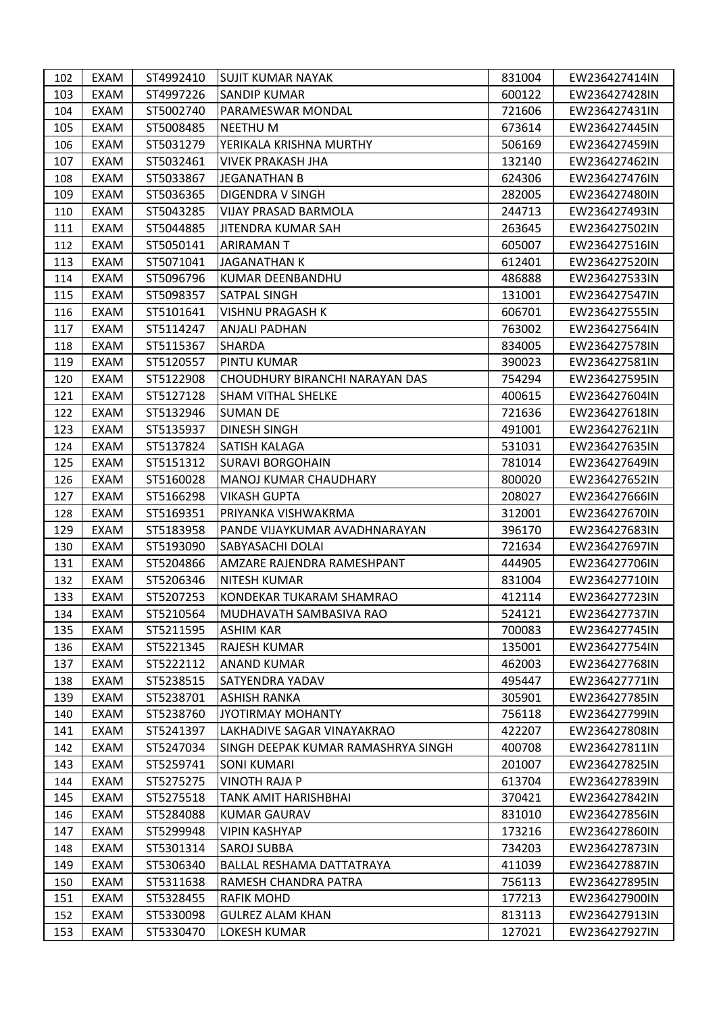| 102 | EXAM        | ST4992410 | <b>SUJIT KUMAR NAYAK</b>            | 831004 | EW236427414IN |
|-----|-------------|-----------|-------------------------------------|--------|---------------|
| 103 | EXAM        | ST4997226 | <b>SANDIP KUMAR</b>                 | 600122 | EW236427428IN |
| 104 | EXAM        | ST5002740 | PARAMESWAR MONDAL                   | 721606 | EW236427431IN |
| 105 | EXAM        | ST5008485 | <b>NEETHUM</b>                      | 673614 | EW236427445IN |
| 106 | EXAM        | ST5031279 | YERIKALA KRISHNA MURTHY             | 506169 | EW236427459IN |
| 107 | EXAM        | ST5032461 | <b>VIVEK PRAKASH JHA</b>            | 132140 | EW236427462IN |
| 108 | EXAM        | ST5033867 | <b>JEGANATHAN B</b>                 | 624306 | EW236427476IN |
| 109 | EXAM        | ST5036365 | DIGENDRA V SINGH                    | 282005 | EW236427480IN |
| 110 | <b>EXAM</b> | ST5043285 | <b>VIJAY PRASAD BARMOLA</b>         | 244713 | EW236427493IN |
| 111 | EXAM        | ST5044885 | JITENDRA KUMAR SAH                  | 263645 | EW236427502IN |
| 112 | EXAM        | ST5050141 | ARIRAMAN T                          | 605007 | EW236427516IN |
| 113 | EXAM        | ST5071041 | <b>JAGANATHAN K</b>                 | 612401 | EW236427520IN |
| 114 | EXAM        | ST5096796 | KUMAR DEENBANDHU                    | 486888 | EW236427533IN |
| 115 | EXAM        | ST5098357 | <b>SATPAL SINGH</b>                 | 131001 | EW236427547IN |
| 116 | EXAM        | ST5101641 | <b>VISHNU PRAGASH K</b>             | 606701 | EW236427555IN |
| 117 | <b>EXAM</b> | ST5114247 | <b>ANJALI PADHAN</b>                | 763002 | EW236427564IN |
| 118 | EXAM        | ST5115367 | <b>SHARDA</b>                       | 834005 | EW236427578IN |
| 119 | EXAM        | ST5120557 | PINTU KUMAR                         | 390023 | EW236427581IN |
| 120 | EXAM        | ST5122908 | CHOUDHURY BIRANCHI NARAYAN DAS      | 754294 | EW236427595IN |
| 121 | EXAM        | ST5127128 | <b>SHAM VITHAL SHELKE</b>           | 400615 | EW236427604IN |
| 122 | EXAM        | ST5132946 | <b>SUMAN DE</b>                     | 721636 | EW236427618IN |
| 123 | EXAM        | ST5135937 | <b>DINESH SINGH</b>                 | 491001 | EW236427621IN |
| 124 | EXAM        | ST5137824 | SATISH KALAGA                       | 531031 | EW236427635IN |
| 125 | EXAM        | ST5151312 | <b>SURAVI BORGOHAIN</b>             | 781014 | EW236427649IN |
| 126 | EXAM        | ST5160028 | MANOJ KUMAR CHAUDHARY               | 800020 | EW236427652IN |
| 127 | EXAM        | ST5166298 | <b>VIKASH GUPTA</b>                 | 208027 | EW236427666IN |
| 128 | EXAM        | ST5169351 | PRIYANKA VISHWAKRMA                 | 312001 | EW236427670IN |
| 129 | EXAM        | ST5183958 | PANDE VIJAYKUMAR AVADHNARAYAN       | 396170 | EW236427683IN |
| 130 | EXAM        | ST5193090 | SABYASACHI DOLAI                    | 721634 | EW236427697IN |
| 131 | EXAM        | ST5204866 | AMZARE RAJENDRA RAMESHPANT          | 444905 | EW236427706IN |
| 132 | EXAM        | ST5206346 | <b>NITESH KUMAR</b>                 | 831004 | EW236427710IN |
| 133 | EXAM        | ST5207253 | KONDEKAR TUKARAM SHAMRAO            | 412114 | EW236427723IN |
| 134 | EXAM        | ST5210564 | MUDHAVATH SAMBASIVA RAO             | 524121 | EW236427737IN |
| 135 | EXAM        | ST5211595 | <b>ASHIM KAR</b>                    | 700083 | EW236427745IN |
| 136 | EXAM        | ST5221345 | <b>RAJESH KUMAR</b>                 | 135001 | EW236427754IN |
| 137 | EXAM        | ST5222112 | <b>ANAND KUMAR</b>                  | 462003 | EW236427768IN |
| 138 | EXAM        | ST5238515 | <b>SATYENDRA YADAV</b>              | 495447 | EW236427771IN |
| 139 | EXAM        | ST5238701 | <b>ASHISH RANKA</b>                 | 305901 | EW236427785IN |
| 140 | EXAM        | ST5238760 | JYOTIRMAY MOHANTY                   | 756118 | EW236427799IN |
| 141 | EXAM        | ST5241397 | LAKHADIVE SAGAR VINAYAKRAO          | 422207 | EW236427808IN |
| 142 | EXAM        | ST5247034 | ISINGH DEEPAK KUMAR RAMASHRYA SINGH | 400708 | EW236427811IN |
| 143 | EXAM        | ST5259741 | <b>SONI KUMARI</b>                  | 201007 | EW236427825IN |
| 144 | EXAM        | ST5275275 | <b>VINOTH RAJA P</b>                | 613704 | EW236427839IN |
| 145 | EXAM        | ST5275518 | TANK AMIT HARISHBHAI                | 370421 | EW236427842IN |
| 146 | EXAM        | ST5284088 | <b>KUMAR GAURAV</b>                 | 831010 | EW236427856IN |
| 147 | EXAM        | ST5299948 | <b>VIPIN KASHYAP</b>                | 173216 | EW236427860IN |
| 148 | EXAM        | ST5301314 | <b>SAROJ SUBBA</b>                  | 734203 | EW236427873IN |
| 149 | EXAM        | ST5306340 | BALLAL RESHAMA DATTATRAYA           | 411039 | EW236427887IN |
| 150 | EXAM        | ST5311638 | RAMESH CHANDRA PATRA                | 756113 | EW236427895IN |
| 151 | EXAM        | ST5328455 | RAFIK MOHD                          | 177213 | EW236427900IN |
| 152 | EXAM        | ST5330098 | <b>GULREZ ALAM KHAN</b>             | 813113 | EW236427913IN |
| 153 | EXAM        | ST5330470 | <b>LOKESH KUMAR</b>                 | 127021 | EW236427927IN |
|     |             |           |                                     |        |               |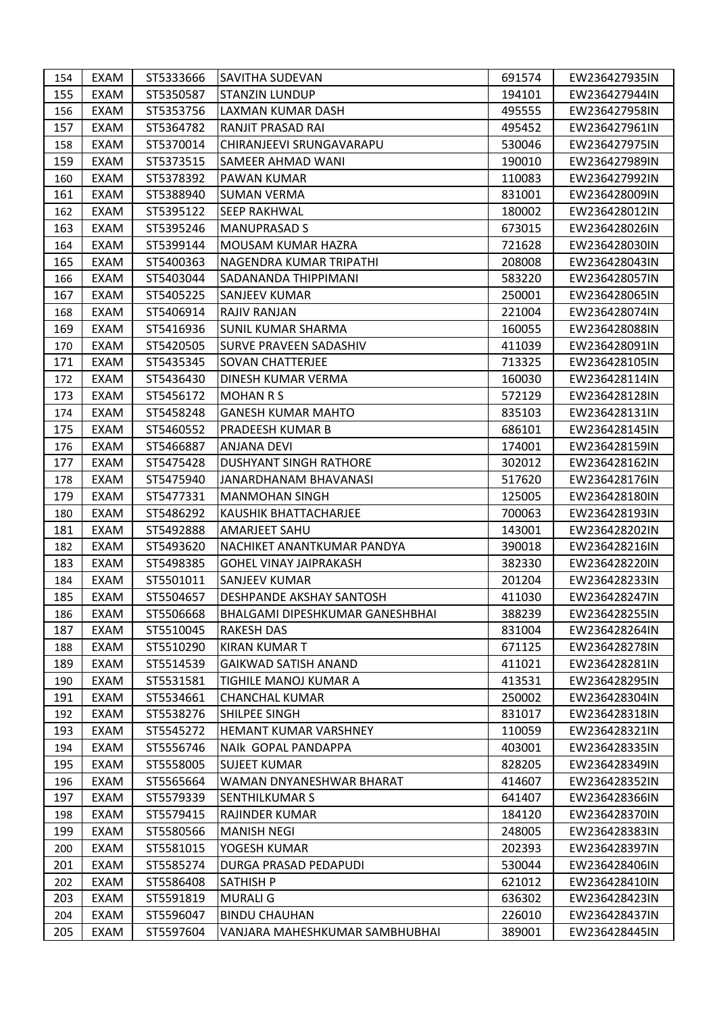| 155<br><b>EXAM</b><br>ST5350587<br><b>STANZIN LUNDUP</b><br>194101<br>EXAM<br>ST5353756<br>LAXMAN KUMAR DASH<br>495555<br>156<br>157<br>ST5364782<br>RANJIT PRASAD RAI<br>EXAM<br>495452<br>ST5370014<br>158<br>EXAM<br>CHIRANJEEVI SRUNGAVARAPU<br>530046<br>159<br><b>EXAM</b><br>ST5373515<br><b>SAMEER AHMAD WANI</b><br>190010<br>ST5378392<br>110083<br>EXAM<br>PAWAN KUMAR<br>160<br>831001<br>161<br>EXAM<br>ST5388940<br><b>SUMAN VERMA</b><br>EXAM<br>ST5395122<br><b>SEEP RAKHWAL</b><br>180002<br>162<br>163<br>EXAM<br>ST5395246<br><b>MANUPRASAD S</b><br>673015<br>ST5399144<br>721628<br>164<br>EXAM<br>MOUSAM KUMAR HAZRA | EW236427944IN<br>EW236427958IN<br>EW236427961IN<br>EW236427975IN<br>EW236427989IN<br>EW236427992IN<br>EW236428009IN<br>EW236428012IN<br>EW236428026IN<br>EW236428030IN<br>EW236428043IN<br>EW236428057IN<br>EW236428065IN |
|--------------------------------------------------------------------------------------------------------------------------------------------------------------------------------------------------------------------------------------------------------------------------------------------------------------------------------------------------------------------------------------------------------------------------------------------------------------------------------------------------------------------------------------------------------------------------------------------------------------------------------------------|---------------------------------------------------------------------------------------------------------------------------------------------------------------------------------------------------------------------------|
|                                                                                                                                                                                                                                                                                                                                                                                                                                                                                                                                                                                                                                            |                                                                                                                                                                                                                           |
|                                                                                                                                                                                                                                                                                                                                                                                                                                                                                                                                                                                                                                            |                                                                                                                                                                                                                           |
|                                                                                                                                                                                                                                                                                                                                                                                                                                                                                                                                                                                                                                            |                                                                                                                                                                                                                           |
|                                                                                                                                                                                                                                                                                                                                                                                                                                                                                                                                                                                                                                            |                                                                                                                                                                                                                           |
|                                                                                                                                                                                                                                                                                                                                                                                                                                                                                                                                                                                                                                            |                                                                                                                                                                                                                           |
|                                                                                                                                                                                                                                                                                                                                                                                                                                                                                                                                                                                                                                            |                                                                                                                                                                                                                           |
|                                                                                                                                                                                                                                                                                                                                                                                                                                                                                                                                                                                                                                            |                                                                                                                                                                                                                           |
|                                                                                                                                                                                                                                                                                                                                                                                                                                                                                                                                                                                                                                            |                                                                                                                                                                                                                           |
|                                                                                                                                                                                                                                                                                                                                                                                                                                                                                                                                                                                                                                            |                                                                                                                                                                                                                           |
|                                                                                                                                                                                                                                                                                                                                                                                                                                                                                                                                                                                                                                            |                                                                                                                                                                                                                           |
| EXAM<br>ST5400363<br>NAGENDRA KUMAR TRIPATHI<br>208008<br>165                                                                                                                                                                                                                                                                                                                                                                                                                                                                                                                                                                              |                                                                                                                                                                                                                           |
| <b>EXAM</b><br>ST5403044<br>583220<br>166<br>SADANANDA THIPPIMANI                                                                                                                                                                                                                                                                                                                                                                                                                                                                                                                                                                          |                                                                                                                                                                                                                           |
| 167<br>250001<br>EXAM<br>ST5405225<br>SANJEEV KUMAR                                                                                                                                                                                                                                                                                                                                                                                                                                                                                                                                                                                        |                                                                                                                                                                                                                           |
| EXAM<br>ST5406914<br>221004<br>168<br>RAJIV RANJAN<br>EW236428074IN                                                                                                                                                                                                                                                                                                                                                                                                                                                                                                                                                                        |                                                                                                                                                                                                                           |
| 169<br><b>SUNIL KUMAR SHARMA</b><br>160055<br><b>EXAM</b><br>ST5416936                                                                                                                                                                                                                                                                                                                                                                                                                                                                                                                                                                     | EW236428088IN                                                                                                                                                                                                             |
| EXAM<br>ST5420505<br>SURVE PRAVEEN SADASHIV<br>411039<br>170                                                                                                                                                                                                                                                                                                                                                                                                                                                                                                                                                                               | EW236428091IN                                                                                                                                                                                                             |
| 171<br><b>EXAM</b><br>ST5435345<br><b>SOVAN CHATTERJEE</b><br>713325                                                                                                                                                                                                                                                                                                                                                                                                                                                                                                                                                                       | EW236428105IN                                                                                                                                                                                                             |
| <b>EXAM</b><br>ST5436430<br>160030<br>172<br>DINESH KUMAR VERMA                                                                                                                                                                                                                                                                                                                                                                                                                                                                                                                                                                            | EW236428114IN                                                                                                                                                                                                             |
| 173<br><b>EXAM</b><br>ST5456172<br><b>MOHAN R S</b><br>572129                                                                                                                                                                                                                                                                                                                                                                                                                                                                                                                                                                              | EW236428128IN                                                                                                                                                                                                             |
| <b>EXAM</b><br><b>GANESH KUMAR MAHTO</b><br>835103<br>174<br>ST5458248                                                                                                                                                                                                                                                                                                                                                                                                                                                                                                                                                                     | EW236428131IN                                                                                                                                                                                                             |
| ST5460552<br>686101<br>175<br>EXAM<br>PRADEESH KUMAR B                                                                                                                                                                                                                                                                                                                                                                                                                                                                                                                                                                                     | EW236428145IN                                                                                                                                                                                                             |
| ST5466887<br>174001<br>176<br>EXAM<br>ANJANA DEVI                                                                                                                                                                                                                                                                                                                                                                                                                                                                                                                                                                                          | EW236428159IN                                                                                                                                                                                                             |
| 177<br><b>EXAM</b><br>ST5475428<br>DUSHYANT SINGH RATHORE<br>302012                                                                                                                                                                                                                                                                                                                                                                                                                                                                                                                                                                        | EW236428162IN                                                                                                                                                                                                             |
| EXAM<br>ST5475940<br>517620<br>JANARDHANAM BHAVANASI<br>178                                                                                                                                                                                                                                                                                                                                                                                                                                                                                                                                                                                | EW236428176IN                                                                                                                                                                                                             |
| 179<br><b>EXAM</b><br>ST5477331<br><b>MANMOHAN SINGH</b><br>125005                                                                                                                                                                                                                                                                                                                                                                                                                                                                                                                                                                         | EW236428180IN                                                                                                                                                                                                             |
| ST5486292<br>700063<br>EXAM<br>KAUSHIK BHATTACHARJEE<br>180                                                                                                                                                                                                                                                                                                                                                                                                                                                                                                                                                                                | EW236428193IN                                                                                                                                                                                                             |
| 181<br>EXAM<br>ST5492888<br>AMARJEET SAHU<br>143001                                                                                                                                                                                                                                                                                                                                                                                                                                                                                                                                                                                        | EW236428202IN                                                                                                                                                                                                             |
| ST5493620<br>EXAM<br>NACHIKET ANANTKUMAR PANDYA<br>390018<br>182                                                                                                                                                                                                                                                                                                                                                                                                                                                                                                                                                                           | EW236428216IN                                                                                                                                                                                                             |
| ST5498385<br>382330<br>183<br>EXAM<br><b>GOHEL VINAY JAIPRAKASH</b>                                                                                                                                                                                                                                                                                                                                                                                                                                                                                                                                                                        | EW236428220IN                                                                                                                                                                                                             |
| <b>EXAM</b><br>ST5501011<br><b>SANJEEV KUMAR</b><br>201204<br>184                                                                                                                                                                                                                                                                                                                                                                                                                                                                                                                                                                          | EW236428233IN                                                                                                                                                                                                             |
| 185<br>EXAM<br>ST5504657<br>DESHPANDE AKSHAY SANTOSH<br>411030                                                                                                                                                                                                                                                                                                                                                                                                                                                                                                                                                                             | EW236428247IN                                                                                                                                                                                                             |
| 186<br>EXAM<br>ST5506668<br>BHALGAMI DIPESHKUMAR GANESHBHAI<br>388239                                                                                                                                                                                                                                                                                                                                                                                                                                                                                                                                                                      | EW236428255IN                                                                                                                                                                                                             |
| ST5510045<br>187<br><b>EXAM</b><br><b>RAKESH DAS</b><br>831004                                                                                                                                                                                                                                                                                                                                                                                                                                                                                                                                                                             | EW236428264IN                                                                                                                                                                                                             |
| 671125<br>EXAM<br>ST5510290<br>KIRAN KUMAR T<br>188                                                                                                                                                                                                                                                                                                                                                                                                                                                                                                                                                                                        | EW236428278IN                                                                                                                                                                                                             |
| 411021<br>189<br>EXAM<br>ST5514539<br><b>GAIKWAD SATISH ANAND</b>                                                                                                                                                                                                                                                                                                                                                                                                                                                                                                                                                                          | EW236428281IN                                                                                                                                                                                                             |
| EXAM<br>ST5531581<br>413531<br>TIGHILE MANOJ KUMAR A<br>190                                                                                                                                                                                                                                                                                                                                                                                                                                                                                                                                                                                | EW236428295IN                                                                                                                                                                                                             |
| 191<br>EXAM<br>ST5534661<br><b>CHANCHAL KUMAR</b><br>250002                                                                                                                                                                                                                                                                                                                                                                                                                                                                                                                                                                                | EW236428304IN                                                                                                                                                                                                             |
| ST5538276<br>SHILPEE SINGH<br>831017<br>EXAM<br>192                                                                                                                                                                                                                                                                                                                                                                                                                                                                                                                                                                                        | EW236428318IN                                                                                                                                                                                                             |
| EXAM<br>ST5545272<br><b>HEMANT KUMAR VARSHNEY</b><br>110059<br>193                                                                                                                                                                                                                                                                                                                                                                                                                                                                                                                                                                         | EW236428321IN                                                                                                                                                                                                             |
| EXAM<br>ST5556746<br>403001<br>194<br>NAIK GOPAL PANDAPPA                                                                                                                                                                                                                                                                                                                                                                                                                                                                                                                                                                                  | EW236428335IN                                                                                                                                                                                                             |
| 828205<br>195<br>EXAM<br>ST5558005<br>SUJEET KUMAR                                                                                                                                                                                                                                                                                                                                                                                                                                                                                                                                                                                         | EW236428349IN                                                                                                                                                                                                             |
| EXAM<br>ST5565664<br>WAMAN DNYANESHWAR BHARAT<br>414607<br>196                                                                                                                                                                                                                                                                                                                                                                                                                                                                                                                                                                             | EW236428352IN                                                                                                                                                                                                             |
| 197<br>EXAM<br>ST5579339<br>641407<br>SENTHILKUMAR S                                                                                                                                                                                                                                                                                                                                                                                                                                                                                                                                                                                       | EW236428366IN                                                                                                                                                                                                             |
| ST5579415<br>184120<br>EXAM<br>RAJINDER KUMAR<br>198                                                                                                                                                                                                                                                                                                                                                                                                                                                                                                                                                                                       | EW236428370IN                                                                                                                                                                                                             |
| EXAM<br>ST5580566<br><b>MANISH NEGI</b><br>248005<br>199                                                                                                                                                                                                                                                                                                                                                                                                                                                                                                                                                                                   | EW236428383IN                                                                                                                                                                                                             |
| <b>EXAM</b><br>ST5581015<br>YOGESH KUMAR<br>202393<br>200                                                                                                                                                                                                                                                                                                                                                                                                                                                                                                                                                                                  | EW236428397IN                                                                                                                                                                                                             |
| <b>EXAM</b><br>ST5585274<br>530044<br>201<br>DURGA PRASAD PEDAPUDI                                                                                                                                                                                                                                                                                                                                                                                                                                                                                                                                                                         | EW236428406IN                                                                                                                                                                                                             |
| EXAM<br>ST5586408<br><b>SATHISH P</b><br>621012<br>202                                                                                                                                                                                                                                                                                                                                                                                                                                                                                                                                                                                     | EW236428410IN                                                                                                                                                                                                             |
| 636302<br>203<br>EXAM<br>ST5591819<br>MURALI G                                                                                                                                                                                                                                                                                                                                                                                                                                                                                                                                                                                             | EW236428423IN                                                                                                                                                                                                             |
| ST5596047<br>226010<br>204<br>EXAM<br><b>BINDU CHAUHAN</b>                                                                                                                                                                                                                                                                                                                                                                                                                                                                                                                                                                                 | EW236428437IN                                                                                                                                                                                                             |
| 205<br>ST5597604<br>389001<br>EXAM<br>VANJARA MAHESHKUMAR SAMBHUBHAI<br>EW236428445IN                                                                                                                                                                                                                                                                                                                                                                                                                                                                                                                                                      |                                                                                                                                                                                                                           |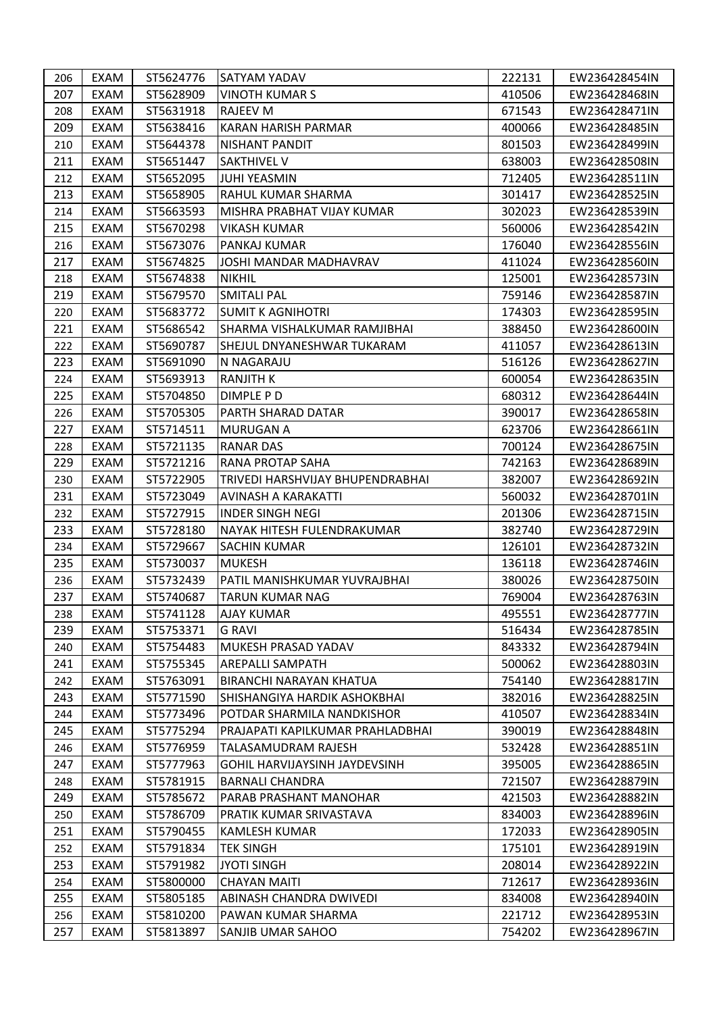| 206 | EXAM        | ST5624776 | <b>SATYAM YADAV</b>              | 222131 | EW236428454IN |
|-----|-------------|-----------|----------------------------------|--------|---------------|
| 207 | <b>EXAM</b> | ST5628909 | VINOTH KUMAR S                   | 410506 | EW236428468IN |
| 208 | EXAM        | ST5631918 | RAJEEV M                         | 671543 | EW236428471IN |
| 209 | EXAM        | ST5638416 | KARAN HARISH PARMAR              | 400066 | EW236428485IN |
| 210 | EXAM        | ST5644378 | NISHANT PANDIT                   | 801503 | EW236428499IN |
| 211 | EXAM        | ST5651447 | <b>SAKTHIVEL V</b>               | 638003 | EW236428508IN |
| 212 | <b>EXAM</b> | ST5652095 | <b>JUHI YEASMIN</b>              | 712405 | EW236428511IN |
| 213 | <b>EXAM</b> | ST5658905 | RAHUL KUMAR SHARMA               | 301417 | EW236428525IN |
| 214 | <b>EXAM</b> | ST5663593 | MISHRA PRABHAT VIJAY KUMAR       | 302023 | EW236428539IN |
| 215 | EXAM        | ST5670298 | VIKASH KUMAR                     | 560006 | EW236428542IN |
| 216 | EXAM        | ST5673076 | PANKAJ KUMAR                     | 176040 | EW236428556IN |
| 217 | EXAM        | ST5674825 | JOSHI MANDAR MADHAVRAV           | 411024 | EW236428560IN |
| 218 | <b>EXAM</b> | ST5674838 | <b>NIKHIL</b>                    | 125001 | EW236428573IN |
| 219 | EXAM        | ST5679570 | SMITALI PAL                      | 759146 | EW236428587IN |
| 220 | EXAM        | ST5683772 | <b>SUMIT K AGNIHOTRI</b>         | 174303 | EW236428595IN |
| 221 | <b>EXAM</b> | ST5686542 | SHARMA VISHALKUMAR RAMJIBHAI     | 388450 | EW236428600IN |
| 222 | EXAM        | ST5690787 | SHEJUL DNYANESHWAR TUKARAM       | 411057 | EW236428613IN |
| 223 | <b>EXAM</b> | ST5691090 | N NAGARAJU                       | 516126 | EW236428627IN |
| 224 | <b>EXAM</b> | ST5693913 | RANJITH K                        | 600054 | EW236428635IN |
| 225 | <b>EXAM</b> | ST5704850 | DIMPLE PD                        | 680312 | EW236428644IN |
| 226 | <b>EXAM</b> | ST5705305 | PARTH SHARAD DATAR               | 390017 | EW236428658IN |
| 227 | <b>EXAM</b> | ST5714511 | MURUGAN A                        | 623706 | EW236428661IN |
| 228 | EXAM        | ST5721135 | RANAR DAS                        | 700124 | EW236428675IN |
| 229 | <b>EXAM</b> | ST5721216 | RANA PROTAP SAHA                 | 742163 | EW236428689IN |
| 230 | <b>EXAM</b> | ST5722905 | TRIVEDI HARSHVIJAY BHUPENDRABHAI | 382007 | EW236428692IN |
| 231 | <b>EXAM</b> | ST5723049 | AVINASH A KARAKATTI              | 560032 | EW236428701IN |
| 232 | <b>EXAM</b> | ST5727915 | <b>INDER SINGH NEGI</b>          | 201306 | EW236428715IN |
| 233 | <b>EXAM</b> | ST5728180 | NAYAK HITESH FULENDRAKUMAR       | 382740 | EW236428729IN |
| 234 | EXAM        | ST5729667 | SACHIN KUMAR                     | 126101 | EW236428732IN |
| 235 | EXAM        | ST5730037 | <b>MUKESH</b>                    | 136118 | EW236428746IN |
| 236 | EXAM        | ST5732439 | PATIL MANISHKUMAR YUVRAJBHAI     | 380026 | EW236428750IN |
| 237 | EXAM        | ST5740687 | TARUN KUMAR NAG                  | 769004 | EW236428763IN |
| 238 | EXAM        | ST5741128 | <b>AJAY KUMAR</b>                | 495551 | EW236428777IN |
| 239 | <b>EXAM</b> | ST5753371 | <b>G RAVI</b>                    | 516434 | EW236428785IN |
| 240 | EXAM        | ST5754483 | MUKESH PRASAD YADAV              | 843332 | EW236428794IN |
| 241 | EXAM        | ST5755345 | <b>AREPALLI SAMPATH</b>          | 500062 | EW236428803IN |
| 242 | EXAM        | ST5763091 | <b>BIRANCHI NARAYAN KHATUA</b>   | 754140 | EW236428817IN |
| 243 | EXAM        | ST5771590 | ISHISHANGIYA HARDIK ASHOKBHAI    | 382016 | EW236428825IN |
| 244 | EXAM        | ST5773496 | POTDAR SHARMILA NANDKISHOR       | 410507 | EW236428834IN |
| 245 | EXAM        | ST5775294 | PRAJAPATI KAPILKUMAR PRAHLADBHAI | 390019 | EW236428848IN |
| 246 | EXAM        | ST5776959 | TALASAMUDRAM RAJESH              | 532428 | EW236428851IN |
| 247 | EXAM        | ST5777963 | GOHIL HARVIJAYSINH JAYDEVSINH    | 395005 | EW236428865IN |
| 248 | EXAM        | ST5781915 | <b>BARNALI CHANDRA</b>           | 721507 | EW236428879IN |
| 249 | EXAM        | ST5785672 | PARAB PRASHANT MANOHAR           | 421503 | EW236428882IN |
| 250 | EXAM        | ST5786709 | PRATIK KUMAR SRIVASTAVA          | 834003 | EW236428896IN |
| 251 | EXAM        | ST5790455 | KAMLESH KUMAR                    | 172033 | EW236428905IN |
| 252 | EXAM        | ST5791834 | <b>TEK SINGH</b>                 | 175101 | EW236428919IN |
| 253 | EXAM        | ST5791982 | <b>JYOTI SINGH</b>               | 208014 | EW236428922IN |
| 254 | EXAM        | ST5800000 | <b>CHAYAN MAITI</b>              | 712617 | EW236428936IN |
| 255 | EXAM        | ST5805185 | ABINASH CHANDRA DWIVEDI          | 834008 | EW236428940IN |
| 256 | EXAM        | ST5810200 | PAWAN KUMAR SHARMA               | 221712 | EW236428953IN |
| 257 | EXAM        | ST5813897 | <b>SANJIB UMAR SAHOO</b>         | 754202 | EW236428967IN |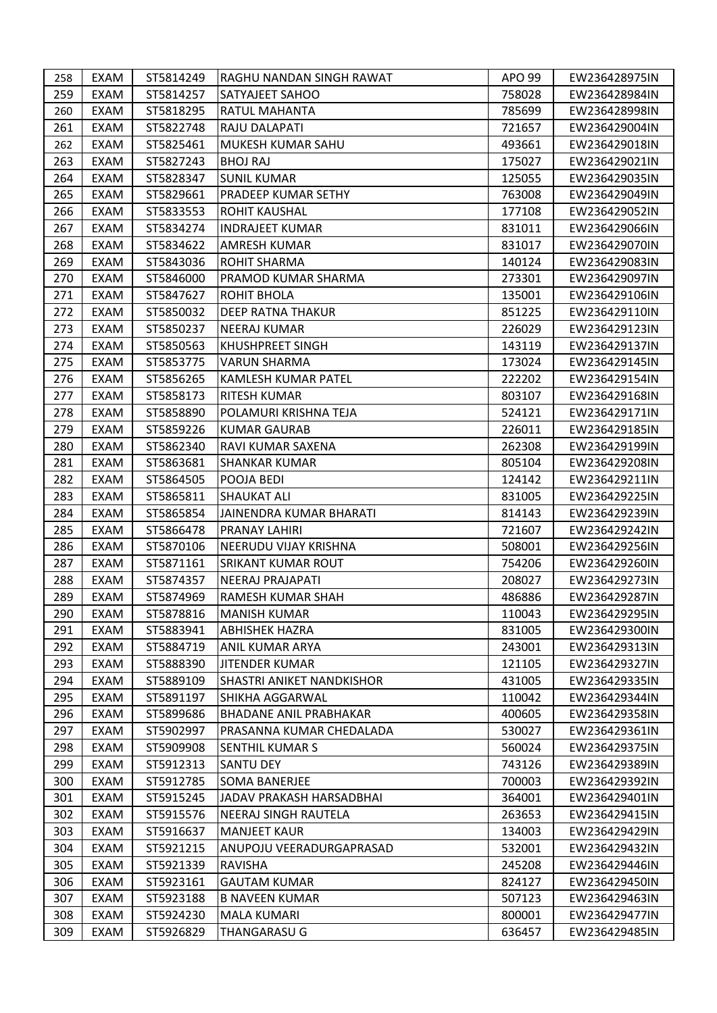| 258 | EXAM | ST5814249 | RAGHU NANDAN SINGH RAWAT         | APO 99 | EW236428975IN |
|-----|------|-----------|----------------------------------|--------|---------------|
| 259 | EXAM | ST5814257 | <b>SATYAJEET SAHOO</b>           | 758028 | EW236428984IN |
| 260 | EXAM | ST5818295 | RATUL MAHANTA                    | 785699 | EW236428998IN |
| 261 | EXAM | ST5822748 | RAJU DALAPATI                    | 721657 | EW236429004IN |
| 262 | EXAM | ST5825461 | MUKESH KUMAR SAHU                | 493661 | EW236429018IN |
| 263 | EXAM | ST5827243 | <b>BHOJ RAJ</b>                  | 175027 | EW236429021IN |
| 264 | EXAM | ST5828347 | <b>SUNIL KUMAR</b>               | 125055 | EW236429035IN |
| 265 | EXAM | ST5829661 | PRADEEP KUMAR SETHY              | 763008 | EW236429049IN |
| 266 | EXAM | ST5833553 | <b>ROHIT KAUSHAL</b>             | 177108 | EW236429052IN |
| 267 | EXAM | ST5834274 | <b>INDRAJEET KUMAR</b>           | 831011 | EW236429066IN |
| 268 | EXAM | ST5834622 | AMRESH KUMAR                     | 831017 | EW236429070IN |
| 269 | EXAM | ST5843036 | <b>ROHIT SHARMA</b>              | 140124 | EW236429083IN |
| 270 | EXAM | ST5846000 | PRAMOD KUMAR SHARMA              | 273301 | EW236429097IN |
| 271 | EXAM | ST5847627 | ROHIT BHOLA                      | 135001 | EW236429106IN |
| 272 | EXAM | ST5850032 | <b>DEEP RATNA THAKUR</b>         | 851225 | EW236429110IN |
| 273 | EXAM | ST5850237 | <b>NEERAJ KUMAR</b>              | 226029 | EW236429123IN |
| 274 | EXAM | ST5850563 | KHUSHPREET SINGH                 | 143119 | EW236429137IN |
| 275 | EXAM | ST5853775 | <b>VARUN SHARMA</b>              | 173024 | EW236429145IN |
| 276 | EXAM | ST5856265 | KAMLESH KUMAR PATEL              | 222202 | EW236429154IN |
| 277 | EXAM | ST5858173 | RITESH KUMAR                     | 803107 | EW236429168IN |
| 278 | EXAM | ST5858890 | POLAMURI KRISHNA TEJA            | 524121 | EW236429171IN |
| 279 | EXAM | ST5859226 | <b>KUMAR GAURAB</b>              | 226011 | EW236429185IN |
| 280 | EXAM | ST5862340 | RAVI KUMAR SAXENA                | 262308 | EW236429199IN |
| 281 | EXAM | ST5863681 | <b>SHANKAR KUMAR</b>             | 805104 | EW236429208IN |
| 282 | EXAM | ST5864505 | POOJA BEDI                       | 124142 | EW236429211IN |
| 283 | EXAM | ST5865811 | <b>SHAUKAT ALI</b>               | 831005 | EW236429225IN |
| 284 | EXAM | ST5865854 | JAINENDRA KUMAR BHARATI          | 814143 | EW236429239IN |
| 285 | EXAM | ST5866478 | PRANAY LAHIRI                    | 721607 | EW236429242IN |
| 286 | EXAM | ST5870106 | NEERUDU VIJAY KRISHNA            | 508001 | EW236429256IN |
| 287 | EXAM | ST5871161 | <b>SRIKANT KUMAR ROUT</b>        | 754206 | EW236429260IN |
| 288 | EXAM | ST5874357 | <b>NEERAJ PRAJAPATI</b>          | 208027 | EW236429273IN |
| 289 | EXAM | ST5874969 | RAMESH KUMAR SHAH                | 486886 | EW236429287IN |
| 290 | EXAM | ST5878816 | MANISH KUMAR                     | 110043 | EW236429295IN |
| 291 | EXAM | ST5883941 | ABHISHEK HAZRA                   | 831005 | EW236429300IN |
| 292 | EXAM | ST5884719 | ANIL KUMAR ARYA                  | 243001 | EW236429313IN |
| 293 | EXAM | ST5888390 | JITENDER KUMAR                   | 121105 | EW236429327IN |
| 294 | EXAM | ST5889109 | <b>SHASTRI ANIKET NANDKISHOR</b> | 431005 | EW236429335IN |
| 295 | EXAM | ST5891197 | SHIKHA AGGARWAL                  | 110042 | EW236429344IN |
| 296 | EXAM | ST5899686 | <b>BHADANE ANIL PRABHAKAR</b>    | 400605 | EW236429358IN |
| 297 | EXAM | ST5902997 | PRASANNA KUMAR CHEDALADA         | 530027 | EW236429361IN |
| 298 | EXAM | ST5909908 | <b>SENTHIL KUMAR S</b>           | 560024 | EW236429375IN |
| 299 | EXAM | ST5912313 | <b>SANTU DEY</b>                 | 743126 | EW236429389IN |
| 300 | EXAM | ST5912785 | <b>SOMA BANERJEE</b>             | 700003 | EW236429392IN |
| 301 | EXAM | ST5915245 | JADAV PRAKASH HARSADBHAI         | 364001 | EW236429401IN |
| 302 | EXAM | ST5915576 | NEERAJ SINGH RAUTELA             | 263653 | EW236429415IN |
| 303 | EXAM | ST5916637 | <b>MANJEET KAUR</b>              | 134003 | EW236429429IN |
| 304 | EXAM | ST5921215 | ANUPOJU VEERADURGAPRASAD         | 532001 | EW236429432IN |
| 305 | EXAM | ST5921339 | RAVISHA                          | 245208 | EW236429446IN |
| 306 | EXAM | ST5923161 | <b>GAUTAM KUMAR</b>              | 824127 | EW236429450IN |
| 307 | EXAM | ST5923188 | <b>B NAVEEN KUMAR</b>            | 507123 | EW236429463IN |
| 308 | EXAM | ST5924230 | <b>MALA KUMARI</b>               | 800001 | EW236429477IN |
| 309 | EXAM | ST5926829 | THANGARASU G                     | 636457 | EW236429485IN |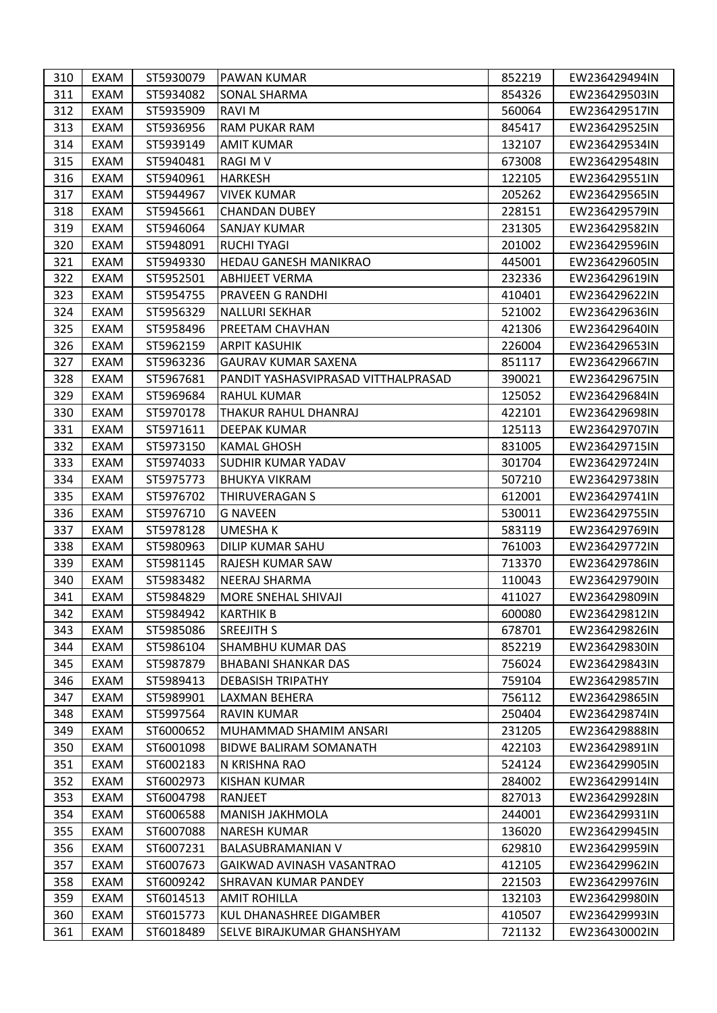| 310 | EXAM        | ST5930079 | <b>PAWAN KUMAR</b>                  | 852219 | EW236429494IN |
|-----|-------------|-----------|-------------------------------------|--------|---------------|
| 311 | EXAM        | ST5934082 | <b>SONAL SHARMA</b>                 | 854326 | EW236429503IN |
| 312 | EXAM        | ST5935909 | <b>RAVIM</b>                        | 560064 | EW236429517IN |
| 313 | EXAM        | ST5936956 | RAM PUKAR RAM                       | 845417 | EW236429525IN |
| 314 | EXAM        | ST5939149 | AMIT KUMAR                          | 132107 | EW236429534IN |
| 315 | EXAM        | ST5940481 | RAGI M V                            | 673008 | EW236429548IN |
| 316 | EXAM        | ST5940961 | <b>HARKESH</b>                      | 122105 | EW236429551IN |
| 317 | EXAM        | ST5944967 | <b>VIVEK KUMAR</b>                  | 205262 | EW236429565IN |
| 318 | <b>EXAM</b> | ST5945661 | <b>CHANDAN DUBEY</b>                | 228151 | EW236429579IN |
| 319 | EXAM        | ST5946064 | <b>SANJAY KUMAR</b>                 | 231305 | EW236429582IN |
| 320 | EXAM        | ST5948091 | <b>RUCHI TYAGI</b>                  | 201002 | EW236429596IN |
| 321 | EXAM        | ST5949330 | HEDAU GANESH MANIKRAO               | 445001 | EW236429605IN |
| 322 | EXAM        | ST5952501 | <b>ABHIJEET VERMA</b>               | 232336 | EW236429619IN |
| 323 | EXAM        | ST5954755 | PRAVEEN G RANDHI                    | 410401 | EW236429622IN |
| 324 | EXAM        | ST5956329 | <b>NALLURI SEKHAR</b>               | 521002 | EW236429636IN |
| 325 | EXAM        | ST5958496 | PREETAM CHAVHAN                     | 421306 | EW236429640IN |
| 326 | EXAM        | ST5962159 | ARPIT KASUHIK                       | 226004 | EW236429653IN |
| 327 | EXAM        | ST5963236 | <b>GAURAV KUMAR SAXENA</b>          | 851117 | EW236429667IN |
| 328 | EXAM        | ST5967681 | PANDIT YASHASVIPRASAD VITTHALPRASAD | 390021 | EW236429675IN |
| 329 | EXAM        | ST5969684 | RAHUL KUMAR                         | 125052 | EW236429684IN |
| 330 | EXAM        | ST5970178 | THAKUR RAHUL DHANRAJ                | 422101 | EW236429698IN |
| 331 | EXAM        | ST5971611 | DEEPAK KUMAR                        | 125113 | EW236429707IN |
| 332 | EXAM        | ST5973150 | <b>KAMAL GHOSH</b>                  | 831005 | EW236429715IN |
| 333 | EXAM        | ST5974033 | <b>SUDHIR KUMAR YADAV</b>           | 301704 | EW236429724IN |
| 334 | EXAM        | ST5975773 | <b>BHUKYA VIKRAM</b>                | 507210 | EW236429738IN |
| 335 | EXAM        | ST5976702 | <b>THIRUVERAGAN S</b>               | 612001 | EW236429741IN |
| 336 | EXAM        | ST5976710 | <b>G NAVEEN</b>                     | 530011 | EW236429755IN |
| 337 | EXAM        | ST5978128 | UMESHA K                            | 583119 | EW236429769IN |
| 338 | EXAM        | ST5980963 | DILIP KUMAR SAHU                    | 761003 | EW236429772IN |
| 339 | EXAM        | ST5981145 | RAJESH KUMAR SAW                    | 713370 | EW236429786IN |
| 340 | EXAM        | ST5983482 | <b>NEERAJ SHARMA</b>                | 110043 | EW236429790IN |
| 341 | EXAM        | ST5984829 | <b>MORE SNEHAL SHIVAJI</b>          | 411027 | EW236429809IN |
| 342 | EXAM        | ST5984942 | <b>KARTHIK B</b>                    | 600080 | EW236429812IN |
| 343 | EXAM        | ST5985086 | <b>SREEJITH S</b>                   | 678701 | EW236429826IN |
| 344 | EXAM        | ST5986104 | SHAMBHU KUMAR DAS                   | 852219 | EW236429830IN |
| 345 | EXAM        | ST5987879 | <b>BHABANI SHANKAR DAS</b>          | 756024 | EW236429843IN |
| 346 | EXAM        | ST5989413 | <b>DEBASISH TRIPATHY</b>            | 759104 | EW236429857IN |
| 347 | EXAM        | ST5989901 | LAXMAN BEHERA                       | 756112 | EW236429865IN |
| 348 | EXAM        | ST5997564 | RAVIN KUMAR                         | 250404 | EW236429874IN |
| 349 | EXAM        | ST6000652 | MUHAMMAD SHAMIM ANSARI              | 231205 | EW236429888IN |
| 350 | EXAM        | ST6001098 | BIDWE BALIRAM SOMANATH              | 422103 | EW236429891IN |
| 351 | EXAM        | ST6002183 | N KRISHNA RAO                       | 524124 | EW236429905IN |
| 352 | EXAM        | ST6002973 | <b>KISHAN KUMAR</b>                 | 284002 | EW236429914IN |
| 353 | EXAM        | ST6004798 | RANJEET                             | 827013 | EW236429928IN |
| 354 | EXAM        | ST6006588 | <b>MANISH JAKHMOLA</b>              | 244001 | EW236429931IN |
| 355 | EXAM        | ST6007088 | <b>NARESH KUMAR</b>                 | 136020 | EW236429945IN |
| 356 | EXAM        | ST6007231 | <b>BALASUBRAMANIAN V</b>            | 629810 | EW236429959IN |
| 357 | EXAM        | ST6007673 | GAIKWAD AVINASH VASANTRAO           | 412105 | EW236429962IN |
| 358 | EXAM        | ST6009242 | ISHRAVAN KUMAR PANDEY               | 221503 | EW236429976IN |
| 359 | EXAM        | ST6014513 | AMIT ROHILLA                        | 132103 | EW236429980IN |
| 360 | EXAM        | ST6015773 | KUL DHANASHREE DIGAMBER             | 410507 | EW236429993IN |
| 361 | EXAM        | ST6018489 | SELVE BIRAJKUMAR GHANSHYAM          | 721132 | EW236430002IN |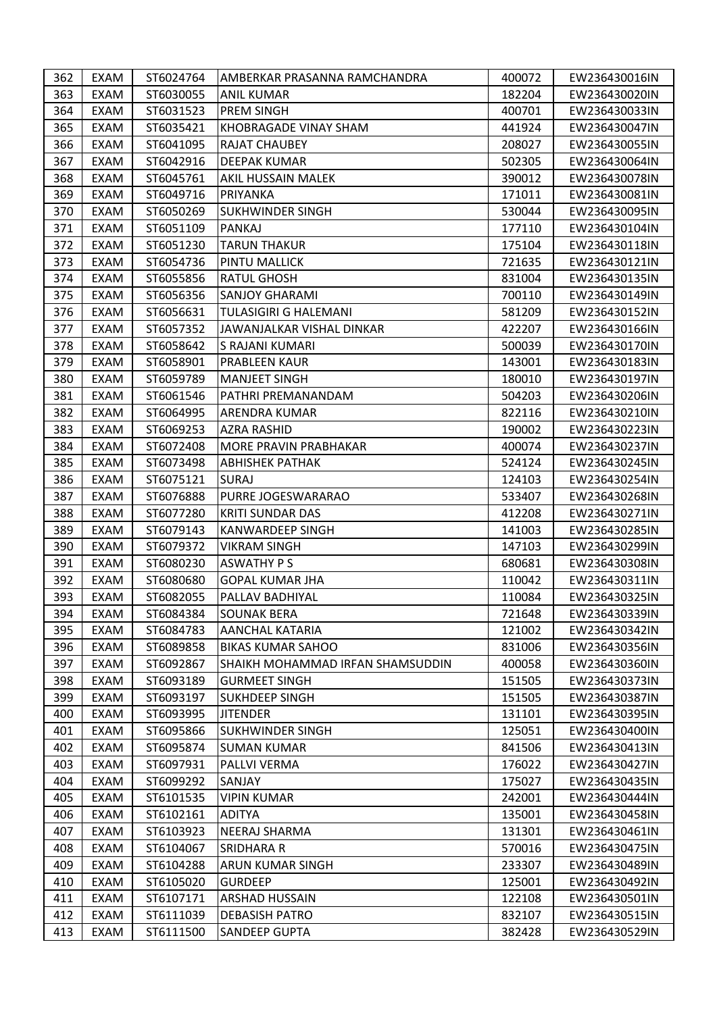| 363<br>EXAM<br>ST6030055<br>182204<br><b>ANIL KUMAR</b><br>EW236430020IN<br>364<br>EXAM<br>ST6031523<br><b>PREM SINGH</b><br>400701<br>EW236430033IN<br>365<br>EXAM<br>ST6035421<br>441924<br>KHOBRAGADE VINAY SHAM<br>EW236430047IN<br>366<br>ST6041095<br>EXAM<br>RAJAT CHAUBEY<br>208027<br>EW236430055IN<br>367<br>EXAM<br>ST6042916<br><b>DEEPAK KUMAR</b><br>502305<br>EW236430064IN<br>368<br>EXAM<br>ST6045761<br>AKIL HUSSAIN MALEK<br>390012<br>EW236430078IN<br>369<br>EXAM<br>171011<br>ST6049716<br>PRIYANKA<br>EW236430081IN<br>370<br><b>EXAM</b><br><b>SUKHWINDER SINGH</b><br>530044<br>ST6050269<br>EW236430095IN<br>371<br>ST6051109<br>EXAM<br>PANKAJ<br>177110<br>EW236430104IN<br>372<br>ST6051230<br>EXAM<br>TARUN THAKUR<br>175104<br>EW236430118IN<br>373<br>EXAM<br>ST6054736<br>PINTU MALLICK<br>721635<br>EW236430121IN<br>374<br>EXAM<br>ST6055856<br><b>RATUL GHOSH</b><br>831004<br>EW236430135IN<br>375<br>EXAM<br>ST6056356<br>SANJOY GHARAMI<br>700110<br>EW236430149IN<br>376<br>EXAM<br>ST6056631<br>TULASIGIRI G HALEMANI<br>581209<br>EW236430152IN<br>377<br>EXAM<br>ST6057352<br>JAWANJALKAR VISHAL DINKAR<br>422207<br>EW236430166IN<br>378<br>EXAM<br>ST6058642<br>S RAJANI KUMARI<br>500039<br>EW236430170IN<br>379<br>EXAM<br>ST6058901<br>PRABLEEN KAUR<br>143001<br>EW236430183IN<br>380<br>EXAM<br>ST6059789<br>180010<br><b>MANJEET SINGH</b><br>EW236430197IN<br>381<br>EXAM<br>ST6061546<br>PATHRI PREMANANDAM<br>504203<br>EW236430206IN<br>382<br>EXAM<br>ST6064995<br>822116<br>ARENDRA KUMAR<br>EW236430210IN<br>383<br>EXAM<br>ST6069253<br><b>AZRA RASHID</b><br>190002<br>EW236430223IN<br>384<br>EXAM<br>ST6072408<br>MORE PRAVIN PRABHAKAR<br>400074<br>EW236430237IN<br>385<br>EXAM<br>ST6073498<br><b>ABHISHEK PATHAK</b><br>524124<br>EW236430245IN<br>386<br>EXAM<br>ST6075121<br><b>SURAJ</b><br>124103<br>EW236430254IN<br>387<br>EXAM<br>ST6076888<br>533407<br>EW236430268IN<br>PURRE JOGESWARARAO<br>388<br>EXAM<br>ST6077280<br><b>KRITI SUNDAR DAS</b><br>412208<br>EW236430271IN<br>389<br>EXAM<br>KANWARDEEP SINGH<br>ST6079143<br>141003<br>EW236430285IN<br>390<br>EXAM<br>ST6079372<br><b>VIKRAM SINGH</b><br>147103<br>EW236430299IN<br>391<br>ST6080230<br>EXAM<br>ASWATHY P S<br>680681<br>EW236430308IN<br>392<br>EXAM<br>ST6080680<br><b>GOPAL KUMAR JHA</b><br>110042<br>EW236430311IN<br>393<br>PALLAV BADHIYAL<br>EXAM<br>ST6082055<br>110084<br>EW236430325IN<br>394<br>EXAM<br>ST6084384<br><b>SOUNAK BERA</b><br>721648<br>EW236430339IN<br>395<br>EXAM<br>ST6084783<br><b>AANCHAL KATARIA</b><br>121002<br>EW236430342IN<br>396<br>ST6089858<br>831006<br>EXAM<br><b>BIKAS KUMAR SAHOO</b><br>EW236430356IN<br>397<br>ST6092867<br>400058<br>EXAM<br>SHAIKH MOHAMMAD IRFAN SHAMSUDDIN<br>EW236430360IN<br>398<br>EXAM<br>ST6093189<br><b>GURMEET SINGH</b><br>151505<br>EW236430373IN<br>399<br>ST6093197<br>EXAM<br>ISUKHDEEP SINGH<br>151505<br>EW236430387IN<br>ST6093995<br>131101<br>400<br>EXAM<br><b>JITENDER</b><br>EW236430395IN<br>401<br>EXAM<br>ST6095866<br><b>SUKHWINDER SINGH</b><br>125051<br>EW236430400IN<br>402<br>EXAM<br>ST6095874<br><b>SUMAN KUMAR</b><br>841506<br>EW236430413IN<br>176022<br>403<br>EXAM<br>ST6097931<br>PALLVI VERMA<br>EW236430427IN<br>404<br>EXAM<br>ST6099292<br>SANJAY<br>175027<br>EW236430435IN<br>405<br>ST6101535<br>242001<br>EXAM<br><b>VIPIN KUMAR</b><br>EW236430444IN<br>EXAM<br>ST6102161<br><b>ADITYA</b><br>135001<br>406<br>EW236430458IN<br>407<br>EXAM<br>ST6103923<br><b>NEERAJ SHARMA</b><br>131301<br>EW236430461IN<br>408<br>EXAM<br>ST6104067<br><b>SRIDHARA R</b><br>570016<br>EW236430475IN<br>409<br>EXAM<br>ST6104288<br>ARUN KUMAR SINGH<br>233307<br>EW236430489IN<br>410<br>EXAM<br>ST6105020<br><b>GURDEEP</b><br>125001<br>EW236430492IN<br>ST6107171<br>122108<br>411<br>EXAM<br>ARSHAD HUSSAIN<br>EW236430501IN<br>412<br>EXAM<br>ST6111039<br><b>DEBASISH PATRO</b><br>832107<br>EW236430515IN<br>413<br>ST6111500<br><b>SANDEEP GUPTA</b><br>382428<br>EXAM<br>EW236430529IN | 362 | EXAM | ST6024764 | AMBERKAR PRASANNA RAMCHANDRA | 400072 | EW236430016IN |
|-----------------------------------------------------------------------------------------------------------------------------------------------------------------------------------------------------------------------------------------------------------------------------------------------------------------------------------------------------------------------------------------------------------------------------------------------------------------------------------------------------------------------------------------------------------------------------------------------------------------------------------------------------------------------------------------------------------------------------------------------------------------------------------------------------------------------------------------------------------------------------------------------------------------------------------------------------------------------------------------------------------------------------------------------------------------------------------------------------------------------------------------------------------------------------------------------------------------------------------------------------------------------------------------------------------------------------------------------------------------------------------------------------------------------------------------------------------------------------------------------------------------------------------------------------------------------------------------------------------------------------------------------------------------------------------------------------------------------------------------------------------------------------------------------------------------------------------------------------------------------------------------------------------------------------------------------------------------------------------------------------------------------------------------------------------------------------------------------------------------------------------------------------------------------------------------------------------------------------------------------------------------------------------------------------------------------------------------------------------------------------------------------------------------------------------------------------------------------------------------------------------------------------------------------------------------------------------------------------------------------------------------------------------------------------------------------------------------------------------------------------------------------------------------------------------------------------------------------------------------------------------------------------------------------------------------------------------------------------------------------------------------------------------------------------------------------------------------------------------------------------------------------------------------------------------------------------------------------------------------------------------------------------------------------------------------------------------------------------------------------------------------------------------------------------------------------------------------------------------------------------------------------------------------------------------------------------------------------------------------------------------------------------------------------------------------------------------------------------------------------------------------------------------------------------------------------------------------------------------------------------------------------------------------------------------------------------------------------------------------------------------------------------------------------------|-----|------|-----------|------------------------------|--------|---------------|
|                                                                                                                                                                                                                                                                                                                                                                                                                                                                                                                                                                                                                                                                                                                                                                                                                                                                                                                                                                                                                                                                                                                                                                                                                                                                                                                                                                                                                                                                                                                                                                                                                                                                                                                                                                                                                                                                                                                                                                                                                                                                                                                                                                                                                                                                                                                                                                                                                                                                                                                                                                                                                                                                                                                                                                                                                                                                                                                                                                                                                                                                                                                                                                                                                                                                                                                                                                                                                                                                                                                                                                                                                                                                                                                                                                                                                                                                                                                                                                                                                                                     |     |      |           |                              |        |               |
|                                                                                                                                                                                                                                                                                                                                                                                                                                                                                                                                                                                                                                                                                                                                                                                                                                                                                                                                                                                                                                                                                                                                                                                                                                                                                                                                                                                                                                                                                                                                                                                                                                                                                                                                                                                                                                                                                                                                                                                                                                                                                                                                                                                                                                                                                                                                                                                                                                                                                                                                                                                                                                                                                                                                                                                                                                                                                                                                                                                                                                                                                                                                                                                                                                                                                                                                                                                                                                                                                                                                                                                                                                                                                                                                                                                                                                                                                                                                                                                                                                                     |     |      |           |                              |        |               |
|                                                                                                                                                                                                                                                                                                                                                                                                                                                                                                                                                                                                                                                                                                                                                                                                                                                                                                                                                                                                                                                                                                                                                                                                                                                                                                                                                                                                                                                                                                                                                                                                                                                                                                                                                                                                                                                                                                                                                                                                                                                                                                                                                                                                                                                                                                                                                                                                                                                                                                                                                                                                                                                                                                                                                                                                                                                                                                                                                                                                                                                                                                                                                                                                                                                                                                                                                                                                                                                                                                                                                                                                                                                                                                                                                                                                                                                                                                                                                                                                                                                     |     |      |           |                              |        |               |
|                                                                                                                                                                                                                                                                                                                                                                                                                                                                                                                                                                                                                                                                                                                                                                                                                                                                                                                                                                                                                                                                                                                                                                                                                                                                                                                                                                                                                                                                                                                                                                                                                                                                                                                                                                                                                                                                                                                                                                                                                                                                                                                                                                                                                                                                                                                                                                                                                                                                                                                                                                                                                                                                                                                                                                                                                                                                                                                                                                                                                                                                                                                                                                                                                                                                                                                                                                                                                                                                                                                                                                                                                                                                                                                                                                                                                                                                                                                                                                                                                                                     |     |      |           |                              |        |               |
|                                                                                                                                                                                                                                                                                                                                                                                                                                                                                                                                                                                                                                                                                                                                                                                                                                                                                                                                                                                                                                                                                                                                                                                                                                                                                                                                                                                                                                                                                                                                                                                                                                                                                                                                                                                                                                                                                                                                                                                                                                                                                                                                                                                                                                                                                                                                                                                                                                                                                                                                                                                                                                                                                                                                                                                                                                                                                                                                                                                                                                                                                                                                                                                                                                                                                                                                                                                                                                                                                                                                                                                                                                                                                                                                                                                                                                                                                                                                                                                                                                                     |     |      |           |                              |        |               |
|                                                                                                                                                                                                                                                                                                                                                                                                                                                                                                                                                                                                                                                                                                                                                                                                                                                                                                                                                                                                                                                                                                                                                                                                                                                                                                                                                                                                                                                                                                                                                                                                                                                                                                                                                                                                                                                                                                                                                                                                                                                                                                                                                                                                                                                                                                                                                                                                                                                                                                                                                                                                                                                                                                                                                                                                                                                                                                                                                                                                                                                                                                                                                                                                                                                                                                                                                                                                                                                                                                                                                                                                                                                                                                                                                                                                                                                                                                                                                                                                                                                     |     |      |           |                              |        |               |
|                                                                                                                                                                                                                                                                                                                                                                                                                                                                                                                                                                                                                                                                                                                                                                                                                                                                                                                                                                                                                                                                                                                                                                                                                                                                                                                                                                                                                                                                                                                                                                                                                                                                                                                                                                                                                                                                                                                                                                                                                                                                                                                                                                                                                                                                                                                                                                                                                                                                                                                                                                                                                                                                                                                                                                                                                                                                                                                                                                                                                                                                                                                                                                                                                                                                                                                                                                                                                                                                                                                                                                                                                                                                                                                                                                                                                                                                                                                                                                                                                                                     |     |      |           |                              |        |               |
|                                                                                                                                                                                                                                                                                                                                                                                                                                                                                                                                                                                                                                                                                                                                                                                                                                                                                                                                                                                                                                                                                                                                                                                                                                                                                                                                                                                                                                                                                                                                                                                                                                                                                                                                                                                                                                                                                                                                                                                                                                                                                                                                                                                                                                                                                                                                                                                                                                                                                                                                                                                                                                                                                                                                                                                                                                                                                                                                                                                                                                                                                                                                                                                                                                                                                                                                                                                                                                                                                                                                                                                                                                                                                                                                                                                                                                                                                                                                                                                                                                                     |     |      |           |                              |        |               |
|                                                                                                                                                                                                                                                                                                                                                                                                                                                                                                                                                                                                                                                                                                                                                                                                                                                                                                                                                                                                                                                                                                                                                                                                                                                                                                                                                                                                                                                                                                                                                                                                                                                                                                                                                                                                                                                                                                                                                                                                                                                                                                                                                                                                                                                                                                                                                                                                                                                                                                                                                                                                                                                                                                                                                                                                                                                                                                                                                                                                                                                                                                                                                                                                                                                                                                                                                                                                                                                                                                                                                                                                                                                                                                                                                                                                                                                                                                                                                                                                                                                     |     |      |           |                              |        |               |
|                                                                                                                                                                                                                                                                                                                                                                                                                                                                                                                                                                                                                                                                                                                                                                                                                                                                                                                                                                                                                                                                                                                                                                                                                                                                                                                                                                                                                                                                                                                                                                                                                                                                                                                                                                                                                                                                                                                                                                                                                                                                                                                                                                                                                                                                                                                                                                                                                                                                                                                                                                                                                                                                                                                                                                                                                                                                                                                                                                                                                                                                                                                                                                                                                                                                                                                                                                                                                                                                                                                                                                                                                                                                                                                                                                                                                                                                                                                                                                                                                                                     |     |      |           |                              |        |               |
|                                                                                                                                                                                                                                                                                                                                                                                                                                                                                                                                                                                                                                                                                                                                                                                                                                                                                                                                                                                                                                                                                                                                                                                                                                                                                                                                                                                                                                                                                                                                                                                                                                                                                                                                                                                                                                                                                                                                                                                                                                                                                                                                                                                                                                                                                                                                                                                                                                                                                                                                                                                                                                                                                                                                                                                                                                                                                                                                                                                                                                                                                                                                                                                                                                                                                                                                                                                                                                                                                                                                                                                                                                                                                                                                                                                                                                                                                                                                                                                                                                                     |     |      |           |                              |        |               |
|                                                                                                                                                                                                                                                                                                                                                                                                                                                                                                                                                                                                                                                                                                                                                                                                                                                                                                                                                                                                                                                                                                                                                                                                                                                                                                                                                                                                                                                                                                                                                                                                                                                                                                                                                                                                                                                                                                                                                                                                                                                                                                                                                                                                                                                                                                                                                                                                                                                                                                                                                                                                                                                                                                                                                                                                                                                                                                                                                                                                                                                                                                                                                                                                                                                                                                                                                                                                                                                                                                                                                                                                                                                                                                                                                                                                                                                                                                                                                                                                                                                     |     |      |           |                              |        |               |
|                                                                                                                                                                                                                                                                                                                                                                                                                                                                                                                                                                                                                                                                                                                                                                                                                                                                                                                                                                                                                                                                                                                                                                                                                                                                                                                                                                                                                                                                                                                                                                                                                                                                                                                                                                                                                                                                                                                                                                                                                                                                                                                                                                                                                                                                                                                                                                                                                                                                                                                                                                                                                                                                                                                                                                                                                                                                                                                                                                                                                                                                                                                                                                                                                                                                                                                                                                                                                                                                                                                                                                                                                                                                                                                                                                                                                                                                                                                                                                                                                                                     |     |      |           |                              |        |               |
|                                                                                                                                                                                                                                                                                                                                                                                                                                                                                                                                                                                                                                                                                                                                                                                                                                                                                                                                                                                                                                                                                                                                                                                                                                                                                                                                                                                                                                                                                                                                                                                                                                                                                                                                                                                                                                                                                                                                                                                                                                                                                                                                                                                                                                                                                                                                                                                                                                                                                                                                                                                                                                                                                                                                                                                                                                                                                                                                                                                                                                                                                                                                                                                                                                                                                                                                                                                                                                                                                                                                                                                                                                                                                                                                                                                                                                                                                                                                                                                                                                                     |     |      |           |                              |        |               |
|                                                                                                                                                                                                                                                                                                                                                                                                                                                                                                                                                                                                                                                                                                                                                                                                                                                                                                                                                                                                                                                                                                                                                                                                                                                                                                                                                                                                                                                                                                                                                                                                                                                                                                                                                                                                                                                                                                                                                                                                                                                                                                                                                                                                                                                                                                                                                                                                                                                                                                                                                                                                                                                                                                                                                                                                                                                                                                                                                                                                                                                                                                                                                                                                                                                                                                                                                                                                                                                                                                                                                                                                                                                                                                                                                                                                                                                                                                                                                                                                                                                     |     |      |           |                              |        |               |
|                                                                                                                                                                                                                                                                                                                                                                                                                                                                                                                                                                                                                                                                                                                                                                                                                                                                                                                                                                                                                                                                                                                                                                                                                                                                                                                                                                                                                                                                                                                                                                                                                                                                                                                                                                                                                                                                                                                                                                                                                                                                                                                                                                                                                                                                                                                                                                                                                                                                                                                                                                                                                                                                                                                                                                                                                                                                                                                                                                                                                                                                                                                                                                                                                                                                                                                                                                                                                                                                                                                                                                                                                                                                                                                                                                                                                                                                                                                                                                                                                                                     |     |      |           |                              |        |               |
|                                                                                                                                                                                                                                                                                                                                                                                                                                                                                                                                                                                                                                                                                                                                                                                                                                                                                                                                                                                                                                                                                                                                                                                                                                                                                                                                                                                                                                                                                                                                                                                                                                                                                                                                                                                                                                                                                                                                                                                                                                                                                                                                                                                                                                                                                                                                                                                                                                                                                                                                                                                                                                                                                                                                                                                                                                                                                                                                                                                                                                                                                                                                                                                                                                                                                                                                                                                                                                                                                                                                                                                                                                                                                                                                                                                                                                                                                                                                                                                                                                                     |     |      |           |                              |        |               |
|                                                                                                                                                                                                                                                                                                                                                                                                                                                                                                                                                                                                                                                                                                                                                                                                                                                                                                                                                                                                                                                                                                                                                                                                                                                                                                                                                                                                                                                                                                                                                                                                                                                                                                                                                                                                                                                                                                                                                                                                                                                                                                                                                                                                                                                                                                                                                                                                                                                                                                                                                                                                                                                                                                                                                                                                                                                                                                                                                                                                                                                                                                                                                                                                                                                                                                                                                                                                                                                                                                                                                                                                                                                                                                                                                                                                                                                                                                                                                                                                                                                     |     |      |           |                              |        |               |
|                                                                                                                                                                                                                                                                                                                                                                                                                                                                                                                                                                                                                                                                                                                                                                                                                                                                                                                                                                                                                                                                                                                                                                                                                                                                                                                                                                                                                                                                                                                                                                                                                                                                                                                                                                                                                                                                                                                                                                                                                                                                                                                                                                                                                                                                                                                                                                                                                                                                                                                                                                                                                                                                                                                                                                                                                                                                                                                                                                                                                                                                                                                                                                                                                                                                                                                                                                                                                                                                                                                                                                                                                                                                                                                                                                                                                                                                                                                                                                                                                                                     |     |      |           |                              |        |               |
|                                                                                                                                                                                                                                                                                                                                                                                                                                                                                                                                                                                                                                                                                                                                                                                                                                                                                                                                                                                                                                                                                                                                                                                                                                                                                                                                                                                                                                                                                                                                                                                                                                                                                                                                                                                                                                                                                                                                                                                                                                                                                                                                                                                                                                                                                                                                                                                                                                                                                                                                                                                                                                                                                                                                                                                                                                                                                                                                                                                                                                                                                                                                                                                                                                                                                                                                                                                                                                                                                                                                                                                                                                                                                                                                                                                                                                                                                                                                                                                                                                                     |     |      |           |                              |        |               |
|                                                                                                                                                                                                                                                                                                                                                                                                                                                                                                                                                                                                                                                                                                                                                                                                                                                                                                                                                                                                                                                                                                                                                                                                                                                                                                                                                                                                                                                                                                                                                                                                                                                                                                                                                                                                                                                                                                                                                                                                                                                                                                                                                                                                                                                                                                                                                                                                                                                                                                                                                                                                                                                                                                                                                                                                                                                                                                                                                                                                                                                                                                                                                                                                                                                                                                                                                                                                                                                                                                                                                                                                                                                                                                                                                                                                                                                                                                                                                                                                                                                     |     |      |           |                              |        |               |
|                                                                                                                                                                                                                                                                                                                                                                                                                                                                                                                                                                                                                                                                                                                                                                                                                                                                                                                                                                                                                                                                                                                                                                                                                                                                                                                                                                                                                                                                                                                                                                                                                                                                                                                                                                                                                                                                                                                                                                                                                                                                                                                                                                                                                                                                                                                                                                                                                                                                                                                                                                                                                                                                                                                                                                                                                                                                                                                                                                                                                                                                                                                                                                                                                                                                                                                                                                                                                                                                                                                                                                                                                                                                                                                                                                                                                                                                                                                                                                                                                                                     |     |      |           |                              |        |               |
|                                                                                                                                                                                                                                                                                                                                                                                                                                                                                                                                                                                                                                                                                                                                                                                                                                                                                                                                                                                                                                                                                                                                                                                                                                                                                                                                                                                                                                                                                                                                                                                                                                                                                                                                                                                                                                                                                                                                                                                                                                                                                                                                                                                                                                                                                                                                                                                                                                                                                                                                                                                                                                                                                                                                                                                                                                                                                                                                                                                                                                                                                                                                                                                                                                                                                                                                                                                                                                                                                                                                                                                                                                                                                                                                                                                                                                                                                                                                                                                                                                                     |     |      |           |                              |        |               |
|                                                                                                                                                                                                                                                                                                                                                                                                                                                                                                                                                                                                                                                                                                                                                                                                                                                                                                                                                                                                                                                                                                                                                                                                                                                                                                                                                                                                                                                                                                                                                                                                                                                                                                                                                                                                                                                                                                                                                                                                                                                                                                                                                                                                                                                                                                                                                                                                                                                                                                                                                                                                                                                                                                                                                                                                                                                                                                                                                                                                                                                                                                                                                                                                                                                                                                                                                                                                                                                                                                                                                                                                                                                                                                                                                                                                                                                                                                                                                                                                                                                     |     |      |           |                              |        |               |
|                                                                                                                                                                                                                                                                                                                                                                                                                                                                                                                                                                                                                                                                                                                                                                                                                                                                                                                                                                                                                                                                                                                                                                                                                                                                                                                                                                                                                                                                                                                                                                                                                                                                                                                                                                                                                                                                                                                                                                                                                                                                                                                                                                                                                                                                                                                                                                                                                                                                                                                                                                                                                                                                                                                                                                                                                                                                                                                                                                                                                                                                                                                                                                                                                                                                                                                                                                                                                                                                                                                                                                                                                                                                                                                                                                                                                                                                                                                                                                                                                                                     |     |      |           |                              |        |               |
|                                                                                                                                                                                                                                                                                                                                                                                                                                                                                                                                                                                                                                                                                                                                                                                                                                                                                                                                                                                                                                                                                                                                                                                                                                                                                                                                                                                                                                                                                                                                                                                                                                                                                                                                                                                                                                                                                                                                                                                                                                                                                                                                                                                                                                                                                                                                                                                                                                                                                                                                                                                                                                                                                                                                                                                                                                                                                                                                                                                                                                                                                                                                                                                                                                                                                                                                                                                                                                                                                                                                                                                                                                                                                                                                                                                                                                                                                                                                                                                                                                                     |     |      |           |                              |        |               |
|                                                                                                                                                                                                                                                                                                                                                                                                                                                                                                                                                                                                                                                                                                                                                                                                                                                                                                                                                                                                                                                                                                                                                                                                                                                                                                                                                                                                                                                                                                                                                                                                                                                                                                                                                                                                                                                                                                                                                                                                                                                                                                                                                                                                                                                                                                                                                                                                                                                                                                                                                                                                                                                                                                                                                                                                                                                                                                                                                                                                                                                                                                                                                                                                                                                                                                                                                                                                                                                                                                                                                                                                                                                                                                                                                                                                                                                                                                                                                                                                                                                     |     |      |           |                              |        |               |
|                                                                                                                                                                                                                                                                                                                                                                                                                                                                                                                                                                                                                                                                                                                                                                                                                                                                                                                                                                                                                                                                                                                                                                                                                                                                                                                                                                                                                                                                                                                                                                                                                                                                                                                                                                                                                                                                                                                                                                                                                                                                                                                                                                                                                                                                                                                                                                                                                                                                                                                                                                                                                                                                                                                                                                                                                                                                                                                                                                                                                                                                                                                                                                                                                                                                                                                                                                                                                                                                                                                                                                                                                                                                                                                                                                                                                                                                                                                                                                                                                                                     |     |      |           |                              |        |               |
|                                                                                                                                                                                                                                                                                                                                                                                                                                                                                                                                                                                                                                                                                                                                                                                                                                                                                                                                                                                                                                                                                                                                                                                                                                                                                                                                                                                                                                                                                                                                                                                                                                                                                                                                                                                                                                                                                                                                                                                                                                                                                                                                                                                                                                                                                                                                                                                                                                                                                                                                                                                                                                                                                                                                                                                                                                                                                                                                                                                                                                                                                                                                                                                                                                                                                                                                                                                                                                                                                                                                                                                                                                                                                                                                                                                                                                                                                                                                                                                                                                                     |     |      |           |                              |        |               |
|                                                                                                                                                                                                                                                                                                                                                                                                                                                                                                                                                                                                                                                                                                                                                                                                                                                                                                                                                                                                                                                                                                                                                                                                                                                                                                                                                                                                                                                                                                                                                                                                                                                                                                                                                                                                                                                                                                                                                                                                                                                                                                                                                                                                                                                                                                                                                                                                                                                                                                                                                                                                                                                                                                                                                                                                                                                                                                                                                                                                                                                                                                                                                                                                                                                                                                                                                                                                                                                                                                                                                                                                                                                                                                                                                                                                                                                                                                                                                                                                                                                     |     |      |           |                              |        |               |
|                                                                                                                                                                                                                                                                                                                                                                                                                                                                                                                                                                                                                                                                                                                                                                                                                                                                                                                                                                                                                                                                                                                                                                                                                                                                                                                                                                                                                                                                                                                                                                                                                                                                                                                                                                                                                                                                                                                                                                                                                                                                                                                                                                                                                                                                                                                                                                                                                                                                                                                                                                                                                                                                                                                                                                                                                                                                                                                                                                                                                                                                                                                                                                                                                                                                                                                                                                                                                                                                                                                                                                                                                                                                                                                                                                                                                                                                                                                                                                                                                                                     |     |      |           |                              |        |               |
|                                                                                                                                                                                                                                                                                                                                                                                                                                                                                                                                                                                                                                                                                                                                                                                                                                                                                                                                                                                                                                                                                                                                                                                                                                                                                                                                                                                                                                                                                                                                                                                                                                                                                                                                                                                                                                                                                                                                                                                                                                                                                                                                                                                                                                                                                                                                                                                                                                                                                                                                                                                                                                                                                                                                                                                                                                                                                                                                                                                                                                                                                                                                                                                                                                                                                                                                                                                                                                                                                                                                                                                                                                                                                                                                                                                                                                                                                                                                                                                                                                                     |     |      |           |                              |        |               |
|                                                                                                                                                                                                                                                                                                                                                                                                                                                                                                                                                                                                                                                                                                                                                                                                                                                                                                                                                                                                                                                                                                                                                                                                                                                                                                                                                                                                                                                                                                                                                                                                                                                                                                                                                                                                                                                                                                                                                                                                                                                                                                                                                                                                                                                                                                                                                                                                                                                                                                                                                                                                                                                                                                                                                                                                                                                                                                                                                                                                                                                                                                                                                                                                                                                                                                                                                                                                                                                                                                                                                                                                                                                                                                                                                                                                                                                                                                                                                                                                                                                     |     |      |           |                              |        |               |
|                                                                                                                                                                                                                                                                                                                                                                                                                                                                                                                                                                                                                                                                                                                                                                                                                                                                                                                                                                                                                                                                                                                                                                                                                                                                                                                                                                                                                                                                                                                                                                                                                                                                                                                                                                                                                                                                                                                                                                                                                                                                                                                                                                                                                                                                                                                                                                                                                                                                                                                                                                                                                                                                                                                                                                                                                                                                                                                                                                                                                                                                                                                                                                                                                                                                                                                                                                                                                                                                                                                                                                                                                                                                                                                                                                                                                                                                                                                                                                                                                                                     |     |      |           |                              |        |               |
|                                                                                                                                                                                                                                                                                                                                                                                                                                                                                                                                                                                                                                                                                                                                                                                                                                                                                                                                                                                                                                                                                                                                                                                                                                                                                                                                                                                                                                                                                                                                                                                                                                                                                                                                                                                                                                                                                                                                                                                                                                                                                                                                                                                                                                                                                                                                                                                                                                                                                                                                                                                                                                                                                                                                                                                                                                                                                                                                                                                                                                                                                                                                                                                                                                                                                                                                                                                                                                                                                                                                                                                                                                                                                                                                                                                                                                                                                                                                                                                                                                                     |     |      |           |                              |        |               |
|                                                                                                                                                                                                                                                                                                                                                                                                                                                                                                                                                                                                                                                                                                                                                                                                                                                                                                                                                                                                                                                                                                                                                                                                                                                                                                                                                                                                                                                                                                                                                                                                                                                                                                                                                                                                                                                                                                                                                                                                                                                                                                                                                                                                                                                                                                                                                                                                                                                                                                                                                                                                                                                                                                                                                                                                                                                                                                                                                                                                                                                                                                                                                                                                                                                                                                                                                                                                                                                                                                                                                                                                                                                                                                                                                                                                                                                                                                                                                                                                                                                     |     |      |           |                              |        |               |
|                                                                                                                                                                                                                                                                                                                                                                                                                                                                                                                                                                                                                                                                                                                                                                                                                                                                                                                                                                                                                                                                                                                                                                                                                                                                                                                                                                                                                                                                                                                                                                                                                                                                                                                                                                                                                                                                                                                                                                                                                                                                                                                                                                                                                                                                                                                                                                                                                                                                                                                                                                                                                                                                                                                                                                                                                                                                                                                                                                                                                                                                                                                                                                                                                                                                                                                                                                                                                                                                                                                                                                                                                                                                                                                                                                                                                                                                                                                                                                                                                                                     |     |      |           |                              |        |               |
|                                                                                                                                                                                                                                                                                                                                                                                                                                                                                                                                                                                                                                                                                                                                                                                                                                                                                                                                                                                                                                                                                                                                                                                                                                                                                                                                                                                                                                                                                                                                                                                                                                                                                                                                                                                                                                                                                                                                                                                                                                                                                                                                                                                                                                                                                                                                                                                                                                                                                                                                                                                                                                                                                                                                                                                                                                                                                                                                                                                                                                                                                                                                                                                                                                                                                                                                                                                                                                                                                                                                                                                                                                                                                                                                                                                                                                                                                                                                                                                                                                                     |     |      |           |                              |        |               |
|                                                                                                                                                                                                                                                                                                                                                                                                                                                                                                                                                                                                                                                                                                                                                                                                                                                                                                                                                                                                                                                                                                                                                                                                                                                                                                                                                                                                                                                                                                                                                                                                                                                                                                                                                                                                                                                                                                                                                                                                                                                                                                                                                                                                                                                                                                                                                                                                                                                                                                                                                                                                                                                                                                                                                                                                                                                                                                                                                                                                                                                                                                                                                                                                                                                                                                                                                                                                                                                                                                                                                                                                                                                                                                                                                                                                                                                                                                                                                                                                                                                     |     |      |           |                              |        |               |
|                                                                                                                                                                                                                                                                                                                                                                                                                                                                                                                                                                                                                                                                                                                                                                                                                                                                                                                                                                                                                                                                                                                                                                                                                                                                                                                                                                                                                                                                                                                                                                                                                                                                                                                                                                                                                                                                                                                                                                                                                                                                                                                                                                                                                                                                                                                                                                                                                                                                                                                                                                                                                                                                                                                                                                                                                                                                                                                                                                                                                                                                                                                                                                                                                                                                                                                                                                                                                                                                                                                                                                                                                                                                                                                                                                                                                                                                                                                                                                                                                                                     |     |      |           |                              |        |               |
|                                                                                                                                                                                                                                                                                                                                                                                                                                                                                                                                                                                                                                                                                                                                                                                                                                                                                                                                                                                                                                                                                                                                                                                                                                                                                                                                                                                                                                                                                                                                                                                                                                                                                                                                                                                                                                                                                                                                                                                                                                                                                                                                                                                                                                                                                                                                                                                                                                                                                                                                                                                                                                                                                                                                                                                                                                                                                                                                                                                                                                                                                                                                                                                                                                                                                                                                                                                                                                                                                                                                                                                                                                                                                                                                                                                                                                                                                                                                                                                                                                                     |     |      |           |                              |        |               |
|                                                                                                                                                                                                                                                                                                                                                                                                                                                                                                                                                                                                                                                                                                                                                                                                                                                                                                                                                                                                                                                                                                                                                                                                                                                                                                                                                                                                                                                                                                                                                                                                                                                                                                                                                                                                                                                                                                                                                                                                                                                                                                                                                                                                                                                                                                                                                                                                                                                                                                                                                                                                                                                                                                                                                                                                                                                                                                                                                                                                                                                                                                                                                                                                                                                                                                                                                                                                                                                                                                                                                                                                                                                                                                                                                                                                                                                                                                                                                                                                                                                     |     |      |           |                              |        |               |
|                                                                                                                                                                                                                                                                                                                                                                                                                                                                                                                                                                                                                                                                                                                                                                                                                                                                                                                                                                                                                                                                                                                                                                                                                                                                                                                                                                                                                                                                                                                                                                                                                                                                                                                                                                                                                                                                                                                                                                                                                                                                                                                                                                                                                                                                                                                                                                                                                                                                                                                                                                                                                                                                                                                                                                                                                                                                                                                                                                                                                                                                                                                                                                                                                                                                                                                                                                                                                                                                                                                                                                                                                                                                                                                                                                                                                                                                                                                                                                                                                                                     |     |      |           |                              |        |               |
|                                                                                                                                                                                                                                                                                                                                                                                                                                                                                                                                                                                                                                                                                                                                                                                                                                                                                                                                                                                                                                                                                                                                                                                                                                                                                                                                                                                                                                                                                                                                                                                                                                                                                                                                                                                                                                                                                                                                                                                                                                                                                                                                                                                                                                                                                                                                                                                                                                                                                                                                                                                                                                                                                                                                                                                                                                                                                                                                                                                                                                                                                                                                                                                                                                                                                                                                                                                                                                                                                                                                                                                                                                                                                                                                                                                                                                                                                                                                                                                                                                                     |     |      |           |                              |        |               |
|                                                                                                                                                                                                                                                                                                                                                                                                                                                                                                                                                                                                                                                                                                                                                                                                                                                                                                                                                                                                                                                                                                                                                                                                                                                                                                                                                                                                                                                                                                                                                                                                                                                                                                                                                                                                                                                                                                                                                                                                                                                                                                                                                                                                                                                                                                                                                                                                                                                                                                                                                                                                                                                                                                                                                                                                                                                                                                                                                                                                                                                                                                                                                                                                                                                                                                                                                                                                                                                                                                                                                                                                                                                                                                                                                                                                                                                                                                                                                                                                                                                     |     |      |           |                              |        |               |
|                                                                                                                                                                                                                                                                                                                                                                                                                                                                                                                                                                                                                                                                                                                                                                                                                                                                                                                                                                                                                                                                                                                                                                                                                                                                                                                                                                                                                                                                                                                                                                                                                                                                                                                                                                                                                                                                                                                                                                                                                                                                                                                                                                                                                                                                                                                                                                                                                                                                                                                                                                                                                                                                                                                                                                                                                                                                                                                                                                                                                                                                                                                                                                                                                                                                                                                                                                                                                                                                                                                                                                                                                                                                                                                                                                                                                                                                                                                                                                                                                                                     |     |      |           |                              |        |               |
|                                                                                                                                                                                                                                                                                                                                                                                                                                                                                                                                                                                                                                                                                                                                                                                                                                                                                                                                                                                                                                                                                                                                                                                                                                                                                                                                                                                                                                                                                                                                                                                                                                                                                                                                                                                                                                                                                                                                                                                                                                                                                                                                                                                                                                                                                                                                                                                                                                                                                                                                                                                                                                                                                                                                                                                                                                                                                                                                                                                                                                                                                                                                                                                                                                                                                                                                                                                                                                                                                                                                                                                                                                                                                                                                                                                                                                                                                                                                                                                                                                                     |     |      |           |                              |        |               |
|                                                                                                                                                                                                                                                                                                                                                                                                                                                                                                                                                                                                                                                                                                                                                                                                                                                                                                                                                                                                                                                                                                                                                                                                                                                                                                                                                                                                                                                                                                                                                                                                                                                                                                                                                                                                                                                                                                                                                                                                                                                                                                                                                                                                                                                                                                                                                                                                                                                                                                                                                                                                                                                                                                                                                                                                                                                                                                                                                                                                                                                                                                                                                                                                                                                                                                                                                                                                                                                                                                                                                                                                                                                                                                                                                                                                                                                                                                                                                                                                                                                     |     |      |           |                              |        |               |
|                                                                                                                                                                                                                                                                                                                                                                                                                                                                                                                                                                                                                                                                                                                                                                                                                                                                                                                                                                                                                                                                                                                                                                                                                                                                                                                                                                                                                                                                                                                                                                                                                                                                                                                                                                                                                                                                                                                                                                                                                                                                                                                                                                                                                                                                                                                                                                                                                                                                                                                                                                                                                                                                                                                                                                                                                                                                                                                                                                                                                                                                                                                                                                                                                                                                                                                                                                                                                                                                                                                                                                                                                                                                                                                                                                                                                                                                                                                                                                                                                                                     |     |      |           |                              |        |               |
|                                                                                                                                                                                                                                                                                                                                                                                                                                                                                                                                                                                                                                                                                                                                                                                                                                                                                                                                                                                                                                                                                                                                                                                                                                                                                                                                                                                                                                                                                                                                                                                                                                                                                                                                                                                                                                                                                                                                                                                                                                                                                                                                                                                                                                                                                                                                                                                                                                                                                                                                                                                                                                                                                                                                                                                                                                                                                                                                                                                                                                                                                                                                                                                                                                                                                                                                                                                                                                                                                                                                                                                                                                                                                                                                                                                                                                                                                                                                                                                                                                                     |     |      |           |                              |        |               |
|                                                                                                                                                                                                                                                                                                                                                                                                                                                                                                                                                                                                                                                                                                                                                                                                                                                                                                                                                                                                                                                                                                                                                                                                                                                                                                                                                                                                                                                                                                                                                                                                                                                                                                                                                                                                                                                                                                                                                                                                                                                                                                                                                                                                                                                                                                                                                                                                                                                                                                                                                                                                                                                                                                                                                                                                                                                                                                                                                                                                                                                                                                                                                                                                                                                                                                                                                                                                                                                                                                                                                                                                                                                                                                                                                                                                                                                                                                                                                                                                                                                     |     |      |           |                              |        |               |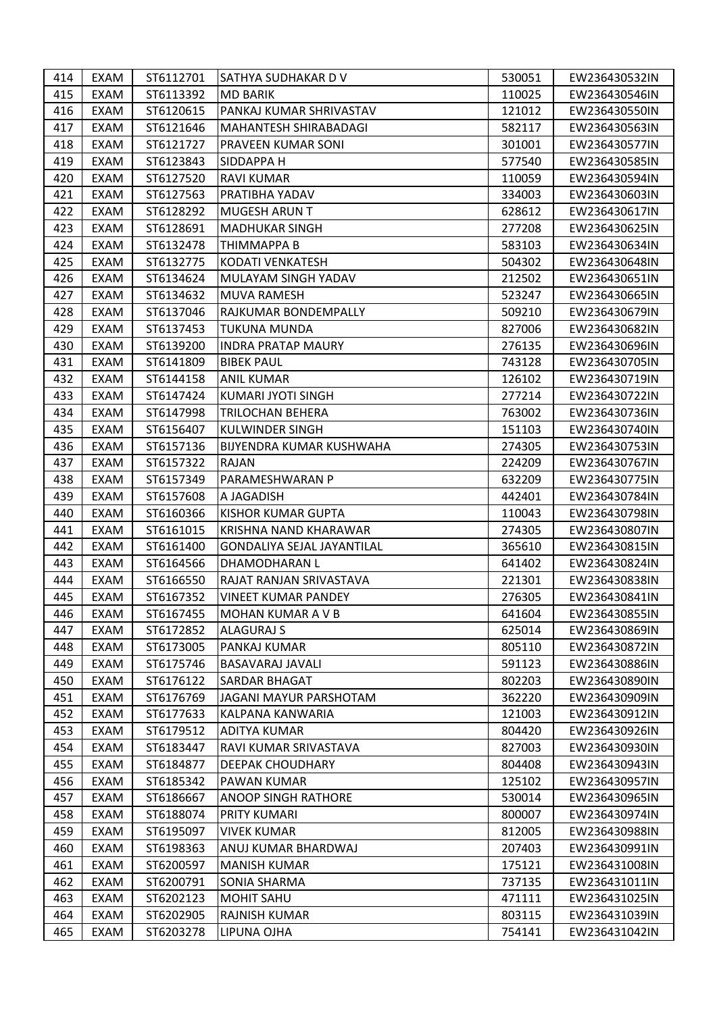| 414 | EXAM | ST6112701 | SATHYA SUDHAKAR D V        | 530051 | EW236430532IN |
|-----|------|-----------|----------------------------|--------|---------------|
| 415 | EXAM | ST6113392 | <b>MD BARIK</b>            | 110025 | EW236430546IN |
| 416 | EXAM | ST6120615 | PANKAJ KUMAR SHRIVASTAV    | 121012 | EW236430550IN |
| 417 | EXAM | ST6121646 | MAHANTESH SHIRABADAGI      | 582117 | EW236430563IN |
| 418 | EXAM | ST6121727 | <b>PRAVEEN KUMAR SONI</b>  | 301001 | EW236430577IN |
| 419 | EXAM | ST6123843 | <b>SIDDAPPA H</b>          | 577540 | EW236430585IN |
| 420 | EXAM | ST6127520 | <b>RAVI KUMAR</b>          | 110059 | EW236430594IN |
| 421 | EXAM | ST6127563 | PRATIBHA YADAV             | 334003 | EW236430603IN |
| 422 | EXAM | ST6128292 | <b>MUGESH ARUN T</b>       | 628612 | EW236430617IN |
| 423 | EXAM | ST6128691 | <b>MADHUKAR SINGH</b>      | 277208 | EW236430625IN |
| 424 | EXAM | ST6132478 | THIMMAPPA B                | 583103 | EW236430634IN |
| 425 | EXAM | ST6132775 | <b>KODATI VENKATESH</b>    | 504302 | EW236430648IN |
| 426 | EXAM | ST6134624 | MULAYAM SINGH YADAV        | 212502 | EW236430651IN |
| 427 | EXAM | ST6134632 | <b>MUVA RAMESH</b>         | 523247 | EW236430665IN |
| 428 | EXAM | ST6137046 | RAJKUMAR BONDEMPALLY       | 509210 | EW236430679IN |
| 429 | EXAM | ST6137453 | <b>TUKUNA MUNDA</b>        | 827006 | EW236430682IN |
| 430 | EXAM | ST6139200 | <b>INDRA PRATAP MAURY</b>  | 276135 | EW236430696IN |
| 431 | EXAM | ST6141809 | <b>BIBEK PAUL</b>          | 743128 | EW236430705IN |
| 432 | EXAM | ST6144158 | <b>ANIL KUMAR</b>          | 126102 | EW236430719IN |
| 433 | EXAM | ST6147424 | KUMARI JYOTI SINGH         | 277214 | EW236430722IN |
| 434 | EXAM | ST6147998 | <b>TRILOCHAN BEHERA</b>    | 763002 | EW236430736IN |
| 435 | EXAM | ST6156407 | KULWINDER SINGH            | 151103 | EW236430740IN |
| 436 | EXAM | ST6157136 | BIJYENDRA KUMAR KUSHWAHA   | 274305 | EW236430753IN |
| 437 | EXAM | ST6157322 | RAJAN                      | 224209 | EW236430767IN |
| 438 | EXAM | ST6157349 | PARAMESHWARAN P            | 632209 | EW236430775IN |
| 439 | EXAM | ST6157608 | A JAGADISH                 | 442401 | EW236430784IN |
| 440 | EXAM | ST6160366 | <b>KISHOR KUMAR GUPTA</b>  | 110043 | EW236430798IN |
| 441 | EXAM | ST6161015 | KRISHNA NAND KHARAWAR      | 274305 | EW236430807IN |
| 442 | EXAM | ST6161400 | GONDALIYA SEJAL JAYANTILAL | 365610 | EW236430815IN |
| 443 | EXAM | ST6164566 | DHAMODHARAN L              | 641402 | EW236430824IN |
| 444 | EXAM | ST6166550 | RAJAT RANJAN SRIVASTAVA    | 221301 | EW236430838IN |
| 445 | EXAM | ST6167352 | <b>VINEET KUMAR PANDEY</b> | 276305 | EW236430841IN |
| 446 | EXAM | ST6167455 | <b>MOHAN KUMAR A V B</b>   | 641604 | EW236430855IN |
| 447 | EXAM | ST6172852 | <b>ALAGURAJ S</b>          | 625014 | EW236430869IN |
| 448 | EXAM | ST6173005 | PANKAJ KUMAR               | 805110 | EW236430872IN |
| 449 | EXAM | ST6175746 | <b>BASAVARAJ JAVALI</b>    | 591123 | EW236430886IN |
| 450 | EXAM | ST6176122 | <b>SARDAR BHAGAT</b>       | 802203 | EW236430890IN |
| 451 | EXAM | ST6176769 | JAGANI MAYUR PARSHOTAM     | 362220 | EW236430909IN |
| 452 | EXAM | ST6177633 | KALPANA KANWARIA           | 121003 | EW236430912IN |
| 453 | EXAM | ST6179512 | <b>ADITYA KUMAR</b>        | 804420 | EW236430926IN |
| 454 | EXAM | ST6183447 | RAVI KUMAR SRIVASTAVA      | 827003 | EW236430930IN |
| 455 | EXAM | ST6184877 | DEEPAK CHOUDHARY           | 804408 | EW236430943IN |
| 456 | EXAM | ST6185342 | PAWAN KUMAR                | 125102 | EW236430957IN |
| 457 | EXAM | ST6186667 | <b>ANOOP SINGH RATHORE</b> | 530014 | EW236430965IN |
| 458 | EXAM | ST6188074 | PRITY KUMARI               | 800007 | EW236430974IN |
| 459 | EXAM | ST6195097 | <b>VIVEK KUMAR</b>         | 812005 | EW236430988IN |
| 460 | EXAM | ST6198363 | ANUJ KUMAR BHARDWAJ        | 207403 | EW236430991IN |
| 461 | EXAM | ST6200597 | <b>MANISH KUMAR</b>        | 175121 | EW236431008IN |
| 462 | EXAM | ST6200791 | <b>SONIA SHARMA</b>        | 737135 | EW236431011IN |
| 463 | EXAM | ST6202123 | <b>MOHIT SAHU</b>          | 471111 | EW236431025IN |
| 464 | EXAM | ST6202905 | RAJNISH KUMAR              | 803115 | EW236431039IN |
| 465 | EXAM | ST6203278 | LIPUNA OJHA                | 754141 | EW236431042IN |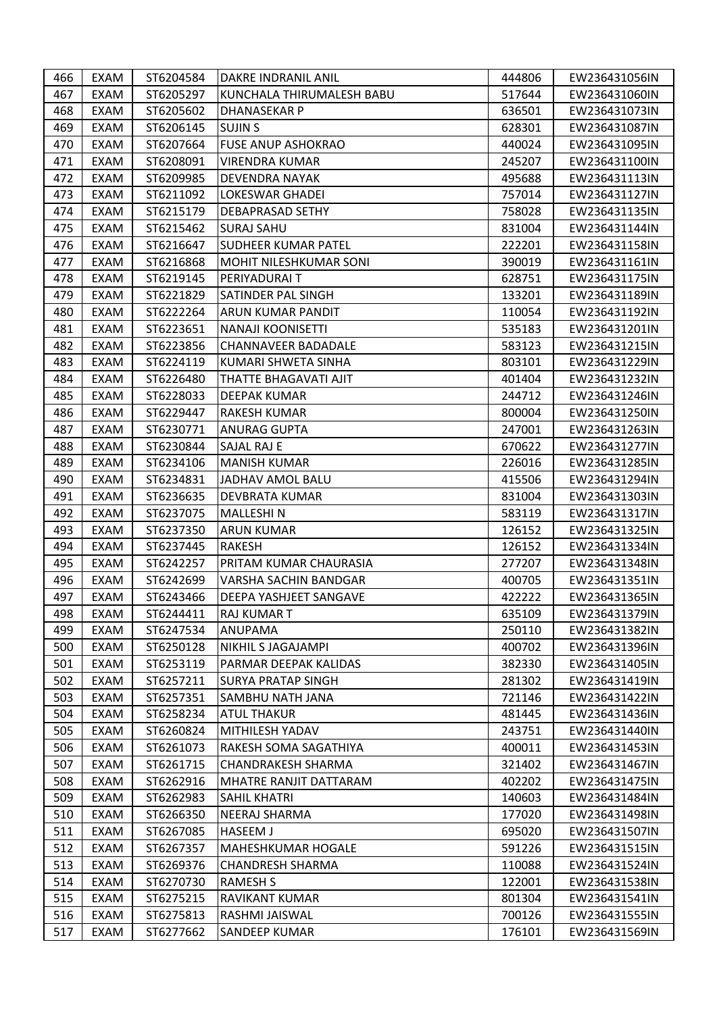| 466 | EXAM        | ST6204584 | DAKRE INDRANIL ANIL        | 444806 | EW236431056IN |
|-----|-------------|-----------|----------------------------|--------|---------------|
| 467 | EXAM        | ST6205297 | KUNCHALA THIRUMALESH BABU  | 517644 | EW236431060IN |
| 468 | EXAM        | ST6205602 | DHANASEKAR P               | 636501 | EW236431073IN |
| 469 | EXAM        | ST6206145 | <b>SUJIN S</b>             | 628301 | EW236431087IN |
| 470 | EXAM        | ST6207664 | <b>FUSE ANUP ASHOKRAO</b>  | 440024 | EW236431095IN |
| 471 | EXAM        | ST6208091 | <b>VIRENDRA KUMAR</b>      | 245207 | EW236431100IN |
| 472 | EXAM        | ST6209985 | DEVENDRA NAYAK             | 495688 | EW236431113IN |
| 473 | EXAM        | ST6211092 | LOKESWAR GHADEI            | 757014 | EW236431127IN |
| 474 | <b>EXAM</b> | ST6215179 | <b>DEBAPRASAD SETHY</b>    | 758028 | EW236431135IN |
| 475 | EXAM        | ST6215462 | <b>SURAJ SAHU</b>          | 831004 | EW236431144IN |
| 476 | EXAM        | ST6216647 | <b>SUDHEER KUMAR PATEL</b> | 222201 | EW236431158IN |
| 477 | EXAM        | ST6216868 | MOHIT NILESHKUMAR SONI     | 390019 | EW236431161IN |
| 478 | EXAM        | ST6219145 | PERIYADURAI T              | 628751 | EW236431175IN |
| 479 | EXAM        | ST6221829 | SATINDER PAL SINGH         | 133201 | EW236431189IN |
| 480 | EXAM        | ST6222264 | ARUN KUMAR PANDIT          | 110054 | EW236431192IN |
| 481 | <b>EXAM</b> | ST6223651 | <b>NANAJI KOONISETTI</b>   | 535183 | EW236431201IN |
| 482 | EXAM        | ST6223856 | <b>CHANNAVEER BADADALE</b> | 583123 | EW236431215IN |
| 483 | EXAM        | ST6224119 | KUMARI SHWETA SINHA        | 803101 | EW236431229IN |
| 484 | EXAM        | ST6226480 | THATTE BHAGAVATI AJIT      | 401404 | EW236431232IN |
| 485 | EXAM        | ST6228033 | <b>DEEPAK KUMAR</b>        | 244712 | EW236431246IN |
| 486 | EXAM        | ST6229447 | <b>RAKESH KUMAR</b>        | 800004 | EW236431250IN |
| 487 | EXAM        | ST6230771 | <b>ANURAG GUPTA</b>        | 247001 | EW236431263IN |
| 488 | EXAM        | ST6230844 | SAJAL RAJ E                | 670622 | EW236431277IN |
| 489 | EXAM        | ST6234106 | <b>MANISH KUMAR</b>        | 226016 | EW236431285IN |
| 490 | EXAM        | ST6234831 | JADHAV AMOL BALU           | 415506 | EW236431294IN |
| 491 | EXAM        | ST6236635 | DEVBRATA KUMAR             | 831004 | EW236431303IN |
| 492 | EXAM        | ST6237075 | MALLESHI N                 | 583119 | EW236431317IN |
| 493 | EXAM        | ST6237350 | <b>ARUN KUMAR</b>          | 126152 | EW236431325IN |
| 494 | EXAM        | ST6237445 | RAKESH                     | 126152 | EW236431334IN |
| 495 | EXAM        | ST6242257 | PRITAM KUMAR CHAURASIA     | 277207 | EW236431348IN |
| 496 | EXAM        | ST6242699 | VARSHA SACHIN BANDGAR      | 400705 | EW236431351IN |
| 497 | EXAM        | ST6243466 | DEEPA YASHJEET SANGAVE     | 422222 | EW236431365IN |
| 498 | EXAM        | ST6244411 | <b>RAJ KUMAR T</b>         | 635109 | EW236431379IN |
| 499 | EXAM        | ST6247534 | ANUPAMA                    | 250110 | EW236431382IN |
| 500 | EXAM        | ST6250128 | <b>NIKHIL S JAGAJAMPI</b>  | 400702 | EW236431396IN |
| 501 | EXAM        | ST6253119 | PARMAR DEEPAK KALIDAS      | 382330 | EW236431405IN |
| 502 | EXAM        | ST6257211 | <b>SURYA PRATAP SINGH</b>  | 281302 | EW236431419IN |
| 503 | EXAM        | ST6257351 | <b>SAMBHU NATH JANA</b>    | 721146 | EW236431422IN |
| 504 | EXAM        | ST6258234 | ATUL THAKUR                | 481445 | EW236431436IN |
| 505 | EXAM        | ST6260824 | MITHILESH YADAV            | 243751 | EW236431440IN |
| 506 | EXAM        | ST6261073 | RAKESH SOMA SAGATHIYA      | 400011 | EW236431453IN |
| 507 | EXAM        | ST6261715 | <b>CHANDRAKESH SHARMA</b>  | 321402 | EW236431467IN |
| 508 | EXAM        | ST6262916 | MHATRE RANJIT DATTARAM     | 402202 | EW236431475IN |
| 509 | EXAM        | ST6262983 | <b>SAHIL KHATRI</b>        | 140603 | EW236431484IN |
| 510 | EXAM        | ST6266350 | NEERAJ SHARMA              | 177020 | EW236431498IN |
| 511 | EXAM        | ST6267085 | <b>HASEEM J</b>            | 695020 | EW236431507IN |
| 512 | EXAM        | ST6267357 | <b>MAHESHKUMAR HOGALE</b>  | 591226 | EW236431515IN |
| 513 | EXAM        | ST6269376 | CHANDRESH SHARMA           | 110088 | EW236431524IN |
| 514 | EXAM        | ST6270730 | <b>RAMESH S</b>            | 122001 | EW236431538IN |
| 515 | EXAM        | ST6275215 | RAVIKANT KUMAR             | 801304 | EW236431541IN |
| 516 | EXAM        | ST6275813 | RASHMI JAISWAL             | 700126 | EW236431555IN |
| 517 | EXAM        | ST6277662 | <b>SANDEEP KUMAR</b>       | 176101 | EW236431569IN |
|     |             |           |                            |        |               |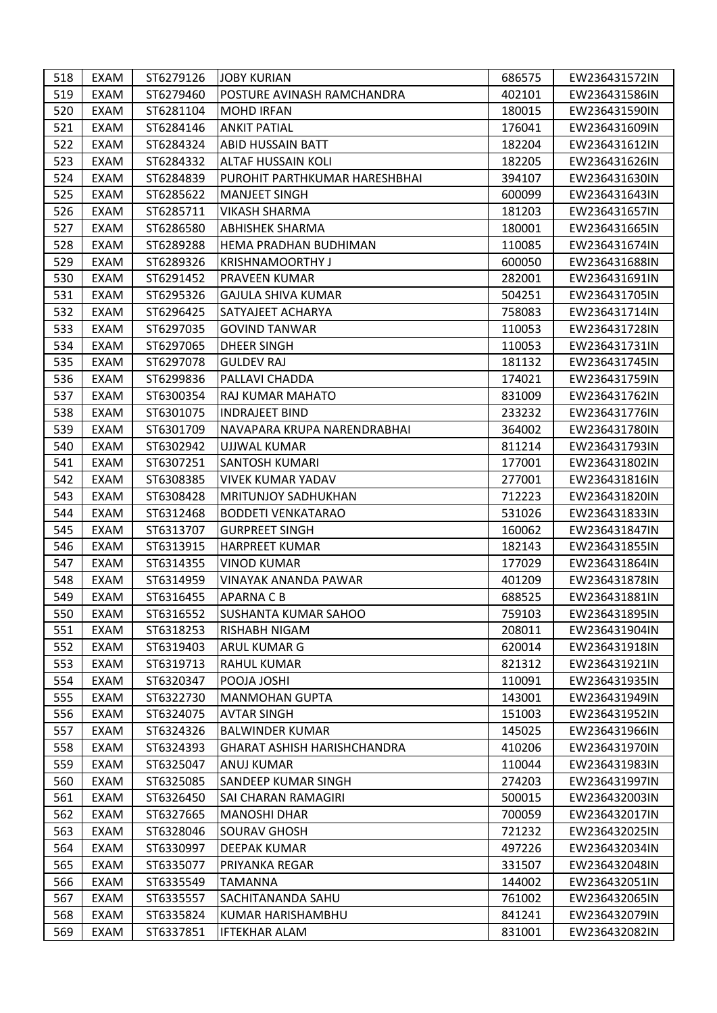| 518 | EXAM | ST6279126 | <b>JOBY KURIAN</b>                 | 686575 | EW236431572IN |
|-----|------|-----------|------------------------------------|--------|---------------|
| 519 | EXAM | ST6279460 | POSTURE AVINASH RAMCHANDRA         | 402101 | EW236431586IN |
| 520 | EXAM | ST6281104 | <b>MOHD IRFAN</b>                  | 180015 | EW236431590IN |
| 521 | EXAM | ST6284146 | <b>ANKIT PATIAL</b>                | 176041 | EW236431609IN |
| 522 | EXAM | ST6284324 | <b>ABID HUSSAIN BATT</b>           | 182204 | EW236431612IN |
| 523 | EXAM | ST6284332 | <b>ALTAF HUSSAIN KOLI</b>          | 182205 | EW236431626IN |
| 524 | EXAM | ST6284839 | PUROHIT PARTHKUMAR HARESHBHAI      | 394107 | EW236431630IN |
| 525 | EXAM | ST6285622 | <b>MANJEET SINGH</b>               | 600099 | EW236431643IN |
| 526 | EXAM | ST6285711 | <b>VIKASH SHARMA</b>               | 181203 | EW236431657IN |
| 527 | EXAM | ST6286580 | <b>ABHISHEK SHARMA</b>             | 180001 | EW236431665IN |
| 528 | EXAM | ST6289288 | HEMA PRADHAN BUDHIMAN              | 110085 | EW236431674IN |
| 529 | EXAM | ST6289326 | <b>KRISHNAMOORTHY J</b>            | 600050 | EW236431688IN |
| 530 | EXAM | ST6291452 | <b>PRAVEEN KUMAR</b>               | 282001 | EW236431691IN |
| 531 | EXAM | ST6295326 | GAJULA SHIVA KUMAR                 | 504251 | EW236431705IN |
| 532 | EXAM | ST6296425 | SATYAJEET ACHARYA                  | 758083 | EW236431714IN |
| 533 | EXAM | ST6297035 | <b>GOVIND TANWAR</b>               | 110053 | EW236431728IN |
| 534 | EXAM | ST6297065 | <b>DHEER SINGH</b>                 | 110053 | EW236431731IN |
| 535 | EXAM | ST6297078 | <b>GULDEV RAJ</b>                  | 181132 | EW236431745IN |
| 536 | EXAM | ST6299836 | PALLAVI CHADDA                     | 174021 | EW236431759IN |
| 537 | EXAM | ST6300354 | RAJ KUMAR MAHATO                   | 831009 | EW236431762IN |
| 538 | EXAM | ST6301075 | <b>INDRAJEET BIND</b>              | 233232 | EW236431776IN |
| 539 | EXAM | ST6301709 | NAVAPARA KRUPA NARENDRABHAI        | 364002 | EW236431780IN |
| 540 | EXAM | ST6302942 | UJJWAL KUMAR                       | 811214 | EW236431793IN |
| 541 | EXAM | ST6307251 | <b>SANTOSH KUMARI</b>              | 177001 | EW236431802IN |
| 542 | EXAM | ST6308385 | <b>VIVEK KUMAR YADAV</b>           | 277001 | EW236431816IN |
| 543 | EXAM | ST6308428 | <b>MRITUNJOY SADHUKHAN</b>         | 712223 | EW236431820IN |
| 544 | EXAM | ST6312468 | <b>BODDETI VENKATARAO</b>          | 531026 | EW236431833IN |
| 545 | EXAM | ST6313707 | <b>GURPREET SINGH</b>              | 160062 | EW236431847IN |
| 546 | EXAM | ST6313915 | <b>HARPREET KUMAR</b>              | 182143 | EW236431855IN |
| 547 | EXAM | ST6314355 | <b>VINOD KUMAR</b>                 | 177029 | EW236431864IN |
| 548 | EXAM | ST6314959 | <b>VINAYAK ANANDA PAWAR</b>        | 401209 | EW236431878IN |
| 549 | EXAM | ST6316455 | <b>APARNA C B</b>                  | 688525 | EW236431881IN |
| 550 | EXAM | ST6316552 | <b>SUSHANTA KUMAR SAHOO</b>        | 759103 | EW236431895IN |
| 551 | EXAM | ST6318253 | <b>RISHABH NIGAM</b>               | 208011 | EW236431904IN |
| 552 | EXAM | ST6319403 | <b>ARUL KUMAR G</b>                | 620014 | EW236431918IN |
| 553 | EXAM | ST6319713 | RAHUL KUMAR                        | 821312 | EW236431921IN |
| 554 | EXAM | ST6320347 | POOJA JOSHI                        | 110091 | EW236431935IN |
| 555 | EXAM | ST6322730 | MANMOHAN GUPTA                     | 143001 | EW236431949IN |
| 556 | EXAM | ST6324075 | <b>AVTAR SINGH</b>                 | 151003 | EW236431952IN |
| 557 | EXAM | ST6324326 | <b>BALWINDER KUMAR</b>             | 145025 | EW236431966IN |
| 558 | EXAM | ST6324393 | <b>GHARAT ASHISH HARISHCHANDRA</b> | 410206 | EW236431970IN |
| 559 | EXAM | ST6325047 | ANUJ KUMAR                         | 110044 | EW236431983IN |
| 560 | EXAM | ST6325085 | <b>SANDEEP KUMAR SINGH</b>         | 274203 | EW236431997IN |
| 561 | EXAM | ST6326450 | SAI CHARAN RAMAGIRI                | 500015 | EW236432003IN |
| 562 | EXAM | ST6327665 | <b>MANOSHI DHAR</b>                | 700059 | EW236432017IN |
| 563 | EXAM | ST6328046 | <b>SOURAV GHOSH</b>                | 721232 | EW236432025IN |
| 564 | EXAM | ST6330997 | <b>DEEPAK KUMAR</b>                | 497226 | EW236432034IN |
| 565 | EXAM | ST6335077 | PRIYANKA REGAR                     | 331507 | EW236432048IN |
| 566 | EXAM | ST6335549 | <b>TAMANNA</b>                     | 144002 | EW236432051IN |
| 567 | EXAM | ST6335557 | SACHITANANDA SAHU                  | 761002 | EW236432065IN |
| 568 | EXAM | ST6335824 | KUMAR HARISHAMBHU                  | 841241 | EW236432079IN |
| 569 | EXAM | ST6337851 | IFTEKHAR ALAM                      | 831001 | EW236432082IN |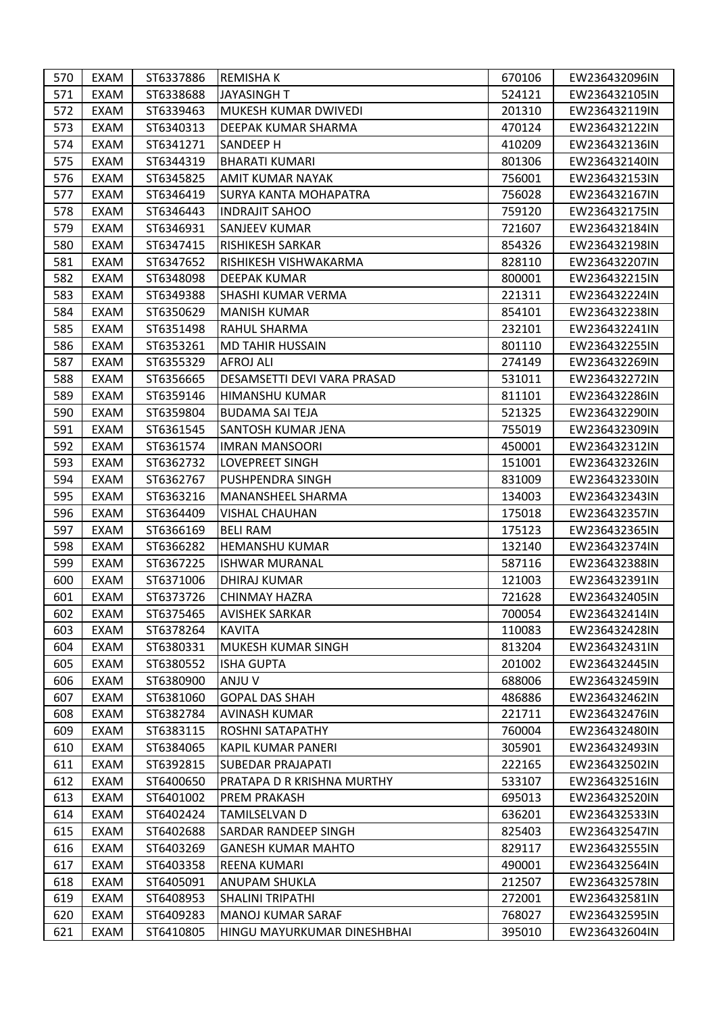| 570 | EXAM | ST6337886 | <b>REMISHAK</b>             | 670106 | EW236432096IN |
|-----|------|-----------|-----------------------------|--------|---------------|
| 571 | EXAM | ST6338688 | <b>JAYASINGH T</b>          | 524121 | EW236432105IN |
| 572 | EXAM | ST6339463 | MUKESH KUMAR DWIVEDI        | 201310 | EW236432119IN |
| 573 | EXAM | ST6340313 | DEEPAK KUMAR SHARMA         | 470124 | EW236432122IN |
| 574 | EXAM | ST6341271 | <b>SANDEEP H</b>            | 410209 | EW236432136IN |
| 575 | EXAM | ST6344319 | <b>BHARATI KUMARI</b>       | 801306 | EW236432140IN |
| 576 | EXAM | ST6345825 | AMIT KUMAR NAYAK            | 756001 | EW236432153IN |
| 577 | EXAM | ST6346419 | SURYA KANTA MOHAPATRA       | 756028 | EW236432167IN |
| 578 | EXAM | ST6346443 | <b>INDRAJIT SAHOO</b>       | 759120 | EW236432175IN |
| 579 | EXAM | ST6346931 | SANJEEV KUMAR               | 721607 | EW236432184IN |
| 580 | EXAM | ST6347415 | <b>RISHIKESH SARKAR</b>     | 854326 | EW236432198IN |
| 581 | EXAM | ST6347652 | RISHIKESH VISHWAKARMA       | 828110 | EW236432207IN |
| 582 | EXAM | ST6348098 | DEEPAK KUMAR                | 800001 | EW236432215IN |
| 583 | EXAM | ST6349388 | SHASHI KUMAR VERMA          | 221311 | EW236432224IN |
| 584 | EXAM | ST6350629 | <b>MANISH KUMAR</b>         | 854101 | EW236432238IN |
| 585 | EXAM | ST6351498 | RAHUL SHARMA                | 232101 | EW236432241IN |
| 586 | EXAM | ST6353261 | MD TAHIR HUSSAIN            | 801110 | EW236432255IN |
| 587 | EXAM | ST6355329 | <b>AFROJ ALI</b>            | 274149 | EW236432269IN |
| 588 | EXAM | ST6356665 | DESAMSETTI DEVI VARA PRASAD | 531011 | EW236432272IN |
| 589 | EXAM | ST6359146 | HIMANSHU KUMAR              | 811101 | EW236432286IN |
| 590 | EXAM | ST6359804 | <b>BUDAMA SAI TEJA</b>      | 521325 | EW236432290IN |
| 591 | EXAM | ST6361545 | SANTOSH KUMAR JENA          | 755019 | EW236432309IN |
| 592 | EXAM | ST6361574 | IMRAN MANSOORI              | 450001 | EW236432312IN |
| 593 | EXAM | ST6362732 | <b>LOVEPREET SINGH</b>      | 151001 | EW236432326IN |
| 594 | EXAM | ST6362767 | <b>PUSHPENDRA SINGH</b>     | 831009 | EW236432330IN |
| 595 | EXAM | ST6363216 | MANANSHEEL SHARMA           | 134003 | EW236432343IN |
| 596 | EXAM | ST6364409 | <b>VISHAL CHAUHAN</b>       | 175018 | EW236432357IN |
| 597 | EXAM | ST6366169 | <b>BELI RAM</b>             | 175123 | EW236432365IN |
| 598 | EXAM | ST6366282 | HEMANSHU KUMAR              | 132140 | EW236432374IN |
| 599 | EXAM | ST6367225 | <b>ISHWAR MURANAL</b>       | 587116 | EW236432388IN |
| 600 | EXAM | ST6371006 | DHIRAJ KUMAR                | 121003 | EW236432391IN |
| 601 | EXAM | ST6373726 | CHINMAY HAZRA               | 721628 | EW236432405IN |
| 602 | EXAM | ST6375465 | <b>AVISHEK SARKAR</b>       | 700054 | EW236432414IN |
| 603 | EXAM | ST6378264 | <b>KAVITA</b>               | 110083 | EW236432428IN |
| 604 | EXAM | ST6380331 | MUKESH KUMAR SINGH          | 813204 | EW236432431IN |
| 605 | EXAM | ST6380552 | <b>ISHA GUPTA</b>           | 201002 | EW236432445IN |
| 606 | EXAM | ST6380900 | ANJU V                      | 688006 | EW236432459IN |
| 607 | EXAM | ST6381060 | <b>GOPAL DAS SHAH</b>       | 486886 | EW236432462IN |
| 608 | EXAM | ST6382784 | <b>AVINASH KUMAR</b>        | 221711 | EW236432476IN |
| 609 | EXAM | ST6383115 | <b>ROSHNI SATAPATHY</b>     | 760004 | EW236432480IN |
| 610 | EXAM | ST6384065 | KAPIL KUMAR PANERI          | 305901 | EW236432493IN |
| 611 | EXAM | ST6392815 | SUBEDAR PRAJAPATI           | 222165 | EW236432502IN |
| 612 | EXAM | ST6400650 | PRATAPA D R KRISHNA MURTHY  | 533107 | EW236432516IN |
| 613 | EXAM | ST6401002 | <b>PREM PRAKASH</b>         | 695013 | EW236432520IN |
| 614 | EXAM | ST6402424 | TAMILSELVAN D               | 636201 | EW236432533IN |
| 615 | EXAM | ST6402688 | SARDAR RANDEEP SINGH        | 825403 | EW236432547IN |
| 616 | EXAM | ST6403269 | <b>GANESH KUMAR MAHTO</b>   | 829117 | EW236432555IN |
| 617 | EXAM | ST6403358 | REENA KUMARI                | 490001 | EW236432564IN |
| 618 | EXAM | ST6405091 | <b>ANUPAM SHUKLA</b>        | 212507 | EW236432578IN |
| 619 | EXAM | ST6408953 | <b>SHALINI TRIPATHI</b>     | 272001 | EW236432581IN |
| 620 | EXAM | ST6409283 | <b>MANOJ KUMAR SARAF</b>    | 768027 | EW236432595IN |
| 621 | EXAM | ST6410805 | HINGU MAYURKUMAR DINESHBHAI | 395010 | EW236432604IN |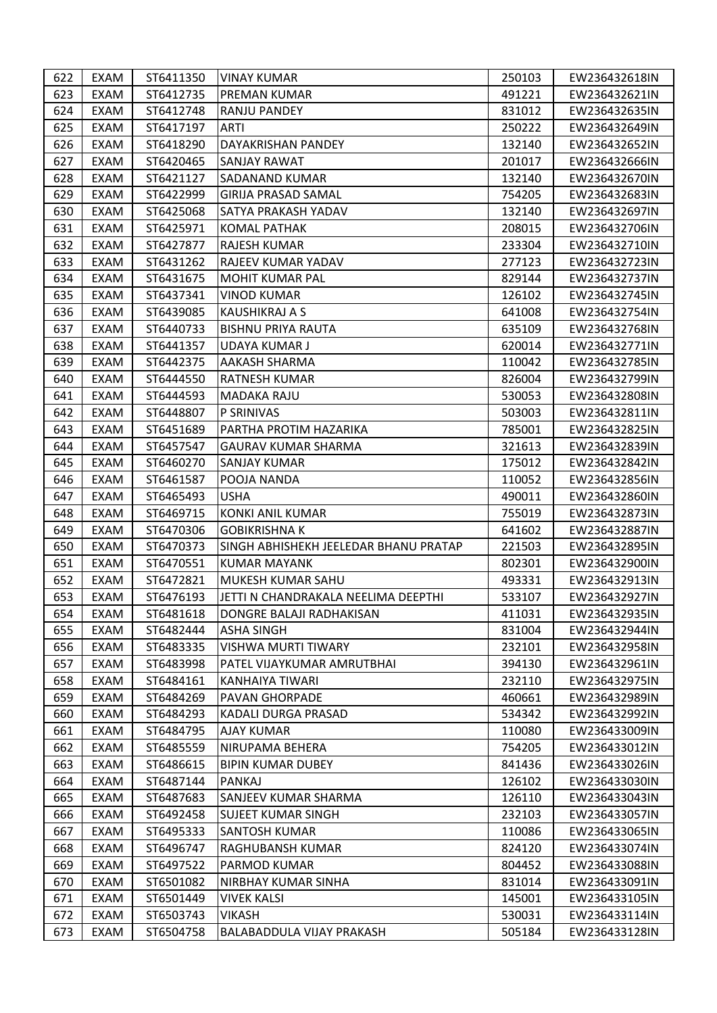| 622 | EXAM        | ST6411350 | <b>VINAY KUMAR</b>                    | 250103 | EW236432618IN |
|-----|-------------|-----------|---------------------------------------|--------|---------------|
| 623 | EXAM        | ST6412735 | <b>PREMAN KUMAR</b>                   | 491221 | EW236432621IN |
| 624 | EXAM        | ST6412748 | <b>RANJU PANDEY</b>                   | 831012 | EW236432635IN |
| 625 | EXAM        | ST6417197 | ARTI                                  | 250222 | EW236432649IN |
| 626 | EXAM        | ST6418290 | DAYAKRISHAN PANDEY                    | 132140 | EW236432652IN |
| 627 | EXAM        | ST6420465 | <b>SANJAY RAWAT</b>                   | 201017 | EW236432666IN |
| 628 | EXAM        | ST6421127 | <b>SADANAND KUMAR</b>                 | 132140 | EW236432670IN |
| 629 | EXAM        | ST6422999 | <b>GIRIJA PRASAD SAMAL</b>            | 754205 | EW236432683IN |
| 630 | EXAM        | ST6425068 | SATYA PRAKASH YADAV                   | 132140 | EW236432697IN |
| 631 | EXAM        | ST6425971 | <b>KOMAL PATHAK</b>                   | 208015 | EW236432706IN |
| 632 | EXAM        | ST6427877 | <b>RAJESH KUMAR</b>                   | 233304 | EW236432710IN |
| 633 | EXAM        | ST6431262 | RAJEEV KUMAR YADAV                    | 277123 | EW236432723IN |
| 634 | EXAM        | ST6431675 | <b>MOHIT KUMAR PAL</b>                | 829144 | EW236432737IN |
| 635 | EXAM        | ST6437341 | <b>VINOD KUMAR</b>                    | 126102 | EW236432745IN |
| 636 | <b>EXAM</b> | ST6439085 | <b>KAUSHIKRAJ A S</b>                 | 641008 | EW236432754IN |
| 637 | EXAM        | ST6440733 | <b>BISHNU PRIYA RAUTA</b>             | 635109 | EW236432768IN |
| 638 | EXAM        | ST6441357 | UDAYA KUMAR J                         | 620014 | EW236432771IN |
| 639 | EXAM        | ST6442375 | <b>AAKASH SHARMA</b>                  | 110042 | EW236432785IN |
| 640 | EXAM        | ST6444550 | <b>RATNESH KUMAR</b>                  | 826004 | EW236432799IN |
| 641 | EXAM        | ST6444593 | <b>MADAKA RAJU</b>                    | 530053 | EW236432808IN |
| 642 | EXAM        | ST6448807 | P SRINIVAS                            | 503003 | EW236432811IN |
| 643 | EXAM        | ST6451689 | PARTHA PROTIM HAZARIKA                | 785001 | EW236432825IN |
| 644 | EXAM        | ST6457547 | <b>GAURAV KUMAR SHARMA</b>            | 321613 | EW236432839IN |
| 645 | EXAM        | ST6460270 | <b>SANJAY KUMAR</b>                   | 175012 | EW236432842IN |
| 646 | EXAM        | ST6461587 | POOJA NANDA                           | 110052 | EW236432856IN |
| 647 | EXAM        | ST6465493 | <b>USHA</b>                           | 490011 | EW236432860IN |
| 648 | EXAM        | ST6469715 | KONKI ANIL KUMAR                      | 755019 | EW236432873IN |
| 649 | EXAM        | ST6470306 | <b>GOBIKRISHNAK</b>                   | 641602 | EW236432887IN |
| 650 | EXAM        | ST6470373 | SINGH ABHISHEKH JEELEDAR BHANU PRATAP | 221503 | EW236432895IN |
| 651 | EXAM        | ST6470551 | <b>KUMAR MAYANK</b>                   | 802301 | EW236432900IN |
| 652 | EXAM        | ST6472821 | MUKESH KUMAR SAHU                     | 493331 | EW236432913IN |
| 653 | EXAM        | ST6476193 | JETTI N CHANDRAKALA NEELIMA DEEPTHI   | 533107 | EW236432927IN |
| 654 | EXAM        | ST6481618 | DONGRE BALAJI RADHAKISAN              | 411031 | EW236432935IN |
| 655 | EXAM        | ST6482444 | <b>ASHA SINGH</b>                     | 831004 | EW236432944IN |
| 656 | EXAM        | ST6483335 | VISHWA MURTI TIWARY                   | 232101 | EW236432958IN |
| 657 | EXAM        | ST6483998 | PATEL VIJAYKUMAR AMRUTBHAI            | 394130 | EW236432961IN |
| 658 | EXAM        | ST6484161 | KANHAIYA TIWARI                       | 232110 | EW236432975IN |
| 659 | EXAM        | ST6484269 | <b>PAVAN GHORPADE</b>                 | 460661 | EW236432989IN |
| 660 | EXAM        | ST6484293 | KADALI DURGA PRASAD                   | 534342 | EW236432992IN |
| 661 | EXAM        | ST6484795 | <b>AJAY KUMAR</b>                     | 110080 | EW236433009IN |
| 662 | EXAM        | ST6485559 | NIRUPAMA BEHERA                       | 754205 | EW236433012IN |
| 663 | EXAM        | ST6486615 | <b>BIPIN KUMAR DUBEY</b>              | 841436 | EW236433026IN |
| 664 | EXAM        | ST6487144 | PANKAJ                                | 126102 | EW236433030IN |
| 665 | EXAM        | ST6487683 | SANJEEV KUMAR SHARMA                  | 126110 | EW236433043IN |
| 666 | EXAM        | ST6492458 | <b>SUJEET KUMAR SINGH</b>             | 232103 | EW236433057IN |
| 667 | EXAM        | ST6495333 | <b>SANTOSH KUMAR</b>                  | 110086 | EW236433065IN |
| 668 | EXAM        | ST6496747 | RAGHUBANSH KUMAR                      | 824120 | EW236433074IN |
| 669 | EXAM        | ST6497522 | PARMOD KUMAR                          | 804452 | EW236433088IN |
| 670 | EXAM        | ST6501082 | <b>NIRBHAY KUMAR SINHA</b>            | 831014 | EW236433091IN |
| 671 | EXAM        | ST6501449 | <b>VIVEK KALSI</b>                    | 145001 | EW236433105IN |
| 672 | EXAM        | ST6503743 | VIKASH                                | 530031 | EW236433114IN |
| 673 | EXAM        | ST6504758 | <b>BALABADDULA VIJAY PRAKASH</b>      | 505184 | EW236433128IN |
|     |             |           |                                       |        |               |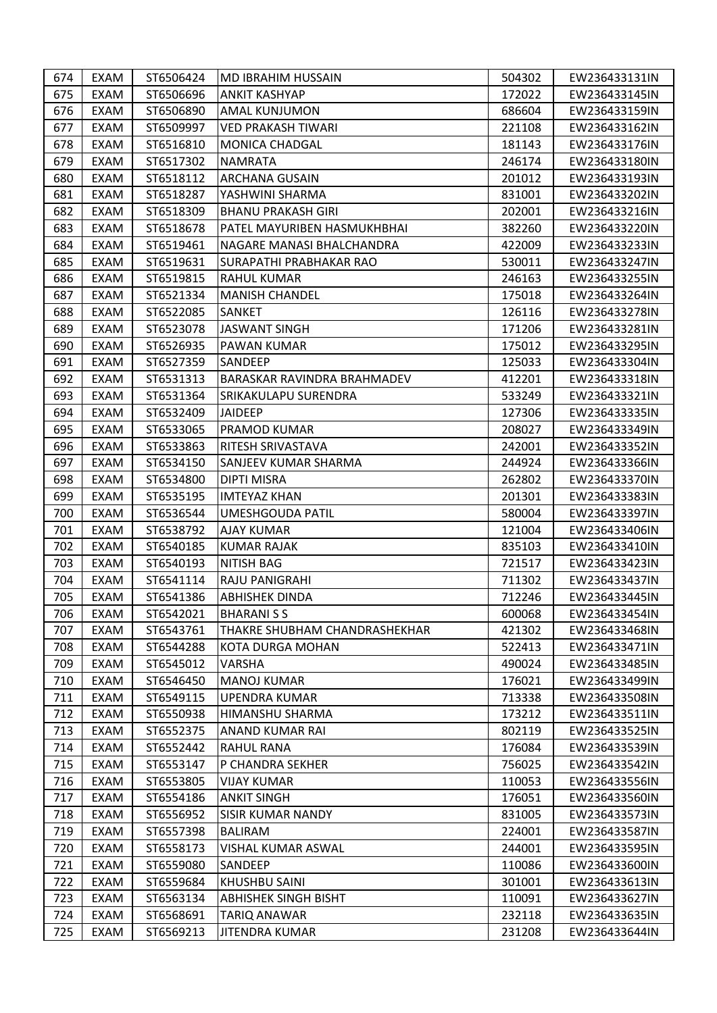| 674 | EXAM        | ST6506424 | <b>MD IBRAHIM HUSSAIN</b>          | 504302 | EW236433131IN |
|-----|-------------|-----------|------------------------------------|--------|---------------|
| 675 | EXAM        | ST6506696 | <b>ANKIT KASHYAP</b>               | 172022 | EW236433145IN |
| 676 | EXAM        | ST6506890 | <b>AMAL KUNJUMON</b>               | 686604 | EW236433159IN |
| 677 | EXAM        | ST6509997 | <b>VED PRAKASH TIWARI</b>          | 221108 | EW236433162IN |
| 678 | EXAM        | ST6516810 | <b>MONICA CHADGAL</b>              | 181143 | EW236433176IN |
| 679 | EXAM        | ST6517302 | <b>NAMRATA</b>                     | 246174 | EW236433180IN |
| 680 | EXAM        | ST6518112 | <b>ARCHANA GUSAIN</b>              | 201012 | EW236433193IN |
| 681 | EXAM        | ST6518287 | YASHWINI SHARMA                    | 831001 | EW236433202IN |
| 682 | EXAM        | ST6518309 | <b>BHANU PRAKASH GIRI</b>          | 202001 | EW236433216IN |
| 683 | EXAM        | ST6518678 | PATEL MAYURIBEN HASMUKHBHAI        | 382260 | EW236433220IN |
| 684 | EXAM        | ST6519461 | NAGARE MANASI BHALCHANDRA          | 422009 | EW236433233IN |
| 685 | EXAM        | ST6519631 | <b>SURAPATHI PRABHAKAR RAO</b>     | 530011 | EW236433247IN |
| 686 | EXAM        | ST6519815 | <b>RAHUL KUMAR</b>                 | 246163 | EW236433255IN |
| 687 | EXAM        | ST6521334 | <b>MANISH CHANDEL</b>              | 175018 | EW236433264IN |
| 688 | <b>EXAM</b> | ST6522085 | <b>SANKET</b>                      | 126116 | EW236433278IN |
| 689 | EXAM        | ST6523078 | <b>JASWANT SINGH</b>               | 171206 | EW236433281IN |
| 690 | EXAM        | ST6526935 | PAWAN KUMAR                        | 175012 | EW236433295IN |
| 691 | EXAM        | ST6527359 | <b>SANDEEP</b>                     | 125033 | EW236433304IN |
| 692 | EXAM        | ST6531313 | <b>BARASKAR RAVINDRA BRAHMADEV</b> | 412201 | EW236433318IN |
| 693 | EXAM        | ST6531364 | <b>SRIKAKULAPU SURENDRA</b>        | 533249 | EW236433321IN |
| 694 | EXAM        | ST6532409 | <b>JAIDEEP</b>                     | 127306 | EW236433335IN |
| 695 | EXAM        | ST6533065 | PRAMOD KUMAR                       | 208027 | EW236433349IN |
| 696 | EXAM        | ST6533863 | RITESH SRIVASTAVA                  | 242001 | EW236433352IN |
| 697 | EXAM        | ST6534150 | <b>SANJEEV KUMAR SHARMA</b>        | 244924 | EW236433366IN |
| 698 | EXAM        | ST6534800 | <b>DIPTI MISRA</b>                 | 262802 | EW236433370IN |
| 699 | EXAM        | ST6535195 | <b>IMTEYAZ KHAN</b>                | 201301 | EW236433383IN |
| 700 | EXAM        | ST6536544 | UMESHGOUDA PATIL                   | 580004 | EW236433397IN |
| 701 | EXAM        | ST6538792 | <b>AJAY KUMAR</b>                  | 121004 | EW236433406IN |
| 702 | EXAM        | ST6540185 | <b>KUMAR RAJAK</b>                 | 835103 | EW236433410IN |
| 703 | EXAM        | ST6540193 | <b>NITISH BAG</b>                  | 721517 | EW236433423IN |
| 704 | EXAM        | ST6541114 | RAJU PANIGRAHI                     | 711302 | EW236433437IN |
| 705 | EXAM        | ST6541386 | <b>ABHISHEK DINDA</b>              | 712246 | EW236433445IN |
| 706 | EXAM        | ST6542021 | <b>BHARANISS</b>                   | 600068 | EW236433454IN |
| 707 | <b>EXAM</b> | ST6543761 | THAKRE SHUBHAM CHANDRASHEKHAR      | 421302 | EW236433468IN |
| 708 | EXAM        | ST6544288 | IKOTA DURGA MOHAN                  | 522413 | EW236433471IN |
| 709 | EXAM        | ST6545012 | VARSHA                             | 490024 | EW236433485IN |
| 710 | EXAM        | ST6546450 | <b>MANOJ KUMAR</b>                 | 176021 | EW236433499IN |
| 711 | EXAM        | ST6549115 | UPENDRA KUMAR                      | 713338 | EW236433508IN |
| 712 | EXAM        | ST6550938 | <b>HIMANSHU SHARMA</b>             | 173212 | EW236433511IN |
| 713 | EXAM        | ST6552375 | <b>ANAND KUMAR RAI</b>             | 802119 | EW236433525IN |
| 714 | EXAM        | ST6552442 | <b>RAHUL RANA</b>                  | 176084 | EW236433539IN |
| 715 | EXAM        | ST6553147 | P CHANDRA SEKHER                   | 756025 | EW236433542IN |
| 716 | EXAM        | ST6553805 | <b>VIJAY KUMAR</b>                 | 110053 | EW236433556IN |
| 717 | EXAM        | ST6554186 | <b>ANKIT SINGH</b>                 | 176051 | EW236433560IN |
| 718 | EXAM        | ST6556952 | <b>SISIR KUMAR NANDY</b>           | 831005 | EW236433573IN |
| 719 | EXAM        | ST6557398 | <b>BALIRAM</b>                     | 224001 | EW236433587IN |
| 720 | EXAM        | ST6558173 | <b>VISHAL KUMAR ASWAL</b>          | 244001 | EW236433595IN |
| 721 | EXAM        | ST6559080 | SANDEEP                            | 110086 | EW236433600IN |
| 722 | EXAM        | ST6559684 | <b>KHUSHBU SAINI</b>               | 301001 | EW236433613IN |
| 723 | EXAM        | ST6563134 | <b>ABHISHEK SINGH BISHT</b>        | 110091 | EW236433627IN |
| 724 | EXAM        | ST6568691 | <b>TARIQ ANAWAR</b>                | 232118 | EW236433635IN |
| 725 | EXAM        | ST6569213 | <b>JITENDRA KUMAR</b>              | 231208 | EW236433644IN |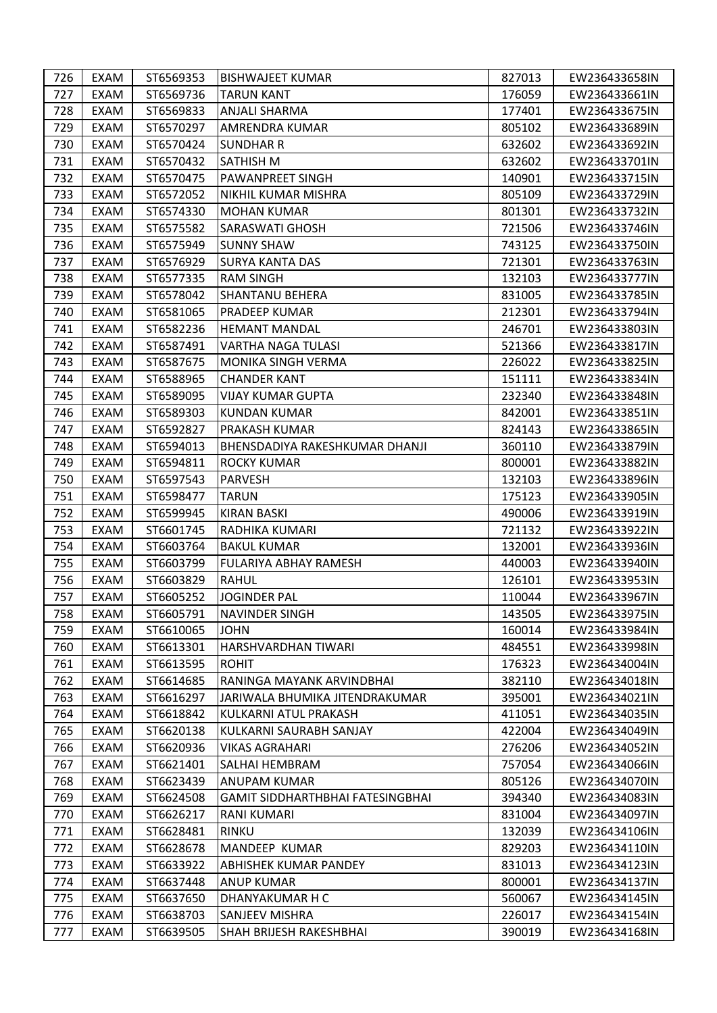| 726 | EXAM        | ST6569353 | <b>BISHWAJEET KUMAR</b>                 | 827013 | EW236433658IN |
|-----|-------------|-----------|-----------------------------------------|--------|---------------|
| 727 | EXAM        | ST6569736 | <b>TARUN KANT</b>                       | 176059 | EW236433661IN |
| 728 | EXAM        | ST6569833 | <b>ANJALI SHARMA</b>                    | 177401 | EW236433675IN |
| 729 | EXAM        | ST6570297 | <b>AMRENDRA KUMAR</b>                   | 805102 | EW236433689IN |
| 730 | EXAM        | ST6570424 | <b>SUNDHAR R</b>                        | 632602 | EW236433692IN |
| 731 | EXAM        | ST6570432 | <b>SATHISH M</b>                        | 632602 | EW236433701IN |
| 732 | EXAM        | ST6570475 | <b>PAWANPREET SINGH</b>                 | 140901 | EW236433715IN |
| 733 | EXAM        | ST6572052 | NIKHIL KUMAR MISHRA                     | 805109 | EW236433729IN |
| 734 | EXAM        | ST6574330 | <b>MOHAN KUMAR</b>                      | 801301 | EW236433732IN |
| 735 | EXAM        | ST6575582 | <b>SARASWATI GHOSH</b>                  | 721506 | EW236433746IN |
| 736 | EXAM        | ST6575949 | <b>SUNNY SHAW</b>                       | 743125 | EW236433750IN |
| 737 | EXAM        | ST6576929 | <b>SURYA KANTA DAS</b>                  | 721301 | EW236433763IN |
| 738 | EXAM        | ST6577335 | <b>RAM SINGH</b>                        | 132103 | EW236433777IN |
| 739 | EXAM        | ST6578042 | <b>SHANTANU BEHERA</b>                  | 831005 | EW236433785IN |
| 740 | <b>EXAM</b> | ST6581065 | PRADEEP KUMAR                           | 212301 | EW236433794IN |
| 741 | EXAM        | ST6582236 | <b>HEMANT MANDAL</b>                    | 246701 | EW236433803IN |
| 742 | EXAM        | ST6587491 | VARTHA NAGA TULASI                      | 521366 | EW236433817IN |
| 743 | EXAM        | ST6587675 | <b>MONIKA SINGH VERMA</b>               | 226022 | EW236433825IN |
| 744 | EXAM        | ST6588965 | <b>CHANDER KANT</b>                     | 151111 | EW236433834IN |
| 745 | EXAM        | ST6589095 | <b>VIJAY KUMAR GUPTA</b>                | 232340 | EW236433848IN |
| 746 | EXAM        | ST6589303 | <b>KUNDAN KUMAR</b>                     | 842001 | EW236433851IN |
| 747 | EXAM        | ST6592827 | <b>PRAKASH KUMAR</b>                    | 824143 | EW236433865IN |
| 748 | EXAM        | ST6594013 | BHENSDADIYA RAKESHKUMAR DHANJI          | 360110 | EW236433879IN |
| 749 | EXAM        | ST6594811 | <b>ROCKY KUMAR</b>                      | 800001 | EW236433882IN |
| 750 | EXAM        | ST6597543 | <b>PARVESH</b>                          | 132103 | EW236433896IN |
| 751 | EXAM        | ST6598477 | <b>TARUN</b>                            | 175123 | EW236433905IN |
| 752 | EXAM        | ST6599945 | <b>KIRAN BASKI</b>                      | 490006 | EW236433919IN |
| 753 | EXAM        | ST6601745 | RADHIKA KUMARI                          | 721132 | EW236433922IN |
| 754 | EXAM        | ST6603764 | <b>BAKUL KUMAR</b>                      | 132001 | EW236433936IN |
| 755 | EXAM        | ST6603799 | <b>FULARIYA ABHAY RAMESH</b>            | 440003 | EW236433940IN |
| 756 | EXAM        | ST6603829 | <b>RAHUL</b>                            | 126101 | EW236433953IN |
| 757 | EXAM        | ST6605252 | <b>JOGINDER PAL</b>                     | 110044 | EW236433967IN |
| 758 | EXAM        | ST6605791 | <b>NAVINDER SINGH</b>                   | 143505 | EW236433975IN |
| 759 | EXAM        | ST6610065 | <b>JOHN</b>                             | 160014 | EW236433984IN |
| 760 | EXAM        | ST6613301 | HARSHVARDHAN TIWARI                     | 484551 | EW236433998IN |
| 761 | EXAM        | ST6613595 | <b>ROHIT</b>                            | 176323 | EW236434004IN |
| 762 | EXAM        | ST6614685 | RANINGA MAYANK ARVINDBHAI               | 382110 | EW236434018IN |
| 763 | EXAM        | ST6616297 | JARIWALA BHUMIKA JITENDRAKUMAR          | 395001 | EW236434021IN |
| 764 | EXAM        | ST6618842 | KULKARNI ATUL PRAKASH                   | 411051 | EW236434035IN |
| 765 | EXAM        | ST6620138 | KULKARNI SAURABH SANJAY                 | 422004 | EW236434049IN |
| 766 | EXAM        | ST6620936 | <b>VIKAS AGRAHARI</b>                   | 276206 | EW236434052IN |
| 767 | EXAM        | ST6621401 | SALHAI HEMBRAM                          | 757054 | EW236434066IN |
| 768 | EXAM        | ST6623439 | <b>ANUPAM KUMAR</b>                     | 805126 | EW236434070IN |
| 769 | EXAM        | ST6624508 | <b>GAMIT SIDDHARTHBHAI FATESINGBHAI</b> | 394340 | EW236434083IN |
| 770 | EXAM        | ST6626217 | RANI KUMARI                             | 831004 | EW236434097IN |
| 771 | EXAM        | ST6628481 | <b>RINKU</b>                            | 132039 | EW236434106IN |
| 772 | EXAM        | ST6628678 | <b>MANDEEP KUMAR</b>                    | 829203 | EW236434110IN |
| 773 | EXAM        | ST6633922 | <b>ABHISHEK KUMAR PANDEY</b>            | 831013 | EW236434123IN |
| 774 | EXAM        | ST6637448 | <b>ANUP KUMAR</b>                       | 800001 | EW236434137IN |
| 775 | EXAM        | ST6637650 | DHANYAKUMAR H C                         | 560067 | EW236434145IN |
| 776 | EXAM        | ST6638703 | <b>SANJEEV MISHRA</b>                   | 226017 | EW236434154IN |
| 777 | EXAM        | ST6639505 | SHAH BRIJESH RAKESHBHAI                 | 390019 | EW236434168IN |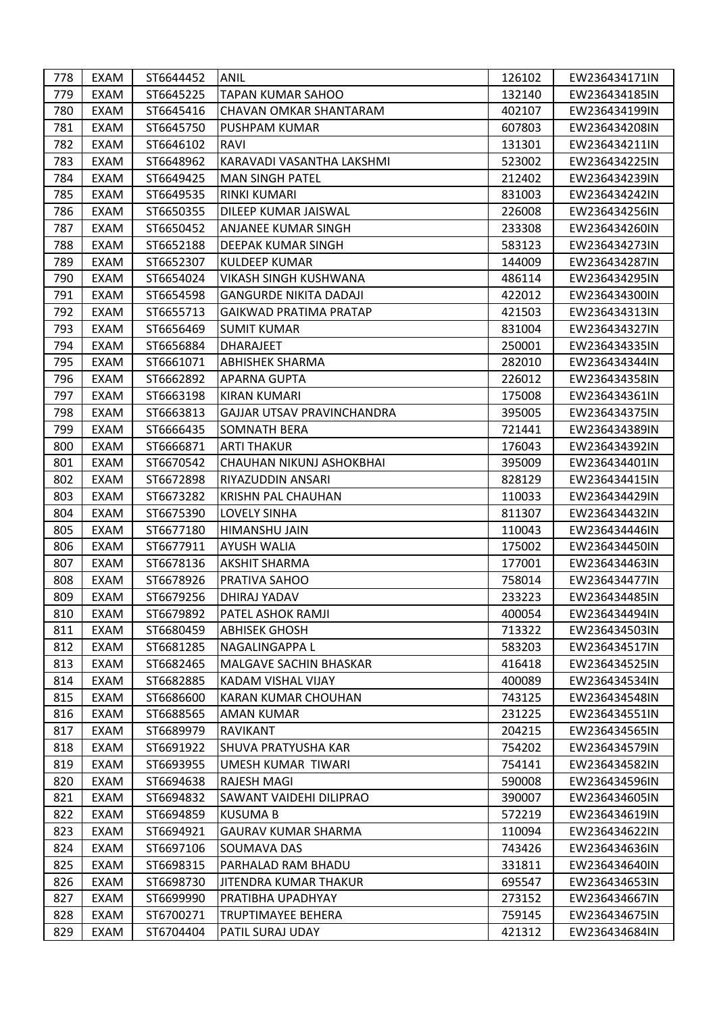| 778 | EXAM | ST6644452 | ANIL                           | 126102 | EW236434171IN |
|-----|------|-----------|--------------------------------|--------|---------------|
| 779 | EXAM | ST6645225 | <b>TAPAN KUMAR SAHOO</b>       | 132140 | EW236434185IN |
| 780 | EXAM | ST6645416 | <b>CHAVAN OMKAR SHANTARAM</b>  | 402107 | EW236434199IN |
| 781 | EXAM | ST6645750 | PUSHPAM KUMAR                  | 607803 | EW236434208IN |
| 782 | EXAM | ST6646102 | RAVI                           | 131301 | EW236434211IN |
| 783 | EXAM | ST6648962 | KARAVADI VASANTHA LAKSHMI      | 523002 | EW236434225IN |
| 784 | EXAM | ST6649425 | <b>MAN SINGH PATEL</b>         | 212402 | EW236434239IN |
| 785 | EXAM | ST6649535 | <b>RINKI KUMARI</b>            | 831003 | EW236434242IN |
| 786 | EXAM | ST6650355 | DILEEP KUMAR JAISWAL           | 226008 | EW236434256IN |
| 787 | EXAM | ST6650452 | <b>ANJANEE KUMAR SINGH</b>     | 233308 | EW236434260IN |
| 788 | EXAM | ST6652188 | <b>DEEPAK KUMAR SINGH</b>      | 583123 | EW236434273IN |
| 789 | EXAM | ST6652307 | <b>KULDEEP KUMAR</b>           | 144009 | EW236434287IN |
| 790 | EXAM | ST6654024 | VIKASH SINGH KUSHWANA          | 486114 | EW236434295IN |
| 791 | EXAM | ST6654598 | <b>GANGURDE NIKITA DADAJI</b>  | 422012 | EW236434300IN |
| 792 | EXAM | ST6655713 | <b>GAIKWAD PRATIMA PRATAP</b>  | 421503 | EW236434313IN |
| 793 | EXAM | ST6656469 | <b>SUMIT KUMAR</b>             | 831004 | EW236434327IN |
| 794 | EXAM | ST6656884 | <b>DHARAJEET</b>               | 250001 | EW236434335IN |
| 795 | EXAM | ST6661071 | <b>ABHISHEK SHARMA</b>         | 282010 | EW236434344IN |
| 796 | EXAM | ST6662892 | <b>APARNA GUPTA</b>            | 226012 | EW236434358IN |
| 797 | EXAM | ST6663198 | <b>KIRAN KUMARI</b>            | 175008 | EW236434361IN |
| 798 | EXAM | ST6663813 | GAJJAR UTSAV PRAVINCHANDRA     | 395005 | EW236434375IN |
| 799 | EXAM | ST6666435 | <b>SOMNATH BERA</b>            | 721441 | EW236434389IN |
| 800 | EXAM | ST6666871 | <b>ARTI THAKUR</b>             | 176043 | EW236434392IN |
| 801 | EXAM | ST6670542 | CHAUHAN NIKUNJ ASHOKBHAI       | 395009 | EW236434401IN |
| 802 | EXAM | ST6672898 | RIYAZUDDIN ANSARI              | 828129 | EW236434415IN |
| 803 | EXAM | ST6673282 | <b>KRISHN PAL CHAUHAN</b>      | 110033 | EW236434429IN |
| 804 | EXAM | ST6675390 | <b>LOVELY SINHA</b>            | 811307 | EW236434432IN |
| 805 | EXAM | ST6677180 | <b>HIMANSHU JAIN</b>           | 110043 | EW236434446IN |
| 806 | EXAM | ST6677911 | <b>AYUSH WALIA</b>             | 175002 | EW236434450IN |
| 807 | EXAM | ST6678136 | <b>AKSHIT SHARMA</b>           | 177001 | EW236434463IN |
| 808 | EXAM | ST6678926 | PRATIVA SAHOO                  | 758014 | EW236434477IN |
| 809 | EXAM | ST6679256 | DHIRAJ YADAV                   | 233223 | EW236434485IN |
| 810 | EXAM | ST6679892 | <b>PATEL ASHOK RAMJI</b>       | 400054 | EW236434494IN |
| 811 | EXAM | ST6680459 | <b>ABHISEK GHOSH</b>           | 713322 | EW236434503IN |
| 812 | EXAM | ST6681285 | NAGALINGAPPA L                 | 583203 | EW236434517IN |
| 813 | EXAM | ST6682465 | <b>MALGAVE SACHIN BHASKAR</b>  | 416418 | EW236434525IN |
| 814 | EXAM | ST6682885 | KADAM VISHAL VIJAY             | 400089 | EW236434534IN |
| 815 | EXAM | ST6686600 | KARAN KUMAR CHOUHAN            | 743125 | EW236434548IN |
| 816 | EXAM | ST6688565 | <b>AMAN KUMAR</b>              | 231225 | EW236434551IN |
| 817 | EXAM | ST6689979 | <b>RAVIKANT</b>                | 204215 | EW236434565IN |
| 818 | EXAM | ST6691922 | <b>SHUVA PRATYUSHA KAR</b>     | 754202 | EW236434579IN |
| 819 | EXAM | ST6693955 | UMESH KUMAR TIWARI             | 754141 | EW236434582IN |
| 820 | EXAM | ST6694638 | <b>RAJESH MAGI</b>             | 590008 | EW236434596IN |
| 821 | EXAM | ST6694832 | <b>SAWANT VAIDEHI DILIPRAO</b> | 390007 | EW236434605IN |
| 822 | EXAM | ST6694859 | <b>KUSUMA B</b>                | 572219 | EW236434619IN |
| 823 | EXAM | ST6694921 | <b>GAURAV KUMAR SHARMA</b>     | 110094 | EW236434622IN |
| 824 | EXAM | ST6697106 | SOUMAVA DAS                    | 743426 | EW236434636IN |
| 825 | EXAM | ST6698315 | PARHALAD RAM BHADU             | 331811 | EW236434640IN |
| 826 | EXAM | ST6698730 | JITENDRA KUMAR THAKUR          | 695547 | EW236434653IN |
| 827 | EXAM | ST6699990 | PRATIBHA UPADHYAY              | 273152 | EW236434667IN |
| 828 | EXAM | ST6700271 | <b>TRUPTIMAYEE BEHERA</b>      | 759145 | EW236434675IN |
| 829 | EXAM | ST6704404 | PATIL SURAJ UDAY               | 421312 | EW236434684IN |
|     |      |           |                                |        |               |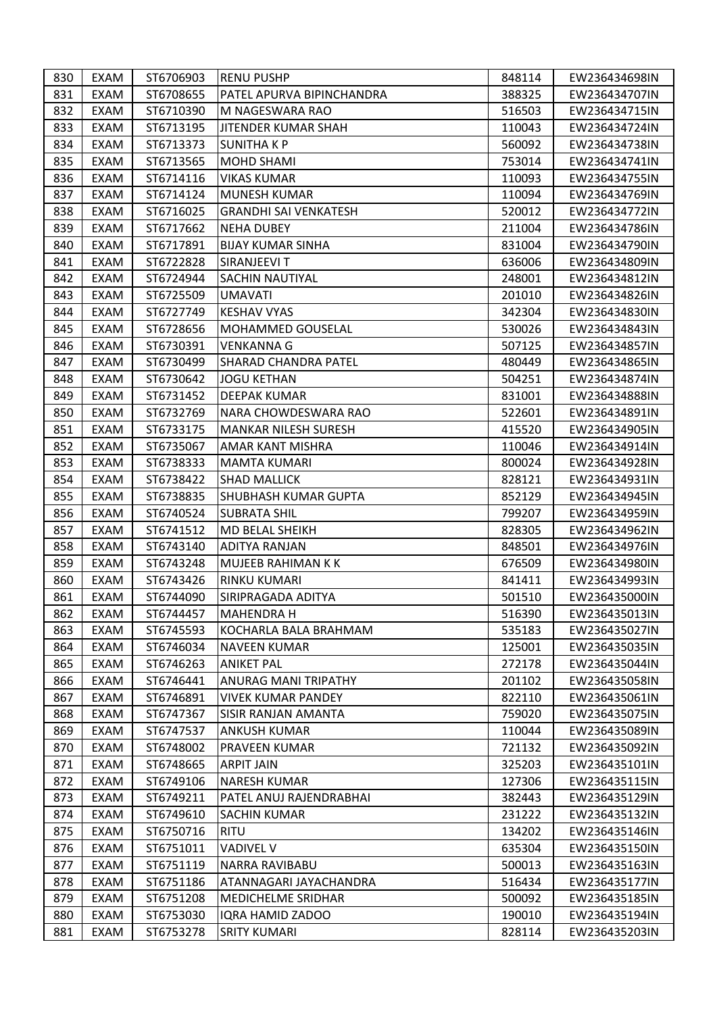| 830 | EXAM | ST6706903 | <b>RENU PUSHP</b>            | 848114 | EW236434698IN |
|-----|------|-----------|------------------------------|--------|---------------|
| 831 | EXAM | ST6708655 | PATEL APURVA BIPINCHANDRA    | 388325 | EW236434707IN |
| 832 | EXAM | ST6710390 | M NAGESWARA RAO              | 516503 | EW236434715IN |
| 833 | EXAM | ST6713195 | JITENDER KUMAR SHAH          | 110043 | EW236434724IN |
| 834 | EXAM | ST6713373 | SUNITHA K P                  | 560092 | EW236434738IN |
| 835 | EXAM | ST6713565 | MOHD SHAMI                   | 753014 | EW236434741IN |
| 836 | EXAM | ST6714116 | <b>VIKAS KUMAR</b>           | 110093 | EW236434755IN |
| 837 | EXAM | ST6714124 | MUNESH KUMAR                 | 110094 | EW236434769IN |
| 838 | EXAM | ST6716025 | <b>GRANDHI SAI VENKATESH</b> | 520012 | EW236434772IN |
| 839 | EXAM | ST6717662 | <b>NEHA DUBEY</b>            | 211004 | EW236434786IN |
| 840 | EXAM | ST6717891 | <b>BIJAY KUMAR SINHA</b>     | 831004 | EW236434790IN |
| 841 | EXAM | ST6722828 | SIRANJEEVI T                 | 636006 | EW236434809IN |
| 842 | EXAM | ST6724944 | ISACHIN NAUTIYAL             | 248001 | EW236434812IN |
| 843 | EXAM | ST6725509 | UMAVATI                      | 201010 | EW236434826IN |
| 844 | EXAM | ST6727749 | <b>KESHAV VYAS</b>           | 342304 | EW236434830IN |
| 845 | EXAM | ST6728656 | MOHAMMED GOUSELAL            | 530026 | EW236434843IN |
| 846 | EXAM | ST6730391 | VENKANNA G                   | 507125 | EW236434857IN |
| 847 | EXAM | ST6730499 | <b>SHARAD CHANDRA PATEL</b>  | 480449 | EW236434865IN |
| 848 | EXAM | ST6730642 | <b>JOGU KETHAN</b>           | 504251 | EW236434874IN |
| 849 | EXAM | ST6731452 | <b>DEEPAK KUMAR</b>          | 831001 | EW236434888IN |
| 850 | EXAM | ST6732769 | NARA CHOWDESWARA RAO         | 522601 | EW236434891IN |
| 851 | EXAM | ST6733175 | <b>MANKAR NILESH SURESH</b>  | 415520 | EW236434905IN |
| 852 | EXAM | ST6735067 | AMAR KANT MISHRA             | 110046 | EW236434914IN |
| 853 | EXAM | ST6738333 | <b>MAMTA KUMARI</b>          | 800024 | EW236434928IN |
| 854 | EXAM | ST6738422 | <b>SHAD MALLICK</b>          | 828121 | EW236434931IN |
| 855 | EXAM | ST6738835 | <b>SHUBHASH KUMAR GUPTA</b>  | 852129 | EW236434945IN |
| 856 | EXAM | ST6740524 | <b>SUBRATA SHIL</b>          | 799207 | EW236434959IN |
| 857 | EXAM | ST6741512 | MD BELAL SHEIKH              | 828305 | EW236434962IN |
| 858 | EXAM | ST6743140 | <b>ADITYA RANJAN</b>         | 848501 | EW236434976IN |
| 859 | EXAM | ST6743248 | MUJEEB RAHIMAN K K           | 676509 | EW236434980IN |
| 860 | EXAM | ST6743426 | <b>RINKU KUMARI</b>          | 841411 | EW236434993IN |
| 861 | EXAM | ST6744090 | SIRIPRAGADA ADITYA           | 501510 | EW236435000IN |
| 862 | EXAM | ST6744457 | <b>MAHENDRA H</b>            | 516390 | EW236435013IN |
| 863 | EXAM | ST6745593 | KOCHARLA BALA BRAHMAM        | 535183 | EW236435027IN |
| 864 | EXAM | ST6746034 | <b>NAVEEN KUMAR</b>          | 125001 | EW236435035IN |
| 865 | EXAM | ST6746263 | <b>ANIKET PAL</b>            | 272178 | EW236435044IN |
| 866 | EXAM | ST6746441 | <b>ANURAG MANI TRIPATHY</b>  | 201102 | EW236435058IN |
| 867 | EXAM | ST6746891 | <b>VIVEK KUMAR PANDEY</b>    | 822110 | EW236435061IN |
| 868 | EXAM | ST6747367 | ISISIR RANJAN AMANTA         | 759020 | EW236435075IN |
| 869 | EXAM | ST6747537 | <b>ANKUSH KUMAR</b>          | 110044 | EW236435089IN |
| 870 | EXAM | ST6748002 | <b>PRAVEEN KUMAR</b>         | 721132 | EW236435092IN |
| 871 | EXAM | ST6748665 | <b>ARPIT JAIN</b>            | 325203 | EW236435101IN |
| 872 | EXAM | ST6749106 | <b>NARESH KUMAR</b>          | 127306 | EW236435115IN |
| 873 | EXAM | ST6749211 | PATEL ANUJ RAJENDRABHAI      | 382443 | EW236435129IN |
| 874 | EXAM | ST6749610 | <b>SACHIN KUMAR</b>          | 231222 | EW236435132IN |
| 875 | EXAM | ST6750716 | <b>RITU</b>                  | 134202 | EW236435146IN |
| 876 | EXAM | ST6751011 | <b>VADIVEL V</b>             | 635304 | EW236435150IN |
| 877 | EXAM | ST6751119 | <b>NARRA RAVIBABU</b>        | 500013 | EW236435163IN |
| 878 | EXAM | ST6751186 | ATANNAGARI JAYACHANDRA       | 516434 | EW236435177IN |
| 879 | EXAM | ST6751208 | <b>MEDICHELME SRIDHAR</b>    | 500092 | EW236435185IN |
| 880 | EXAM | ST6753030 | IQRA HAMID ZADOO             | 190010 | EW236435194IN |
| 881 | EXAM | ST6753278 | <b>SRITY KUMARI</b>          | 828114 | EW236435203IN |
|     |      |           |                              |        |               |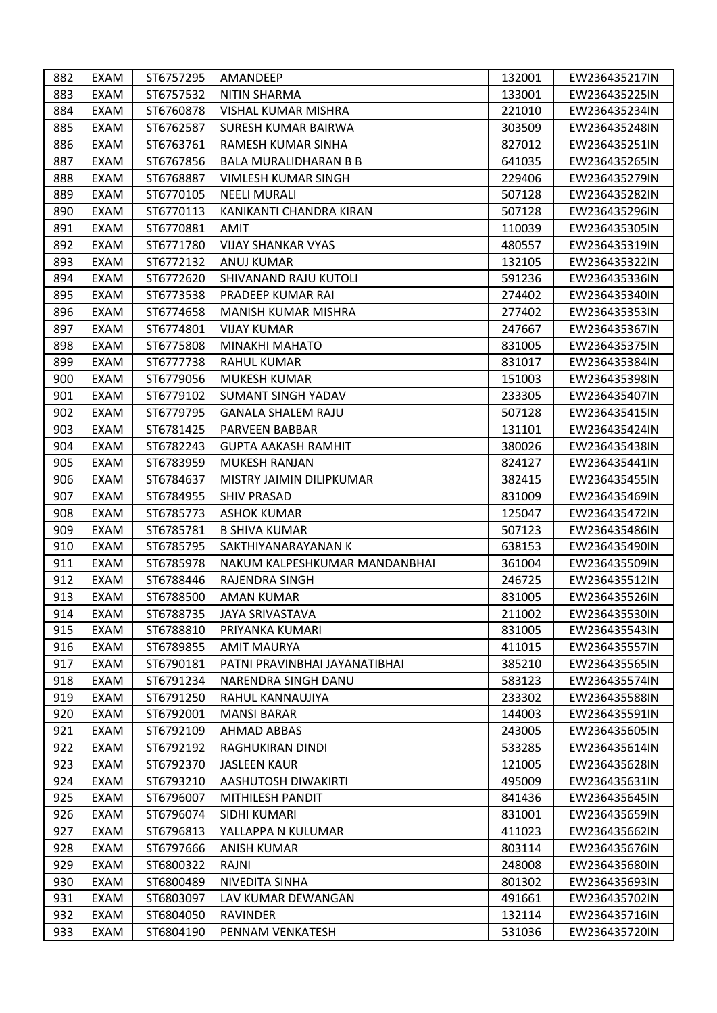| 882 | EXAM        | ST6757295 | AMANDEEP                        | 132001 | EW236435217IN |
|-----|-------------|-----------|---------------------------------|--------|---------------|
| 883 | EXAM        | ST6757532 | <b>NITIN SHARMA</b>             | 133001 | EW236435225IN |
| 884 | EXAM        | ST6760878 | <b>VISHAL KUMAR MISHRA</b>      | 221010 | EW236435234IN |
| 885 | EXAM        | ST6762587 | <b>SURESH KUMAR BAIRWA</b>      | 303509 | EW236435248IN |
| 886 | EXAM        | ST6763761 | RAMESH KUMAR SINHA              | 827012 | EW236435251IN |
| 887 | EXAM        | ST6767856 | <b>BALA MURALIDHARAN B B</b>    | 641035 | EW236435265IN |
| 888 | EXAM        | ST6768887 | VIMLESH KUMAR SINGH             | 229406 | EW236435279IN |
| 889 | EXAM        | ST6770105 | <b>NEELI MURALI</b>             | 507128 | EW236435282IN |
| 890 | EXAM        | ST6770113 | KANIKANTI CHANDRA KIRAN         | 507128 | EW236435296IN |
| 891 | EXAM        | ST6770881 | AMIT                            | 110039 | EW236435305IN |
| 892 | EXAM        | ST6771780 | VIJAY SHANKAR VYAS              | 480557 | EW236435319IN |
| 893 | EXAM        | ST6772132 | <b>ANUJ KUMAR</b>               | 132105 | EW236435322IN |
| 894 | EXAM        | ST6772620 | SHIVANAND RAJU KUTOLI           | 591236 | EW236435336IN |
| 895 | EXAM        | ST6773538 | PRADEEP KUMAR RAI               | 274402 | EW236435340IN |
| 896 | <b>EXAM</b> | ST6774658 | <b>MANISH KUMAR MISHRA</b>      | 277402 | EW236435353IN |
| 897 | EXAM        | ST6774801 | <b>VIJAY KUMAR</b>              | 247667 | EW236435367IN |
| 898 | EXAM        | ST6775808 | <b>MINAKHI MAHATO</b>           | 831005 | EW236435375IN |
| 899 | EXAM        | ST6777738 | <b>RAHUL KUMAR</b>              | 831017 | EW236435384IN |
| 900 | EXAM        | ST6779056 | <b>MUKESH KUMAR</b>             | 151003 | EW236435398IN |
| 901 | EXAM        | ST6779102 | <b>SUMANT SINGH YADAV</b>       | 233305 | EW236435407IN |
| 902 | EXAM        | ST6779795 | <b>GANALA SHALEM RAJU</b>       | 507128 | EW236435415IN |
| 903 | EXAM        | ST6781425 | <b>PARVEEN BABBAR</b>           | 131101 | EW236435424IN |
| 904 | EXAM        | ST6782243 | <b>GUPTA AAKASH RAMHIT</b>      | 380026 | EW236435438IN |
| 905 | EXAM        | ST6783959 | <b>MUKESH RANJAN</b>            | 824127 | EW236435441IN |
| 906 | EXAM        | ST6784637 | <b>MISTRY JAIMIN DILIPKUMAR</b> | 382415 | EW236435455IN |
| 907 | EXAM        | ST6784955 | <b>SHIV PRASAD</b>              | 831009 | EW236435469IN |
| 908 | EXAM        | ST6785773 | <b>ASHOK KUMAR</b>              | 125047 | EW236435472IN |
| 909 | EXAM        | ST6785781 | <b>B SHIVA KUMAR</b>            | 507123 | EW236435486IN |
| 910 | EXAM        | ST6785795 | SAKTHIYANARAYANAN K             | 638153 | EW236435490IN |
| 911 | EXAM        | ST6785978 | NAKUM KALPESHKUMAR MANDANBHAI   | 361004 | EW236435509IN |
| 912 | EXAM        | ST6788446 | RAJENDRA SINGH                  | 246725 | EW236435512IN |
| 913 | EXAM        | ST6788500 | <b>AMAN KUMAR</b>               | 831005 | EW236435526IN |
| 914 | EXAM        | ST6788735 | JAYA SRIVASTAVA                 | 211002 | EW236435530IN |
| 915 | EXAM        | ST6788810 | PRIYANKA KUMARI                 | 831005 | EW236435543IN |
| 916 | EXAM        | ST6789855 | <b>AMIT MAURYA</b>              | 411015 | EW236435557IN |
| 917 | EXAM        | ST6790181 | PATNI PRAVINBHAI JAYANATIBHAI   | 385210 | EW236435565IN |
| 918 | EXAM        | ST6791234 | NARENDRA SINGH DANU             | 583123 | EW236435574IN |
| 919 | EXAM        | ST6791250 | IRAHUL KANNAUJIYA               | 233302 | EW236435588IN |
| 920 | EXAM        | ST6792001 | <b>MANSI BARAR</b>              | 144003 | EW236435591IN |
| 921 | EXAM        | ST6792109 | <b>AHMAD ABBAS</b>              | 243005 | EW236435605IN |
| 922 | EXAM        | ST6792192 | RAGHUKIRAN DINDI                | 533285 | EW236435614IN |
| 923 | EXAM        | ST6792370 | <b>JASLEEN KAUR</b>             | 121005 | EW236435628IN |
| 924 | EXAM        | ST6793210 | <b>AASHUTOSH DIWAKIRTI</b>      | 495009 | EW236435631IN |
| 925 | EXAM        | ST6796007 | <b>MITHILESH PANDIT</b>         | 841436 | EW236435645IN |
| 926 | EXAM        | ST6796074 | SIDHI KUMARI                    | 831001 | EW236435659IN |
| 927 | EXAM        | ST6796813 | YALLAPPA N KULUMAR              | 411023 | EW236435662IN |
| 928 | EXAM        | ST6797666 | <b>ANISH KUMAR</b>              | 803114 | EW236435676IN |
| 929 | EXAM        | ST6800322 | RAJNI                           | 248008 | EW236435680IN |
| 930 | EXAM        | ST6800489 | <b>NIVEDITA SINHA</b>           | 801302 | EW236435693IN |
| 931 | EXAM        | ST6803097 | LAV KUMAR DEWANGAN              | 491661 | EW236435702IN |
| 932 | EXAM        | ST6804050 | <b>RAVINDER</b>                 | 132114 | EW236435716IN |
| 933 | EXAM        | ST6804190 | PENNAM VENKATESH                | 531036 | EW236435720IN |
|     |             |           |                                 |        |               |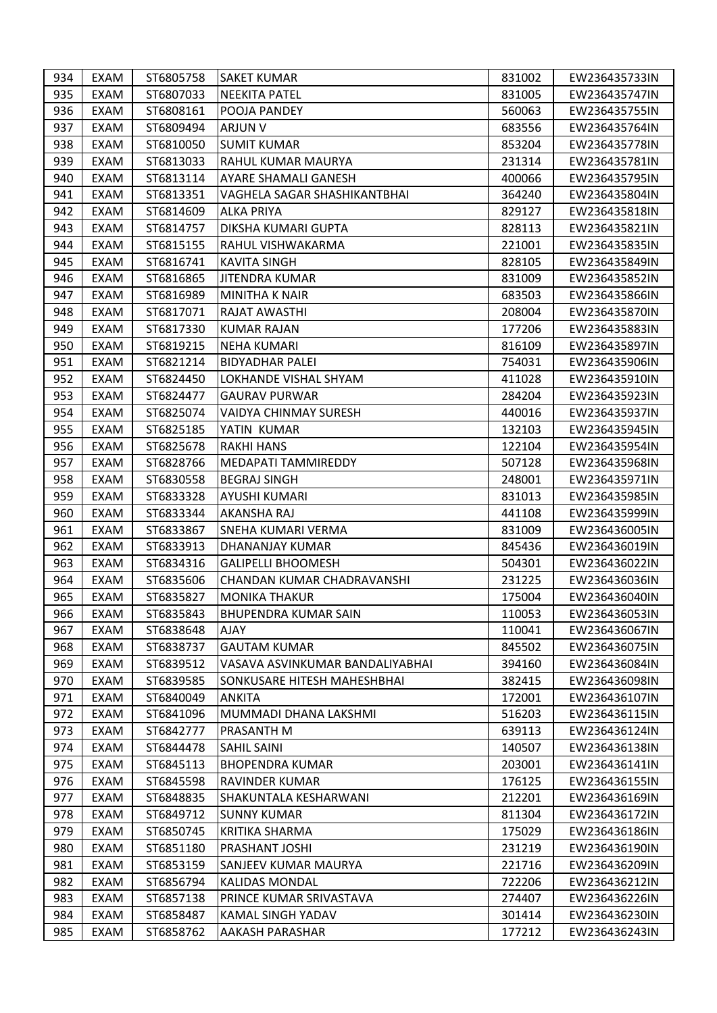| 934 | EXAM        | ST6805758 | <b>SAKET KUMAR</b>                 | 831002 | EW236435733IN |
|-----|-------------|-----------|------------------------------------|--------|---------------|
| 935 | EXAM        | ST6807033 | <b>NEEKITA PATEL</b>               | 831005 | EW236435747IN |
| 936 | EXAM        | ST6808161 | POOJA PANDEY                       | 560063 | EW236435755IN |
| 937 | EXAM        | ST6809494 | ARJUN V                            | 683556 | EW236435764IN |
| 938 | EXAM        | ST6810050 | <b>SUMIT KUMAR</b>                 | 853204 | EW236435778IN |
| 939 | EXAM        | ST6813033 | RAHUL KUMAR MAURYA                 | 231314 | EW236435781IN |
| 940 | EXAM        | ST6813114 | AYARE SHAMALI GANESH               | 400066 | EW236435795IN |
| 941 | EXAM        | ST6813351 | VAGHELA SAGAR SHASHIKANTBHAI       | 364240 | EW236435804IN |
| 942 | <b>EXAM</b> | ST6814609 | <b>ALKA PRIYA</b>                  | 829127 | EW236435818IN |
| 943 | EXAM        | ST6814757 | DIKSHA KUMARI GUPTA                | 828113 | EW236435821IN |
| 944 | EXAM        | ST6815155 | RAHUL VISHWAKARMA                  | 221001 | EW236435835IN |
| 945 | EXAM        | ST6816741 | <b>KAVITA SINGH</b>                | 828105 | EW236435849IN |
| 946 | EXAM        | ST6816865 | JITENDRA KUMAR                     | 831009 | EW236435852IN |
| 947 | EXAM        | ST6816989 | MINITHA K NAIR                     | 683503 | EW236435866IN |
| 948 | EXAM        | ST6817071 | RAJAT AWASTHI                      | 208004 | EW236435870IN |
| 949 | EXAM        | ST6817330 | <b>KUMAR RAJAN</b>                 | 177206 | EW236435883IN |
| 950 | EXAM        | ST6819215 | <b>NEHA KUMARI</b>                 | 816109 | EW236435897IN |
| 951 | EXAM        | ST6821214 | <b>BIDYADHAR PALEI</b>             | 754031 | EW236435906IN |
| 952 | EXAM        | ST6824450 | LOKHANDE VISHAL SHYAM              | 411028 | EW236435910IN |
| 953 | EXAM        | ST6824477 | <b>GAURAV PURWAR</b>               | 284204 | EW236435923IN |
| 954 | EXAM        | ST6825074 | <b>VAIDYA CHINMAY SURESH</b>       | 440016 | EW236435937IN |
| 955 | EXAM        | ST6825185 | YATIN KUMAR                        | 132103 | EW236435945IN |
| 956 | EXAM        | ST6825678 | <b>RAKHI HANS</b>                  | 122104 | EW236435954IN |
| 957 | EXAM        | ST6828766 | MEDAPATI TAMMIREDDY                | 507128 | EW236435968IN |
| 958 | EXAM        | ST6830558 | <b>BEGRAJ SINGH</b>                | 248001 | EW236435971IN |
| 959 | EXAM        | ST6833328 | AYUSHI KUMARI                      | 831013 | EW236435985IN |
| 960 | EXAM        | ST6833344 | <b>AKANSHA RAJ</b>                 | 441108 | EW236435999IN |
| 961 | EXAM        | ST6833867 | <b>SNEHA KUMARI VERMA</b>          | 831009 | EW236436005IN |
| 962 | EXAM        | ST6833913 | DHANANJAY KUMAR                    | 845436 | EW236436019IN |
| 963 | EXAM        | ST6834316 | <b>GALIPELLI BHOOMESH</b>          | 504301 | EW236436022IN |
| 964 | EXAM        | ST6835606 | CHANDAN KUMAR CHADRAVANSHI         | 231225 | EW236436036IN |
| 965 | EXAM        | ST6835827 | <b>MONIKA THAKUR</b>               | 175004 | EW236436040IN |
| 966 | EXAM        | ST6835843 | <b>BHUPENDRA KUMAR SAIN</b>        | 110053 | EW236436053IN |
| 967 | EXAM        | ST6838648 | <b>AJAY</b>                        | 110041 | EW236436067IN |
| 968 | EXAM        | ST6838737 | <b>GAUTAM KUMAR</b>                | 845502 | EW236436075IN |
| 969 | EXAM        | ST6839512 | VASAVA ASVINKUMAR BANDALIYABHAI    | 394160 | EW236436084IN |
| 970 | EXAM        | ST6839585 | <b>SONKUSARE HITESH MAHESHBHAI</b> | 382415 | EW236436098IN |
| 971 | EXAM        | ST6840049 | <b>ANKITA</b>                      | 172001 | EW236436107IN |
| 972 | EXAM        | ST6841096 | MUMMADI DHANA LAKSHMI              | 516203 | EW236436115IN |
| 973 | EXAM        | ST6842777 | <b>PRASANTH M</b>                  | 639113 | EW236436124IN |
| 974 | EXAM        | ST6844478 | <b>SAHIL SAINI</b>                 | 140507 | EW236436138IN |
| 975 | EXAM        | ST6845113 | <b>BHOPENDRA KUMAR</b>             | 203001 | EW236436141IN |
| 976 | EXAM        | ST6845598 | RAVINDER KUMAR                     | 176125 | EW236436155IN |
| 977 | EXAM        | ST6848835 | SHAKUNTALA KESHARWANI              | 212201 | EW236436169IN |
| 978 | EXAM        | ST6849712 | <b>SUNNY KUMAR</b>                 | 811304 | EW236436172IN |
| 979 | EXAM        | ST6850745 | <b>KRITIKA SHARMA</b>              | 175029 | EW236436186IN |
| 980 | EXAM        | ST6851180 | PRASHANT JOSHI                     | 231219 | EW236436190IN |
| 981 | EXAM        | ST6853159 | SANJEEV KUMAR MAURYA               | 221716 | EW236436209IN |
| 982 | EXAM        | ST6856794 | <b>KALIDAS MONDAL</b>              | 722206 | EW236436212IN |
| 983 | EXAM        | ST6857138 | PRINCE KUMAR SRIVASTAVA            | 274407 | EW236436226IN |
| 984 | EXAM        | ST6858487 | KAMAL SINGH YADAV                  | 301414 | EW236436230IN |
| 985 | EXAM        | ST6858762 | <b>AAKASH PARASHAR</b>             | 177212 | EW236436243IN |
|     |             |           |                                    |        |               |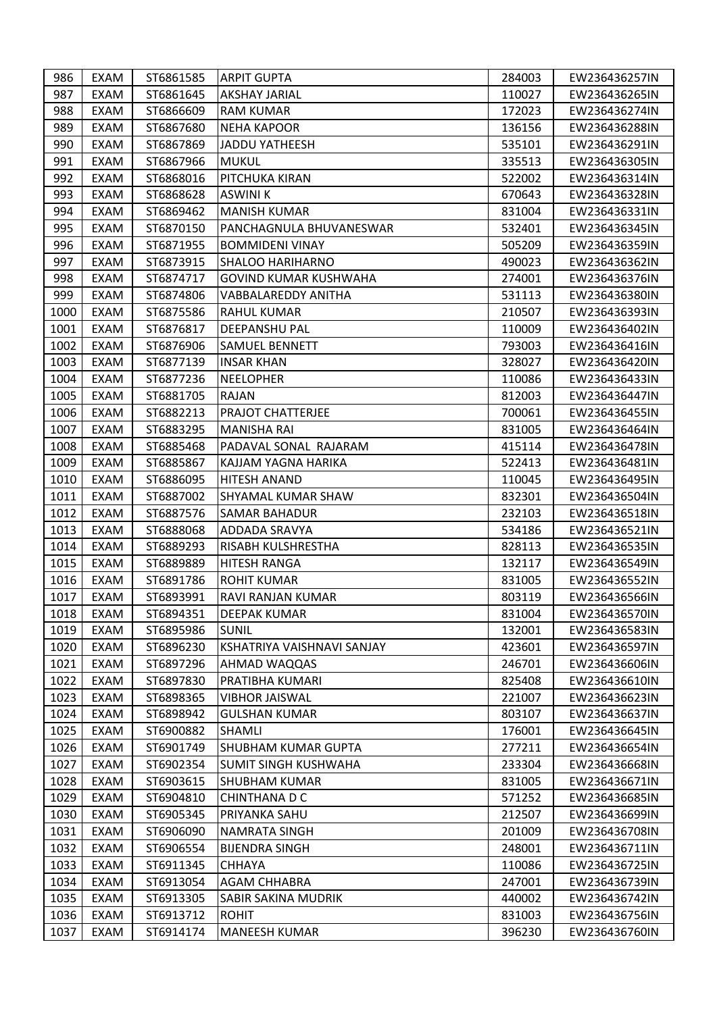| 986  | EXAM        | ST6861585 | <b>ARPIT GUPTA</b>         | 284003 | EW236436257IN |
|------|-------------|-----------|----------------------------|--------|---------------|
| 987  | EXAM        | ST6861645 | <b>AKSHAY JARIAL</b>       | 110027 | EW236436265IN |
| 988  | EXAM        | ST6866609 | <b>RAM KUMAR</b>           | 172023 | EW236436274IN |
| 989  | EXAM        | ST6867680 | <b>NEHA KAPOOR</b>         | 136156 | EW236436288IN |
| 990  | <b>EXAM</b> | ST6867869 | <b>JADDU YATHEESH</b>      | 535101 | EW236436291IN |
| 991  | EXAM        | ST6867966 | <b>MUKUL</b>               | 335513 | EW236436305IN |
| 992  | EXAM        | ST6868016 | PITCHUKA KIRAN             | 522002 | EW236436314IN |
| 993  | EXAM        | ST6868628 | <b>ASWINI K</b>            | 670643 | EW236436328IN |
| 994  | EXAM        | ST6869462 | <b>MANISH KUMAR</b>        | 831004 | EW236436331IN |
| 995  | EXAM        | ST6870150 | PANCHAGNULA BHUVANESWAR    | 532401 | EW236436345IN |
| 996  | EXAM        | ST6871955 | <b>BOMMIDENI VINAY</b>     | 505209 | EW236436359IN |
| 997  | EXAM        | ST6873915 | <b>SHALOO HARIHARNO</b>    | 490023 | EW236436362IN |
| 998  | EXAM        | ST6874717 | GOVIND KUMAR KUSHWAHA      | 274001 | EW236436376IN |
| 999  | EXAM        | ST6874806 | VABBALAREDDY ANITHA        | 531113 | EW236436380IN |
| 1000 | <b>EXAM</b> | ST6875586 | <b>RAHUL KUMAR</b>         | 210507 | EW236436393IN |
| 1001 | <b>EXAM</b> | ST6876817 | <b>DEEPANSHU PAL</b>       | 110009 | EW236436402IN |
| 1002 | EXAM        | ST6876906 | <b>SAMUEL BENNETT</b>      | 793003 | EW236436416IN |
| 1003 | EXAM        | ST6877139 | <b>INSAR KHAN</b>          | 328027 | EW236436420IN |
| 1004 | EXAM        | ST6877236 | NEELOPHER                  | 110086 | EW236436433IN |
| 1005 | EXAM        | ST6881705 | RAJAN                      | 812003 | EW236436447IN |
| 1006 | EXAM        | ST6882213 | <b>PRAJOT CHATTERJEE</b>   | 700061 | EW236436455IN |
| 1007 | EXAM        | ST6883295 | <b>MANISHA RAI</b>         | 831005 | EW236436464IN |
| 1008 | EXAM        | ST6885468 | PADAVAL SONAL RAJARAM      | 415114 | EW236436478IN |
| 1009 | EXAM        | ST6885867 | KAJJAM YAGNA HARIKA        | 522413 | EW236436481IN |
| 1010 | EXAM        | ST6886095 | <b>HITESH ANAND</b>        | 110045 | EW236436495IN |
| 1011 | EXAM        | ST6887002 | <b>SHYAMAL KUMAR SHAW</b>  | 832301 | EW236436504IN |
| 1012 | EXAM        | ST6887576 | <b>SAMAR BAHADUR</b>       | 232103 | EW236436518IN |
| 1013 | EXAM        | ST6888068 | <b>ADDADA SRAVYA</b>       | 534186 | EW236436521IN |
| 1014 | EXAM        | ST6889293 | <b>RISABH KULSHRESTHA</b>  | 828113 | EW236436535IN |
| 1015 | EXAM        | ST6889889 | <b>HITESH RANGA</b>        | 132117 | EW236436549IN |
| 1016 | <b>EXAM</b> | ST6891786 | <b>ROHIT KUMAR</b>         | 831005 | EW236436552IN |
| 1017 | EXAM        | ST6893991 | RAVI RANJAN KUMAR          | 803119 | EW236436566IN |
| 1018 | EXAM        | ST6894351 | DEEPAK KUMAR               | 831004 | EW236436570IN |
| 1019 | EXAM        | ST6895986 | <b>SUNIL</b>               | 132001 | EW236436583IN |
| 1020 | EXAM        | ST6896230 | KSHATRIYA VAISHNAVI SANJAY | 423601 | EW236436597IN |
| 1021 | EXAM        | ST6897296 | AHMAD WAQQAS               | 246701 | EW236436606IN |
| 1022 | EXAM        | ST6897830 | PRATIBHA KUMARI            | 825408 | EW236436610IN |
| 1023 | EXAM        | ST6898365 | <b>VIBHOR JAISWAL</b>      | 221007 | EW236436623IN |
| 1024 | EXAM        | ST6898942 | <b>GULSHAN KUMAR</b>       | 803107 | EW236436637IN |
| 1025 | EXAM        | ST6900882 | <b>SHAMLI</b>              | 176001 | EW236436645IN |
| 1026 | EXAM        | ST6901749 | SHUBHAM KUMAR GUPTA        | 277211 | EW236436654IN |
| 1027 | EXAM        | ST6902354 | SUMIT SINGH KUSHWAHA       | 233304 | EW236436668IN |
| 1028 | EXAM        | ST6903615 | <b>SHUBHAM KUMAR</b>       | 831005 | EW236436671IN |
| 1029 | EXAM        | ST6904810 | <b>CHINTHANA D C</b>       | 571252 | EW236436685IN |
| 1030 | EXAM        | ST6905345 | <b>PRIYANKA SAHU</b>       | 212507 | EW236436699IN |
| 1031 | EXAM        | ST6906090 | <b>NAMRATA SINGH</b>       | 201009 | EW236436708IN |
| 1032 | EXAM        | ST6906554 | <b>BIJENDRA SINGH</b>      | 248001 | EW236436711IN |
| 1033 | EXAM        | ST6911345 | <b>CHHAYA</b>              | 110086 | EW236436725IN |
| 1034 | EXAM        | ST6913054 | <b>AGAM CHHABRA</b>        | 247001 | EW236436739IN |
| 1035 | EXAM        | ST6913305 | SABIR SAKINA MUDRIK        | 440002 | EW236436742IN |
| 1036 | EXAM        | ST6913712 | <b>ROHIT</b>               | 831003 | EW236436756IN |
| 1037 | EXAM        | ST6914174 | <b>MANEESH KUMAR</b>       | 396230 | EW236436760IN |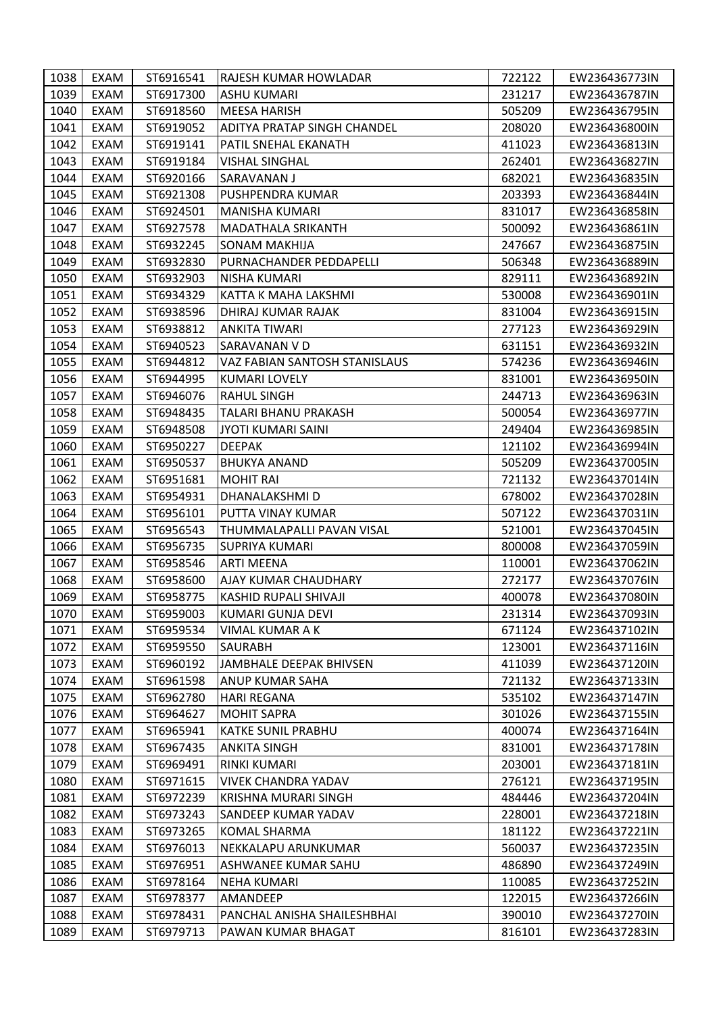| 1038 | EXAM | ST6916541 | RAJESH KUMAR HOWLADAR         | 722122 | EW236436773IN |
|------|------|-----------|-------------------------------|--------|---------------|
| 1039 | EXAM | ST6917300 | <b>ASHU KUMARI</b>            | 231217 | EW236436787IN |
| 1040 | EXAM | ST6918560 | MEESA HARISH                  | 505209 | EW236436795IN |
| 1041 | EXAM | ST6919052 | ADITYA PRATAP SINGH CHANDEL   | 208020 | EW236436800IN |
| 1042 | EXAM | ST6919141 | PATIL SNEHAL EKANATH          | 411023 | EW236436813IN |
| 1043 | EXAM | ST6919184 | <b>VISHAL SINGHAL</b>         | 262401 | EW236436827IN |
| 1044 | EXAM | ST6920166 | SARAVANAN J                   | 682021 | EW236436835IN |
| 1045 | EXAM | ST6921308 | PUSHPENDRA KUMAR              | 203393 | EW236436844IN |
| 1046 | EXAM | ST6924501 | <b>MANISHA KUMARI</b>         | 831017 | EW236436858IN |
| 1047 | EXAM | ST6927578 | <b>MADATHALA SRIKANTH</b>     | 500092 | EW236436861IN |
| 1048 | EXAM | ST6932245 | <b>SONAM MAKHIJA</b>          | 247667 | EW236436875IN |
| 1049 | EXAM | ST6932830 | PURNACHANDER PEDDAPELLI       | 506348 | EW236436889IN |
| 1050 | EXAM | ST6932903 | NISHA KUMARI                  | 829111 | EW236436892IN |
| 1051 | EXAM | ST6934329 | KATTA K MAHA LAKSHMI          | 530008 | EW236436901IN |
| 1052 | EXAM | ST6938596 | DHIRAJ KUMAR RAJAK            | 831004 | EW236436915IN |
| 1053 | EXAM | ST6938812 | <b>ANKITA TIWARI</b>          | 277123 | EW236436929IN |
| 1054 | EXAM | ST6940523 | SARAVANAN V D                 | 631151 | EW236436932IN |
| 1055 | EXAM | ST6944812 | VAZ FABIAN SANTOSH STANISLAUS | 574236 | EW236436946IN |
| 1056 | EXAM | ST6944995 | KUMARI LOVELY                 | 831001 | EW236436950IN |
| 1057 | EXAM | ST6946076 | <b>RAHUL SINGH</b>            | 244713 | EW236436963IN |
| 1058 | EXAM | ST6948435 | <b>TALARI BHANU PRAKASH</b>   | 500054 | EW236436977IN |
| 1059 | EXAM | ST6948508 | <b>JYOTI KUMARI SAINI</b>     | 249404 | EW236436985IN |
| 1060 | EXAM | ST6950227 | <b>DEEPAK</b>                 | 121102 | EW236436994IN |
| 1061 | EXAM | ST6950537 | <b>BHUKYA ANAND</b>           | 505209 | EW236437005IN |
| 1062 | EXAM | ST6951681 | <b>MOHIT RAI</b>              | 721132 | EW236437014IN |
| 1063 | EXAM | ST6954931 | DHANALAKSHMI D                | 678002 | EW236437028IN |
| 1064 | EXAM | ST6956101 | PUTTA VINAY KUMAR             | 507122 | EW236437031IN |
| 1065 | EXAM | ST6956543 | THUMMALAPALLI PAVAN VISAL     | 521001 | EW236437045IN |
| 1066 | EXAM | ST6956735 | <b>SUPRIYA KUMARI</b>         | 800008 | EW236437059IN |
| 1067 | EXAM | ST6958546 | <b>ARTI MEENA</b>             | 110001 | EW236437062IN |
| 1068 | EXAM | ST6958600 | AJAY KUMAR CHAUDHARY          | 272177 | EW236437076IN |
| 1069 | EXAM | ST6958775 | KASHID RUPALI SHIVAJI         | 400078 | EW236437080IN |
| 1070 | EXAM | ST6959003 | KUMARI GUNJA DEVI             | 231314 | EW236437093IN |
| 1071 | EXAM | ST6959534 | VIMAL KUMAR A K               | 671124 | EW236437102IN |
| 1072 | EXAM | ST6959550 | <b>SAURABH</b>                | 123001 | EW236437116IN |
| 1073 | EXAM | ST6960192 | JAMBHALE DEEPAK BHIVSEN       | 411039 | EW236437120IN |
| 1074 | EXAM | ST6961598 | ANUP KUMAR SAHA               | 721132 | EW236437133IN |
| 1075 | EXAM | ST6962780 | <b>HARI REGANA</b>            | 535102 | EW236437147IN |
| 1076 | EXAM | ST6964627 | <b>MOHIT SAPRA</b>            | 301026 | EW236437155IN |
| 1077 | EXAM | ST6965941 | <b>KATKE SUNIL PRABHU</b>     | 400074 | EW236437164IN |
| 1078 | EXAM | ST6967435 | <b>ANKITA SINGH</b>           | 831001 | EW236437178IN |
| 1079 | EXAM | ST6969491 | RINKI KUMARI                  | 203001 | EW236437181IN |
| 1080 | EXAM | ST6971615 | <b>VIVEK CHANDRA YADAV</b>    | 276121 | EW236437195IN |
| 1081 | EXAM | ST6972239 | KRISHNA MURARI SINGH          | 484446 | EW236437204IN |
| 1082 | EXAM | ST6973243 | <b>SANDEEP KUMAR YADAV</b>    | 228001 | EW236437218IN |
| 1083 | EXAM | ST6973265 | <b>KOMAL SHARMA</b>           | 181122 | EW236437221IN |
| 1084 | EXAM | ST6976013 | NEKKALAPU ARUNKUMAR           | 560037 | EW236437235IN |
| 1085 | EXAM | ST6976951 | ASHWANEE KUMAR SAHU           | 486890 | EW236437249IN |
| 1086 | EXAM | ST6978164 | <b>NEHA KUMARI</b>            | 110085 | EW236437252IN |
| 1087 | EXAM | ST6978377 | AMANDEEP                      | 122015 | EW236437266IN |
| 1088 | EXAM | ST6978431 | PANCHAL ANISHA SHAILESHBHAI   | 390010 | EW236437270IN |
| 1089 | EXAM | ST6979713 | PAWAN KUMAR BHAGAT            | 816101 | EW236437283IN |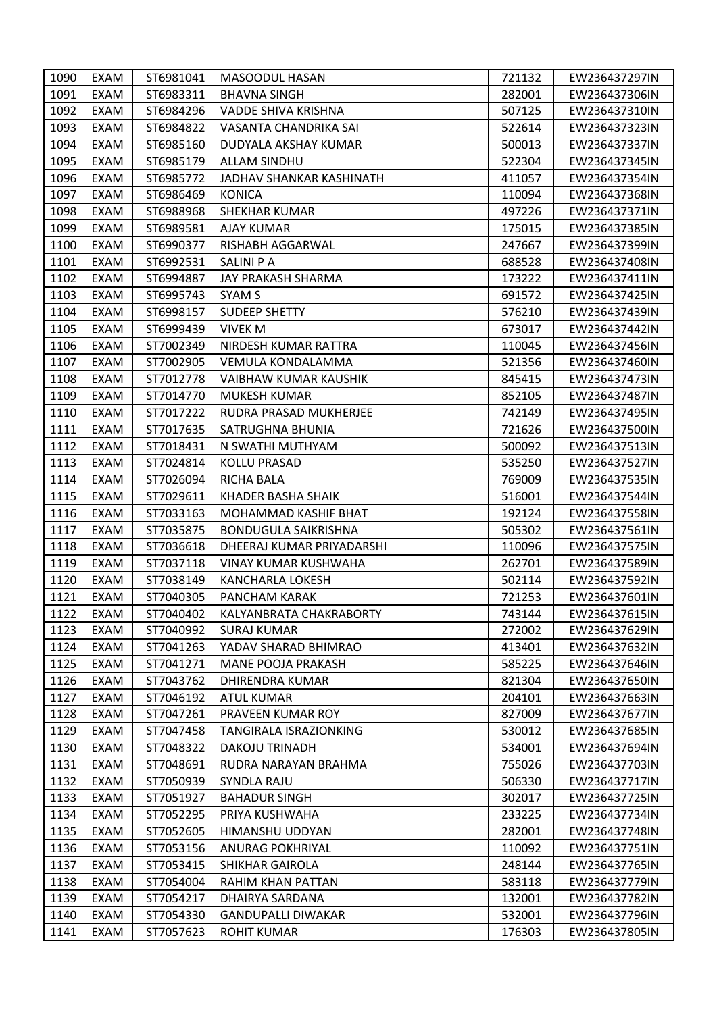| 1090 | EXAM        | ST6981041 | <b>MASOODUL HASAN</b>       | 721132 | EW236437297IN |
|------|-------------|-----------|-----------------------------|--------|---------------|
| 1091 | EXAM        | ST6983311 | <b>BHAVNA SINGH</b>         | 282001 | EW236437306IN |
| 1092 | EXAM        | ST6984296 | VADDE SHIVA KRISHNA         | 507125 | EW236437310IN |
| 1093 | EXAM        | ST6984822 | VASANTA CHANDRIKA SAI       | 522614 | EW236437323IN |
| 1094 | EXAM        | ST6985160 | DUDYALA AKSHAY KUMAR        | 500013 | EW236437337IN |
| 1095 | EXAM        | ST6985179 | <b>ALLAM SINDHU</b>         | 522304 | EW236437345IN |
| 1096 | <b>EXAM</b> | ST6985772 | JADHAV SHANKAR KASHINATH    | 411057 | EW236437354IN |
| 1097 | EXAM        | ST6986469 | <b>KONICA</b>               | 110094 | EW236437368IN |
| 1098 | EXAM        | ST6988968 | <b>SHEKHAR KUMAR</b>        | 497226 | EW236437371IN |
| 1099 | EXAM        | ST6989581 | AJAY KUMAR                  | 175015 | EW236437385IN |
| 1100 | EXAM        | ST6990377 | RISHABH AGGARWAL            | 247667 | EW236437399IN |
| 1101 | EXAM        | ST6992531 | SALINI P A                  | 688528 | EW236437408IN |
| 1102 | <b>EXAM</b> | ST6994887 | JAY PRAKASH SHARMA          | 173222 | EW236437411IN |
| 1103 | EXAM        | ST6995743 | SYAM S                      | 691572 | EW236437425IN |
| 1104 | EXAM        | ST6998157 | <b>SUDEEP SHETTY</b>        | 576210 | EW236437439IN |
| 1105 | <b>EXAM</b> | ST6999439 | <b>VIVEK M</b>              | 673017 | EW236437442IN |
| 1106 | EXAM        | ST7002349 | NIRDESH KUMAR RATTRA        | 110045 | EW236437456IN |
| 1107 | EXAM        | ST7002905 | VEMULA KONDALAMMA           | 521356 | EW236437460IN |
| 1108 | <b>EXAM</b> | ST7012778 | VAIBHAW KUMAR KAUSHIK       | 845415 | EW236437473IN |
| 1109 | EXAM        | ST7014770 | <b>MUKESH KUMAR</b>         | 852105 | EW236437487IN |
| 1110 | EXAM        | ST7017222 | RUDRA PRASAD MUKHERJEE      | 742149 | EW236437495IN |
| 1111 | EXAM        | ST7017635 | SATRUGHNA BHUNIA            | 721626 | EW236437500IN |
| 1112 | EXAM        | ST7018431 | N SWATHI MUTHYAM            | 500092 | EW236437513IN |
| 1113 | EXAM        | ST7024814 | <b>KOLLU PRASAD</b>         | 535250 | EW236437527IN |
| 1114 | EXAM        | ST7026094 | <b>RICHA BALA</b>           | 769009 | EW236437535IN |
| 1115 | EXAM        | ST7029611 | KHADER BASHA SHAIK          | 516001 | EW236437544IN |
| 1116 | EXAM        | ST7033163 | MOHAMMAD KASHIF BHAT        | 192124 | EW236437558IN |
| 1117 | EXAM        | ST7035875 | <b>BONDUGULA SAIKRISHNA</b> | 505302 | EW236437561IN |
| 1118 | EXAM        | ST7036618 | DHEERAJ KUMAR PRIYADARSHI   | 110096 | EW236437575IN |
| 1119 | EXAM        | ST7037118 | VINAY KUMAR KUSHWAHA        | 262701 | EW236437589IN |
| 1120 | EXAM        | ST7038149 | <b>KANCHARLA LOKESH</b>     | 502114 | EW236437592IN |
| 1121 | EXAM        | ST7040305 | PANCHAM KARAK               | 721253 | EW236437601IN |
| 1122 | EXAM        | ST7040402 | KALYANBRATA CHAKRABORTY     | 743144 | EW236437615IN |
| 1123 | EXAM        | ST7040992 | <b>SURAJ KUMAR</b>          | 272002 | EW236437629IN |
| 1124 | EXAM        | ST7041263 | YADAV SHARAD BHIMRAO        | 413401 | EW236437632IN |
| 1125 | EXAM        | ST7041271 | MANE POOJA PRAKASH          | 585225 | EW236437646IN |
| 1126 | EXAM        | ST7043762 | <b>DHIRENDRA KUMAR</b>      | 821304 | EW236437650IN |
| 1127 | EXAM        | ST7046192 | <b>ATUL KUMAR</b>           | 204101 | EW236437663IN |
| 1128 | EXAM        | ST7047261 | PRAVEEN KUMAR ROY           | 827009 | EW236437677IN |
| 1129 | EXAM        | ST7047458 | TANGIRALA ISRAZIONKING      | 530012 | EW236437685IN |
| 1130 | EXAM        | ST7048322 | <b>DAKOJU TRINADH</b>       | 534001 | EW236437694IN |
| 1131 | EXAM        | ST7048691 | RUDRA NARAYAN BRAHMA        | 755026 | EW236437703IN |
| 1132 | EXAM        | ST7050939 | <b>SYNDLA RAJU</b>          | 506330 | EW236437717IN |
| 1133 | EXAM        | ST7051927 | <b>BAHADUR SINGH</b>        | 302017 | EW236437725IN |
| 1134 | EXAM        | ST7052295 | PRIYA KUSHWAHA              | 233225 | EW236437734IN |
| 1135 | EXAM        | ST7052605 | HIMANSHU UDDYAN             | 282001 | EW236437748IN |
| 1136 | EXAM        | ST7053156 | <b>ANURAG POKHRIYAL</b>     | 110092 | EW236437751IN |
| 1137 | <b>EXAM</b> | ST7053415 | <b>SHIKHAR GAIROLA</b>      | 248144 | EW236437765IN |
| 1138 | EXAM        | ST7054004 | RAHIM KHAN PATTAN           | 583118 | EW236437779IN |
| 1139 | EXAM        | ST7054217 | DHAIRYA SARDANA             | 132001 | EW236437782IN |
| 1140 | EXAM        | ST7054330 | <b>GANDUPALLI DIWAKAR</b>   | 532001 | EW236437796IN |
| 1141 | EXAM        | ST7057623 | <b>ROHIT KUMAR</b>          | 176303 | EW236437805IN |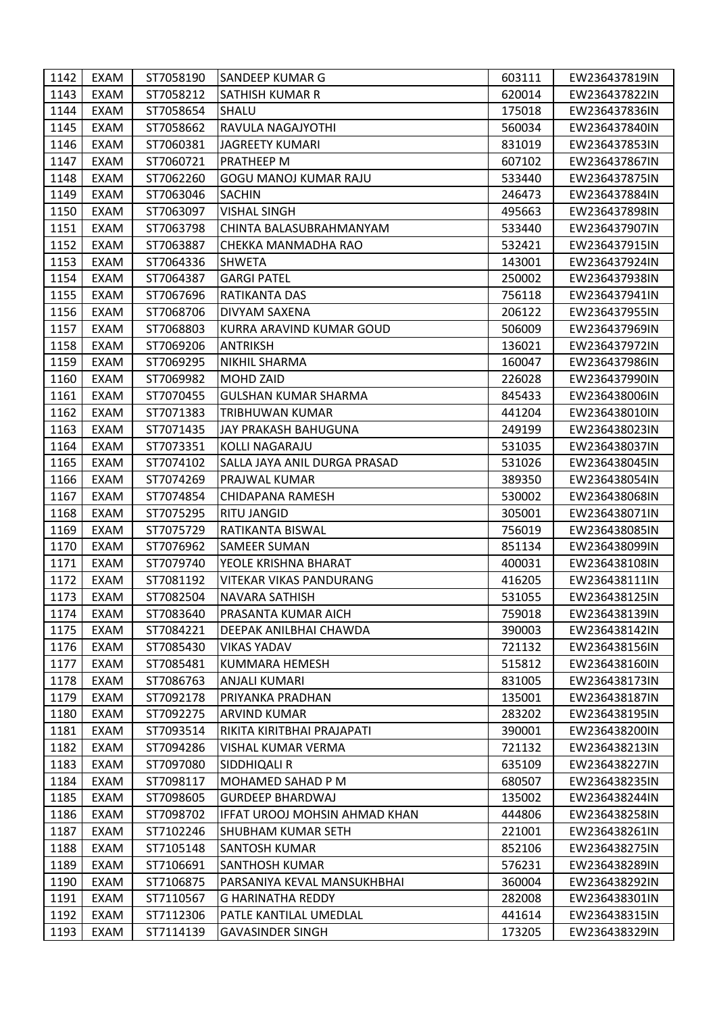| 1142 | EXAM        | ST7058190 | SANDEEP KUMAR G               | 603111 | EW236437819IN |
|------|-------------|-----------|-------------------------------|--------|---------------|
| 1143 | EXAM        | ST7058212 | SATHISH KUMAR R               | 620014 | EW236437822IN |
| 1144 | EXAM        | ST7058654 | SHALU                         | 175018 | EW236437836IN |
| 1145 | EXAM        | ST7058662 | RAVULA NAGAJYOTHI             | 560034 | EW236437840IN |
| 1146 | EXAM        | ST7060381 | <b>JAGREETY KUMARI</b>        | 831019 | EW236437853IN |
| 1147 | EXAM        | ST7060721 | PRATHEEP M                    | 607102 | EW236437867IN |
| 1148 | <b>EXAM</b> | ST7062260 | GOGU MANOJ KUMAR RAJU         | 533440 | EW236437875IN |
| 1149 | EXAM        | ST7063046 | <b>SACHIN</b>                 | 246473 | EW236437884IN |
| 1150 | EXAM        | ST7063097 | <b>VISHAL SINGH</b>           | 495663 | EW236437898IN |
| 1151 | EXAM        | ST7063798 | CHINTA BALASUBRAHMANYAM       | 533440 | EW236437907IN |
| 1152 | EXAM        | ST7063887 | CHEKKA MANMADHA RAO           | 532421 | EW236437915IN |
| 1153 | EXAM        | ST7064336 | <b>SHWETA</b>                 | 143001 | EW236437924IN |
| 1154 | <b>EXAM</b> | ST7064387 | <b>GARGI PATEL</b>            | 250002 | EW236437938IN |
| 1155 | EXAM        | ST7067696 | RATIKANTA DAS                 | 756118 | EW236437941IN |
| 1156 | EXAM        | ST7068706 | DIVYAM SAXENA                 | 206122 | EW236437955IN |
| 1157 | <b>EXAM</b> | ST7068803 | KURRA ARAVIND KUMAR GOUD      | 506009 | EW236437969IN |
| 1158 | EXAM        | ST7069206 | ANTRIKSH                      | 136021 | EW236437972IN |
| 1159 | EXAM        | ST7069295 | NIKHIL SHARMA                 | 160047 | EW236437986IN |
| 1160 | <b>EXAM</b> | ST7069982 | MOHD ZAID                     | 226028 | EW236437990IN |
| 1161 | EXAM        | ST7070455 | GULSHAN KUMAR SHARMA          | 845433 | EW236438006IN |
| 1162 | EXAM        | ST7071383 | TRIBHUWAN KUMAR               | 441204 | EW236438010IN |
| 1163 | EXAM        | ST7071435 | JAY PRAKASH BAHUGUNA          | 249199 | EW236438023IN |
| 1164 | EXAM        | ST7073351 | KOLLI NAGARAJU                | 531035 | EW236438037IN |
| 1165 | EXAM        | ST7074102 | SALLA JAYA ANIL DURGA PRASAD  | 531026 | EW236438045IN |
| 1166 | EXAM        | ST7074269 | PRAJWAL KUMAR                 | 389350 | EW236438054IN |
| 1167 | <b>EXAM</b> | ST7074854 | CHIDAPANA RAMESH              | 530002 | EW236438068IN |
| 1168 | EXAM        | ST7075295 | RITU JANGID                   | 305001 | EW236438071IN |
| 1169 | EXAM        | ST7075729 | RATIKANTA BISWAL              | 756019 | EW236438085IN |
| 1170 | EXAM        | ST7076962 | SAMEER SUMAN                  | 851134 | EW236438099IN |
| 1171 | <b>EXAM</b> | ST7079740 | YEOLE KRISHNA BHARAT          | 400031 | EW236438108IN |
| 1172 | EXAM        | ST7081192 | VITEKAR VIKAS PANDURANG       | 416205 | EW236438111IN |
| 1173 | EXAM        | ST7082504 | <b>NAVARA SATHISH</b>         | 531055 | EW236438125IN |
| 1174 | EXAM        | ST7083640 | PRASANTA KUMAR AICH           | 759018 | EW236438139IN |
| 1175 | EXAM        | ST7084221 | DEEPAK ANILBHAI CHAWDA        | 390003 | EW236438142IN |
| 1176 | EXAM        | ST7085430 | <b>VIKAS YADAV</b>            | 721132 | EW236438156IN |
| 1177 | EXAM        | ST7085481 | KUMMARA HEMESH                | 515812 | EW236438160IN |
| 1178 | EXAM        | ST7086763 | <b>ANJALI KUMARI</b>          | 831005 | EW236438173IN |
| 1179 | EXAM        | ST7092178 | PRIYANKA PRADHAN              | 135001 | EW236438187IN |
| 1180 | EXAM        | ST7092275 | <b>ARVIND KUMAR</b>           | 283202 | EW236438195IN |
| 1181 | EXAM        | ST7093514 | RIKITA KIRITBHAI PRAJAPATI    | 390001 | EW236438200IN |
| 1182 | EXAM        | ST7094286 | VISHAL KUMAR VERMA            | 721132 | EW236438213IN |
| 1183 | EXAM        | ST7097080 | SIDDHIQALI R                  | 635109 | EW236438227IN |
| 1184 | EXAM        | ST7098117 | MOHAMED SAHAD P M             | 680507 | EW236438235IN |
| 1185 | EXAM        | ST7098605 | <b>GURDEEP BHARDWAJ</b>       | 135002 | EW236438244IN |
| 1186 | EXAM        | ST7098702 | IFFAT UROOJ MOHSIN AHMAD KHAN | 444806 | EW236438258IN |
| 1187 | EXAM        | ST7102246 | <b>SHUBHAM KUMAR SETH</b>     | 221001 | EW236438261IN |
| 1188 | EXAM        | ST7105148 | <b>SANTOSH KUMAR</b>          | 852106 | EW236438275IN |
| 1189 | <b>EXAM</b> | ST7106691 | SANTHOSH KUMAR                | 576231 | EW236438289IN |
| 1190 | EXAM        | ST7106875 | PARSANIYA KEVAL MANSUKHBHAI   | 360004 | EW236438292IN |
| 1191 | EXAM        | ST7110567 | G HARINATHA REDDY             | 282008 | EW236438301IN |
| 1192 | EXAM        | ST7112306 | PATLE KANTILAL UMEDLAL        | 441614 | EW236438315IN |
| 1193 | EXAM        | ST7114139 | <b>GAVASINDER SINGH</b>       | 173205 | EW236438329IN |